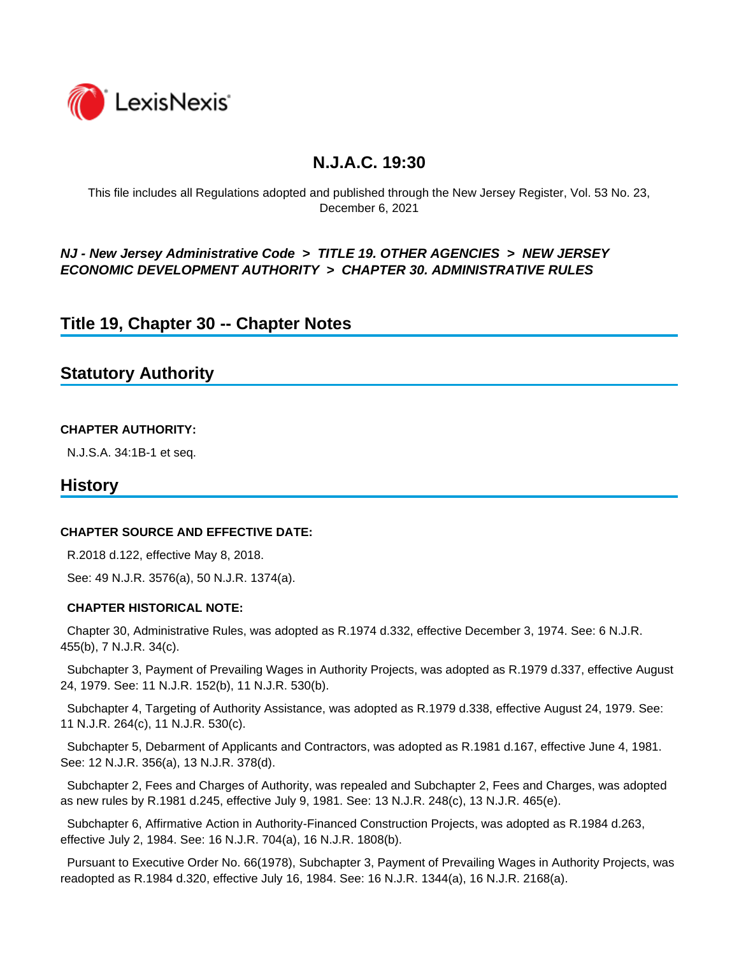

## **N.J.A.C. 19:30**

This file includes all Regulations adopted and published through the New Jersey Register, Vol. 53 No. 23, December 6, 2021

### *NJ - New Jersey Administrative Code* **>** *TITLE 19. OTHER AGENCIES* **>** *NEW JERSEY ECONOMIC DEVELOPMENT AUTHORITY* **>** *CHAPTER 30. ADMINISTRATIVE RULES*

## **Title 19, Chapter 30 -- Chapter Notes**

## **Statutory Authority**

#### **CHAPTER AUTHORITY:**

N.J.S.A. 34:1B-1 et seq.

### **History**

#### **CHAPTER SOURCE AND EFFECTIVE DATE:**

R.2018 d.122, effective May 8, 2018.

See: 49 N.J.R. 3576(a), 50 N.J.R. 1374(a).

#### **CHAPTER HISTORICAL NOTE:**

 Chapter 30, Administrative Rules, was adopted as R.1974 d.332, effective December 3, 1974. See: 6 N.J.R. 455(b), 7 N.J.R. 34(c).

 Subchapter 3, Payment of Prevailing Wages in Authority Projects, was adopted as R.1979 d.337, effective August 24, 1979. See: 11 N.J.R. 152(b), 11 N.J.R. 530(b).

 Subchapter 4, Targeting of Authority Assistance, was adopted as R.1979 d.338, effective August 24, 1979. See: 11 N.J.R. 264(c), 11 N.J.R. 530(c).

 Subchapter 5, Debarment of Applicants and Contractors, was adopted as R.1981 d.167, effective June 4, 1981. See: 12 N.J.R. 356(a), 13 N.J.R. 378(d).

 Subchapter 2, Fees and Charges of Authority, was repealed and Subchapter 2, Fees and Charges, was adopted as new rules by R.1981 d.245, effective July 9, 1981. See: 13 N.J.R. 248(c), 13 N.J.R. 465(e).

 Subchapter 6, Affirmative Action in Authority-Financed Construction Projects, was adopted as R.1984 d.263, effective July 2, 1984. See: 16 N.J.R. 704(a), 16 N.J.R. 1808(b).

 Pursuant to Executive Order No. 66(1978), Subchapter 3, Payment of Prevailing Wages in Authority Projects, was readopted as R.1984 d.320, effective July 16, 1984. See: 16 N.J.R. 1344(a), 16 N.J.R. 2168(a).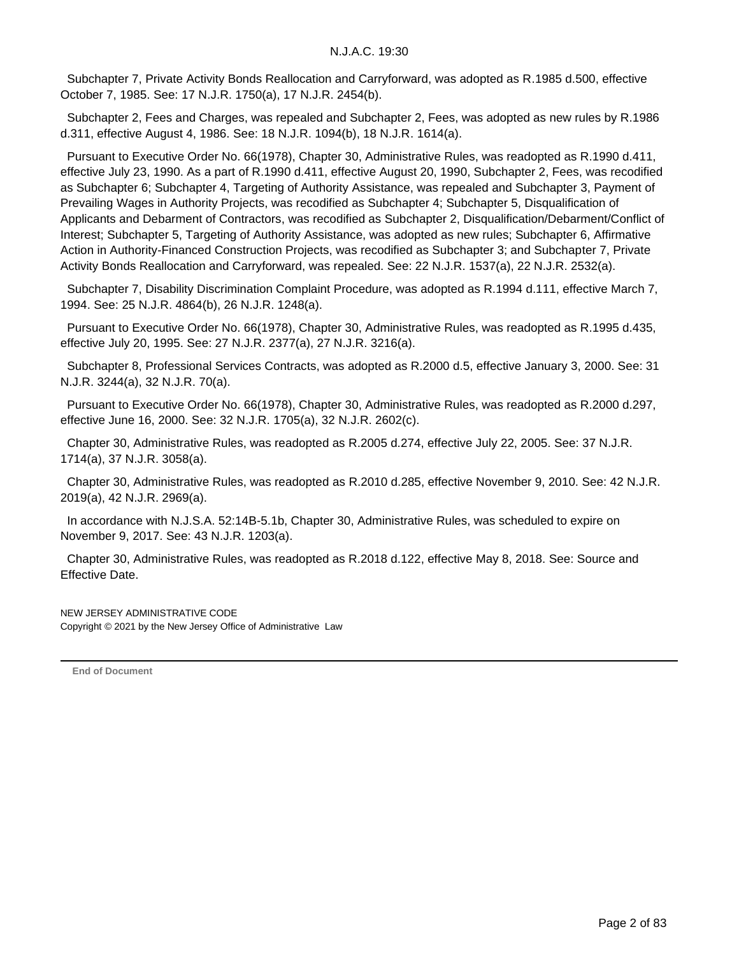Subchapter 7, Private Activity Bonds Reallocation and Carryforward, was adopted as R.1985 d.500, effective October 7, 1985. See: 17 N.J.R. 1750(a), 17 N.J.R. 2454(b).

 Subchapter 2, Fees and Charges, was repealed and Subchapter 2, Fees, was adopted as new rules by R.1986 d.311, effective August 4, 1986. See: 18 N.J.R. 1094(b), 18 N.J.R. 1614(a).

 Pursuant to Executive Order No. 66(1978), Chapter 30, Administrative Rules, was readopted as R.1990 d.411, effective July 23, 1990. As a part of R.1990 d.411, effective August 20, 1990, Subchapter 2, Fees, was recodified as Subchapter 6; Subchapter 4, Targeting of Authority Assistance, was repealed and Subchapter 3, Payment of Prevailing Wages in Authority Projects, was recodified as Subchapter 4; Subchapter 5, Disqualification of Applicants and Debarment of Contractors, was recodified as Subchapter 2, Disqualification/Debarment/Conflict of Interest; Subchapter 5, Targeting of Authority Assistance, was adopted as new rules; Subchapter 6, Affirmative Action in Authority-Financed Construction Projects, was recodified as Subchapter 3; and Subchapter 7, Private Activity Bonds Reallocation and Carryforward, was repealed. See: 22 N.J.R. 1537(a), 22 N.J.R. 2532(a).

 Subchapter 7, Disability Discrimination Complaint Procedure, was adopted as R.1994 d.111, effective March 7, 1994. See: 25 N.J.R. 4864(b), 26 N.J.R. 1248(a).

 Pursuant to Executive Order No. 66(1978), Chapter 30, Administrative Rules, was readopted as R.1995 d.435, effective July 20, 1995. See: 27 N.J.R. 2377(a), 27 N.J.R. 3216(a).

 Subchapter 8, Professional Services Contracts, was adopted as R.2000 d.5, effective January 3, 2000. See: 31 N.J.R. 3244(a), 32 N.J.R. 70(a).

 Pursuant to Executive Order No. 66(1978), Chapter 30, Administrative Rules, was readopted as R.2000 d.297, effective June 16, 2000. See: 32 N.J.R. 1705(a), 32 N.J.R. 2602(c).

 Chapter 30, Administrative Rules, was readopted as R.2005 d.274, effective July 22, 2005. See: 37 N.J.R. 1714(a), 37 N.J.R. 3058(a).

 Chapter 30, Administrative Rules, was readopted as R.2010 d.285, effective November 9, 2010. See: 42 N.J.R. 2019(a), 42 N.J.R. 2969(a).

 In accordance with N.J.S.A. 52:14B-5.1b, Chapter 30, Administrative Rules, was scheduled to expire on November 9, 2017. See: 43 N.J.R. 1203(a).

 Chapter 30, Administrative Rules, was readopted as R.2018 d.122, effective May 8, 2018. See: Source and Effective Date.

NEW JERSEY ADMINISTRATIVE CODE Copyright © 2021 by the New Jersey Office of Administrative Law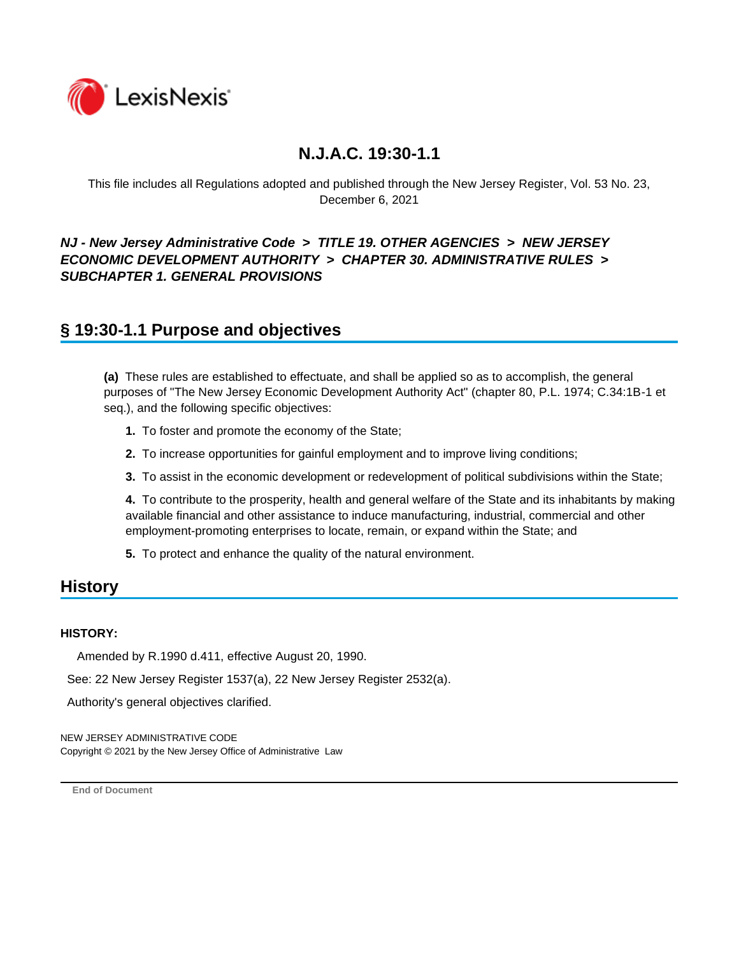

This file includes all Regulations adopted and published through the New Jersey Register, Vol. 53 No. 23, December 6, 2021

### *NJ - New Jersey Administrative Code* **>** *TITLE 19. OTHER AGENCIES* **>** *NEW JERSEY ECONOMIC DEVELOPMENT AUTHORITY* **>** *CHAPTER 30. ADMINISTRATIVE RULES* **>**  *SUBCHAPTER 1. GENERAL PROVISIONS*

## **§ 19:30-1.1 Purpose and objectives**

**(a)** These rules are established to effectuate, and shall be applied so as to accomplish, the general purposes of "The New Jersey Economic Development Authority Act" (chapter 80, P.L. 1974; C.34:1B-1 et seq.), and the following specific objectives:

- **1.** To foster and promote the economy of the State;
- **2.** To increase opportunities for gainful employment and to improve living conditions;
- **3.** To assist in the economic development or redevelopment of political subdivisions within the State;

**4.** To contribute to the prosperity, health and general welfare of the State and its inhabitants by making available financial and other assistance to induce manufacturing, industrial, commercial and other employment-promoting enterprises to locate, remain, or expand within the State; and

**5.** To protect and enhance the quality of the natural environment.

## **History**

#### **HISTORY:**

Amended by R.1990 d.411, effective August 20, 1990.

See: 22 New Jersey Register 1537(a), 22 New Jersey Register 2532(a).

Authority's general objectives clarified.

NEW JERSEY ADMINISTRATIVE CODE Copyright © 2021 by the New Jersey Office of Administrative Law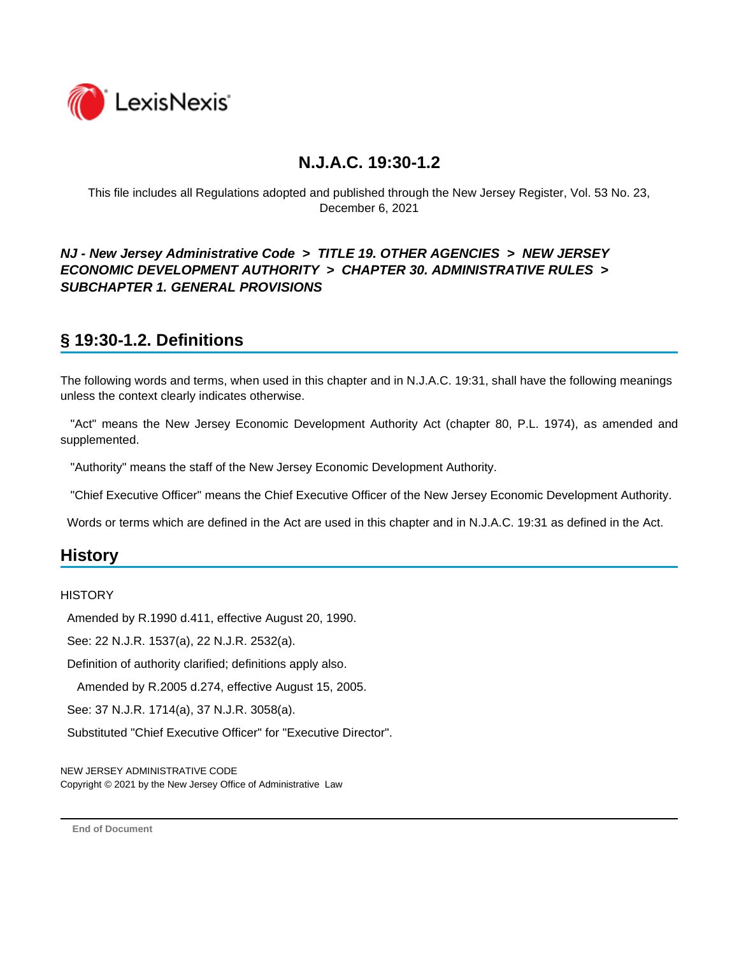

This file includes all Regulations adopted and published through the New Jersey Register, Vol. 53 No. 23, December 6, 2021

### *NJ - New Jersey Administrative Code* **>** *TITLE 19. OTHER AGENCIES* **>** *NEW JERSEY ECONOMIC DEVELOPMENT AUTHORITY* **>** *CHAPTER 30. ADMINISTRATIVE RULES* **>**  *SUBCHAPTER 1. GENERAL PROVISIONS*

# **§ 19:30-1.2. Definitions**

The following words and terms, when used in this chapter and in N.J.A.C. 19:31, shall have the following meanings unless the context clearly indicates otherwise.

 "Act" means the New Jersey Economic Development Authority Act (chapter 80, P.L. 1974), as amended and supplemented.

"Authority" means the staff of the New Jersey Economic Development Authority.

"Chief Executive Officer" means the Chief Executive Officer of the New Jersey Economic Development Authority.

Words or terms which are defined in the Act are used in this chapter and in N.J.A.C. 19:31 as defined in the Act.

## **History**

#### **HISTORY**

Amended by R.1990 d.411, effective August 20, 1990.

See: 22 N.J.R. 1537(a), 22 N.J.R. 2532(a).

Definition of authority clarified; definitions apply also.

Amended by R.2005 d.274, effective August 15, 2005.

See: 37 N.J.R. 1714(a), 37 N.J.R. 3058(a).

Substituted "Chief Executive Officer" for "Executive Director".

NEW JERSEY ADMINISTRATIVE CODE Copyright © 2021 by the New Jersey Office of Administrative Law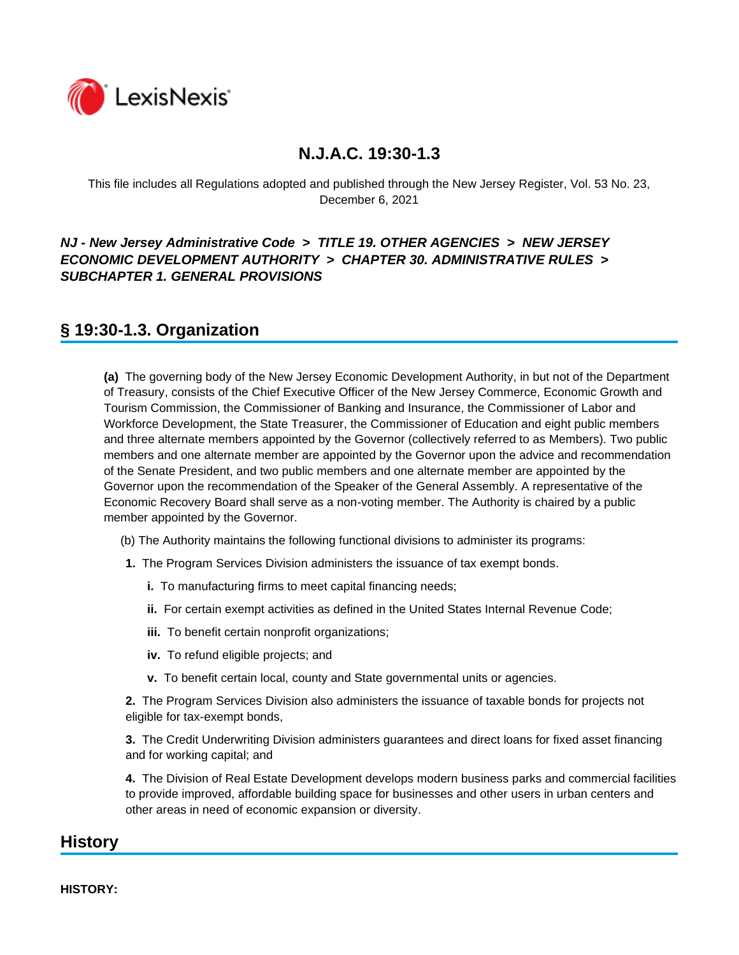

This file includes all Regulations adopted and published through the New Jersey Register, Vol. 53 No. 23, December 6, 2021

### *NJ - New Jersey Administrative Code* **>** *TITLE 19. OTHER AGENCIES* **>** *NEW JERSEY ECONOMIC DEVELOPMENT AUTHORITY* **>** *CHAPTER 30. ADMINISTRATIVE RULES* **>**  *SUBCHAPTER 1. GENERAL PROVISIONS*

## **§ 19:30-1.3. Organization**

**(a)** The governing body of the New Jersey Economic Development Authority, in but not of the Department of Treasury, consists of the Chief Executive Officer of the New Jersey Commerce, Economic Growth and Tourism Commission, the Commissioner of Banking and Insurance, the Commissioner of Labor and Workforce Development, the State Treasurer, the Commissioner of Education and eight public members and three alternate members appointed by the Governor (collectively referred to as Members). Two public members and one alternate member are appointed by the Governor upon the advice and recommendation of the Senate President, and two public members and one alternate member are appointed by the Governor upon the recommendation of the Speaker of the General Assembly. A representative of the Economic Recovery Board shall serve as a non-voting member. The Authority is chaired by a public member appointed by the Governor.

- (b) The Authority maintains the following functional divisions to administer its programs:
- **1.** The Program Services Division administers the issuance of tax exempt bonds.
	- **i.** To manufacturing firms to meet capital financing needs;
	- **ii.** For certain exempt activities as defined in the United States Internal Revenue Code;
	- **iii.** To benefit certain nonprofit organizations;
	- **iv.** To refund eligible projects; and
	- **v.** To benefit certain local, county and State governmental units or agencies.

**2.** The Program Services Division also administers the issuance of taxable bonds for projects not eligible for tax-exempt bonds,

**3.** The Credit Underwriting Division administers guarantees and direct loans for fixed asset financing and for working capital; and

**4.** The Division of Real Estate Development develops modern business parks and commercial facilities to provide improved, affordable building space for businesses and other users in urban centers and other areas in need of economic expansion or diversity.

## **History**

**HISTORY:**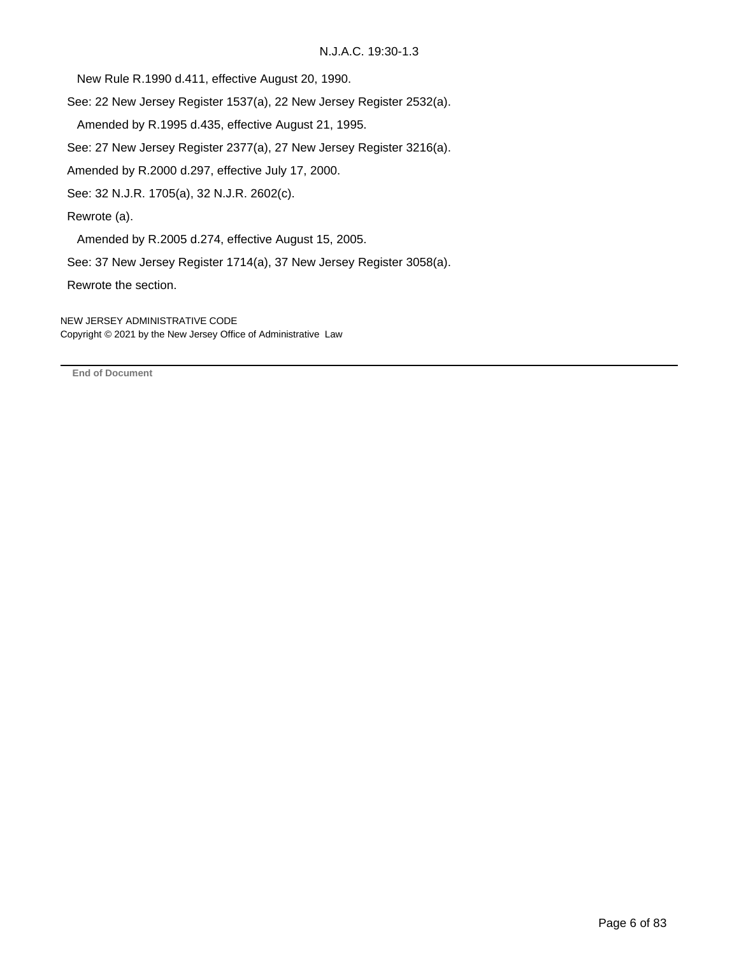New Rule R.1990 d.411, effective August 20, 1990.

See: 22 New Jersey Register 1537(a), 22 New Jersey Register 2532(a).

Amended by R.1995 d.435, effective August 21, 1995.

See: 27 New Jersey Register 2377(a), 27 New Jersey Register 3216(a).

Amended by R.2000 d.297, effective July 17, 2000.

See: 32 N.J.R. 1705(a), 32 N.J.R. 2602(c).

Rewrote (a).

Amended by R.2005 d.274, effective August 15, 2005.

See: 37 New Jersey Register 1714(a), 37 New Jersey Register 3058(a).

Rewrote the section.

NEW JERSEY ADMINISTRATIVE CODE Copyright © 2021 by the New Jersey Office of Administrative Law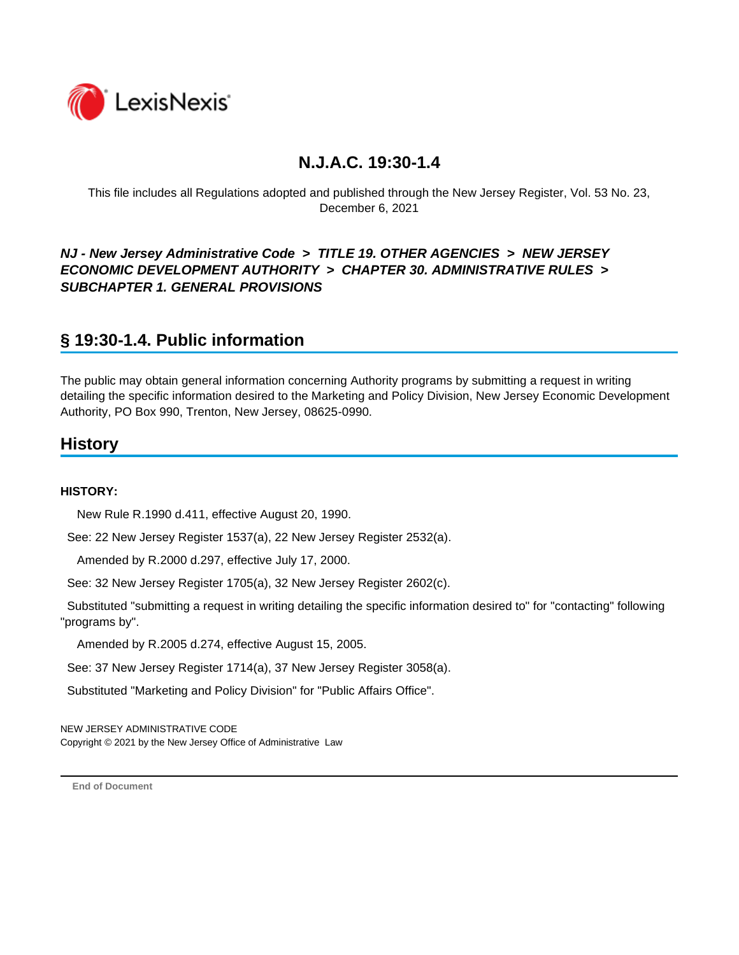

This file includes all Regulations adopted and published through the New Jersey Register, Vol. 53 No. 23, December 6, 2021

### *NJ - New Jersey Administrative Code* **>** *TITLE 19. OTHER AGENCIES* **>** *NEW JERSEY ECONOMIC DEVELOPMENT AUTHORITY* **>** *CHAPTER 30. ADMINISTRATIVE RULES* **>**  *SUBCHAPTER 1. GENERAL PROVISIONS*

## **§ 19:30-1.4. Public information**

The public may obtain general information concerning Authority programs by submitting a request in writing detailing the specific information desired to the Marketing and Policy Division, New Jersey Economic Development Authority, PO Box 990, Trenton, New Jersey, 08625-0990.

## **History**

#### **HISTORY:**

New Rule R.1990 d.411, effective August 20, 1990.

See: 22 New Jersey Register 1537(a), 22 New Jersey Register 2532(a).

Amended by R.2000 d.297, effective July 17, 2000.

See: 32 New Jersey Register 1705(a), 32 New Jersey Register 2602(c).

 Substituted "submitting a request in writing detailing the specific information desired to" for "contacting" following "programs by".

Amended by R.2005 d.274, effective August 15, 2005.

See: 37 New Jersey Register 1714(a), 37 New Jersey Register 3058(a).

Substituted "Marketing and Policy Division" for "Public Affairs Office".

NEW JERSEY ADMINISTRATIVE CODE Copyright © 2021 by the New Jersey Office of Administrative Law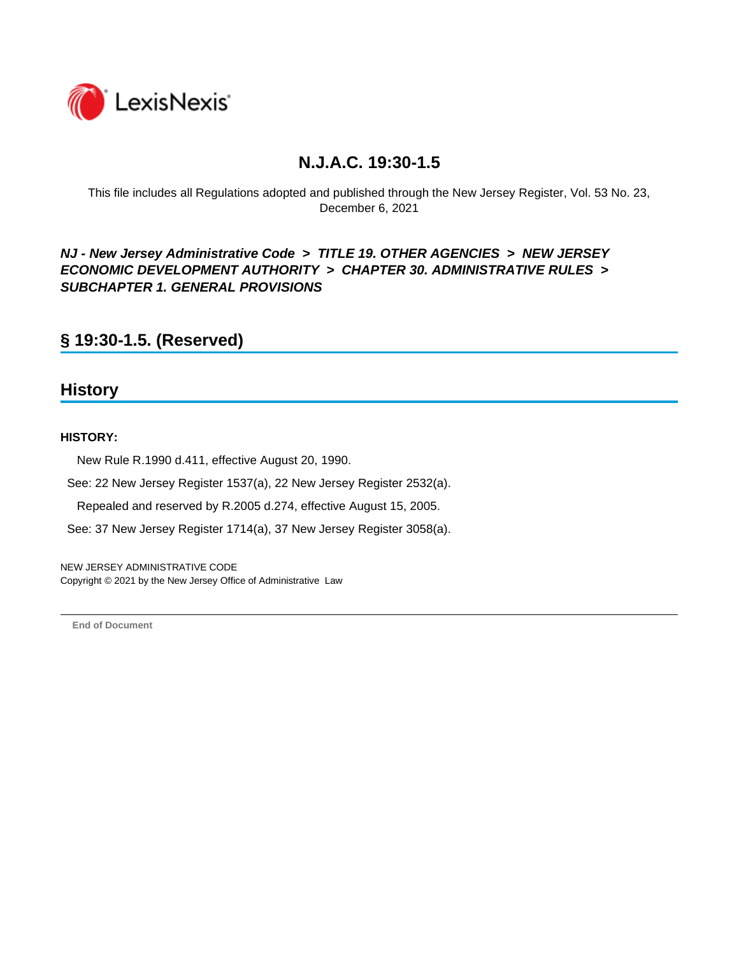

This file includes all Regulations adopted and published through the New Jersey Register, Vol. 53 No. 23, December 6, 2021

*NJ - New Jersey Administrative Code* **>** *TITLE 19. OTHER AGENCIES* **>** *NEW JERSEY ECONOMIC DEVELOPMENT AUTHORITY* **>** *CHAPTER 30. ADMINISTRATIVE RULES* **>**  *SUBCHAPTER 1. GENERAL PROVISIONS*

**§ 19:30-1.5. (Reserved)**

### **History**

#### **HISTORY:**

New Rule R.1990 d.411, effective August 20, 1990.

See: 22 New Jersey Register 1537(a), 22 New Jersey Register 2532(a).

Repealed and reserved by R.2005 d.274, effective August 15, 2005.

See: 37 New Jersey Register 1714(a), 37 New Jersey Register 3058(a).

NEW JERSEY ADMINISTRATIVE CODE Copyright © 2021 by the New Jersey Office of Administrative Law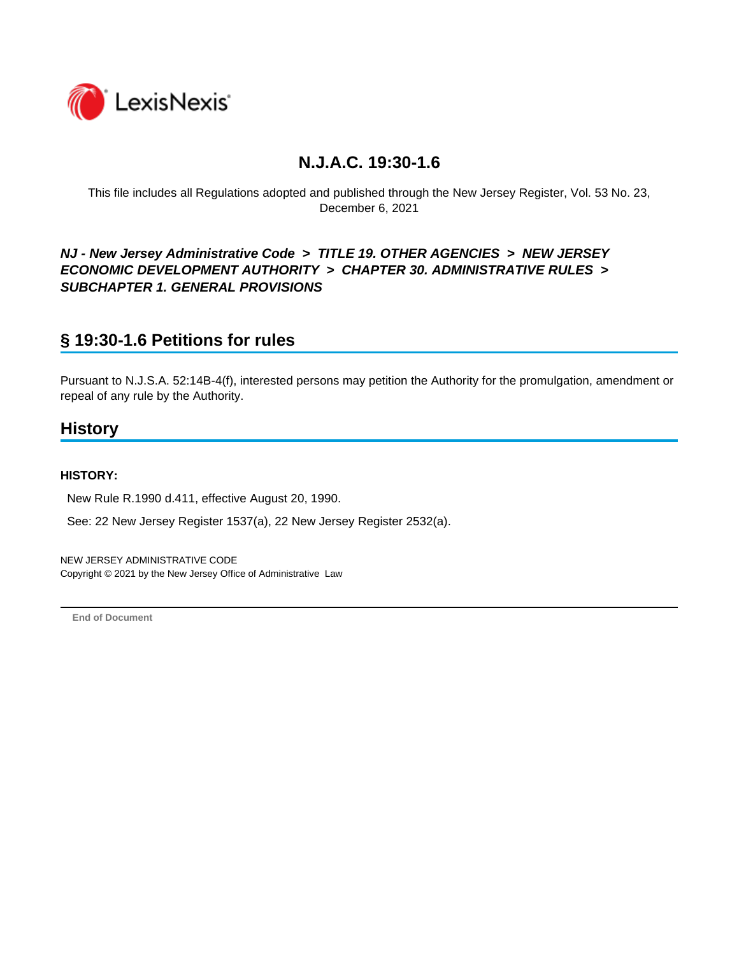

This file includes all Regulations adopted and published through the New Jersey Register, Vol. 53 No. 23, December 6, 2021

### *NJ - New Jersey Administrative Code* **>** *TITLE 19. OTHER AGENCIES* **>** *NEW JERSEY ECONOMIC DEVELOPMENT AUTHORITY* **>** *CHAPTER 30. ADMINISTRATIVE RULES* **>**  *SUBCHAPTER 1. GENERAL PROVISIONS*

## **§ 19:30-1.6 Petitions for rules**

Pursuant to N.J.S.A. 52:14B-4(f), interested persons may petition the Authority for the promulgation, amendment or repeal of any rule by the Authority.

## **History**

#### **HISTORY:**

New Rule R.1990 d.411, effective August 20, 1990.

See: 22 New Jersey Register 1537(a), 22 New Jersey Register 2532(a).

NEW JERSEY ADMINISTRATIVE CODE Copyright © 2021 by the New Jersey Office of Administrative Law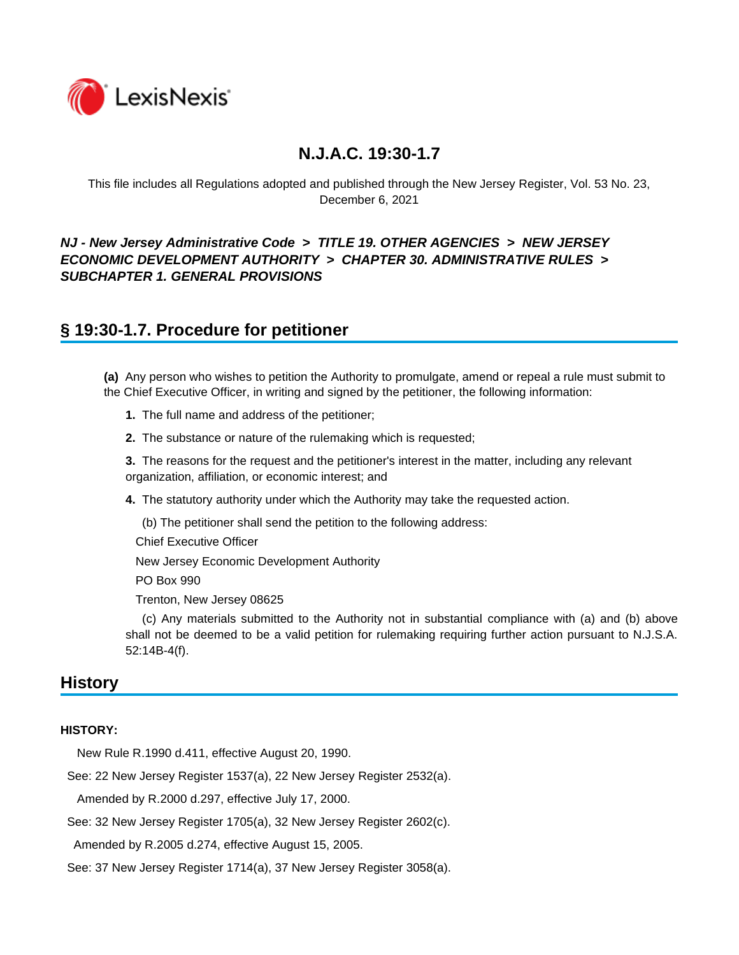

This file includes all Regulations adopted and published through the New Jersey Register, Vol. 53 No. 23, December 6, 2021

### *NJ - New Jersey Administrative Code* **>** *TITLE 19. OTHER AGENCIES* **>** *NEW JERSEY ECONOMIC DEVELOPMENT AUTHORITY* **>** *CHAPTER 30. ADMINISTRATIVE RULES* **>**  *SUBCHAPTER 1. GENERAL PROVISIONS*

## **§ 19:30-1.7. Procedure for petitioner**

**(a)** Any person who wishes to petition the Authority to promulgate, amend or repeal a rule must submit to the Chief Executive Officer, in writing and signed by the petitioner, the following information:

**1.** The full name and address of the petitioner;

**2.** The substance or nature of the rulemaking which is requested;

**3.** The reasons for the request and the petitioner's interest in the matter, including any relevant organization, affiliation, or economic interest; and

**4.** The statutory authority under which the Authority may take the requested action.

(b) The petitioner shall send the petition to the following address:

Chief Executive Officer

New Jersey Economic Development Authority

PO Box 990

Trenton, New Jersey 08625

 (c) Any materials submitted to the Authority not in substantial compliance with (a) and (b) above shall not be deemed to be a valid petition for rulemaking requiring further action pursuant to N.J.S.A. 52:14B-4(f).

### **History**

#### **HISTORY:**

New Rule R.1990 d.411, effective August 20, 1990.

See: 22 New Jersey Register 1537(a), 22 New Jersey Register 2532(a).

Amended by R.2000 d.297, effective July 17, 2000.

See: 32 New Jersey Register 1705(a), 32 New Jersey Register 2602(c).

Amended by R.2005 d.274, effective August 15, 2005.

See: 37 New Jersey Register 1714(a), 37 New Jersey Register 3058(a).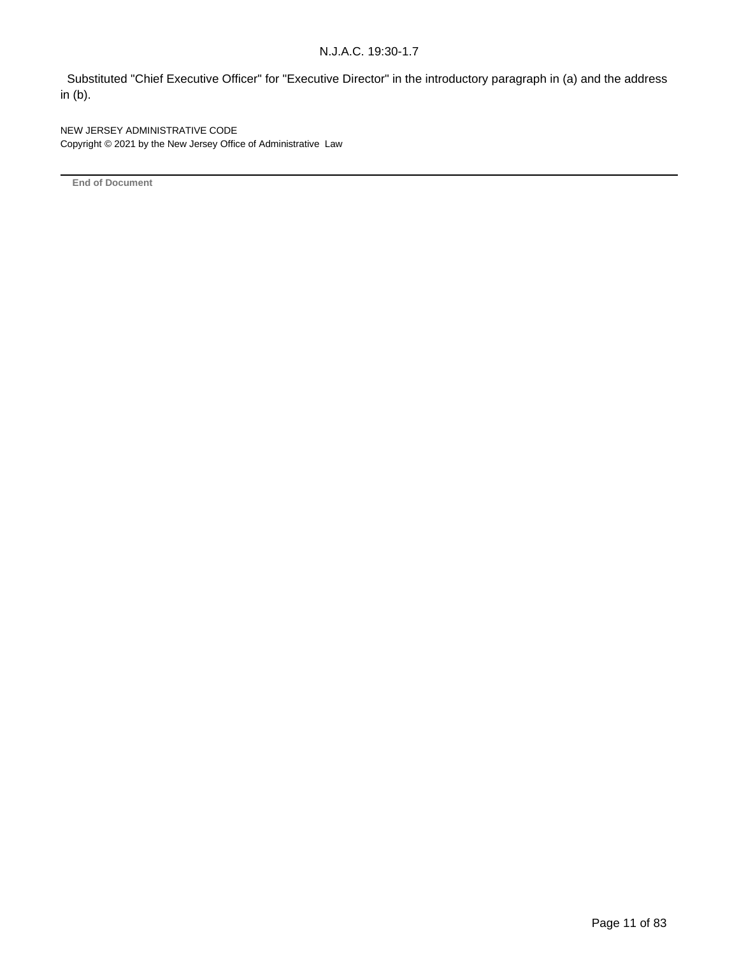Substituted "Chief Executive Officer" for "Executive Director" in the introductory paragraph in (a) and the address in (b).

NEW JERSEY ADMINISTRATIVE CODE Copyright © 2021 by the New Jersey Office of Administrative Law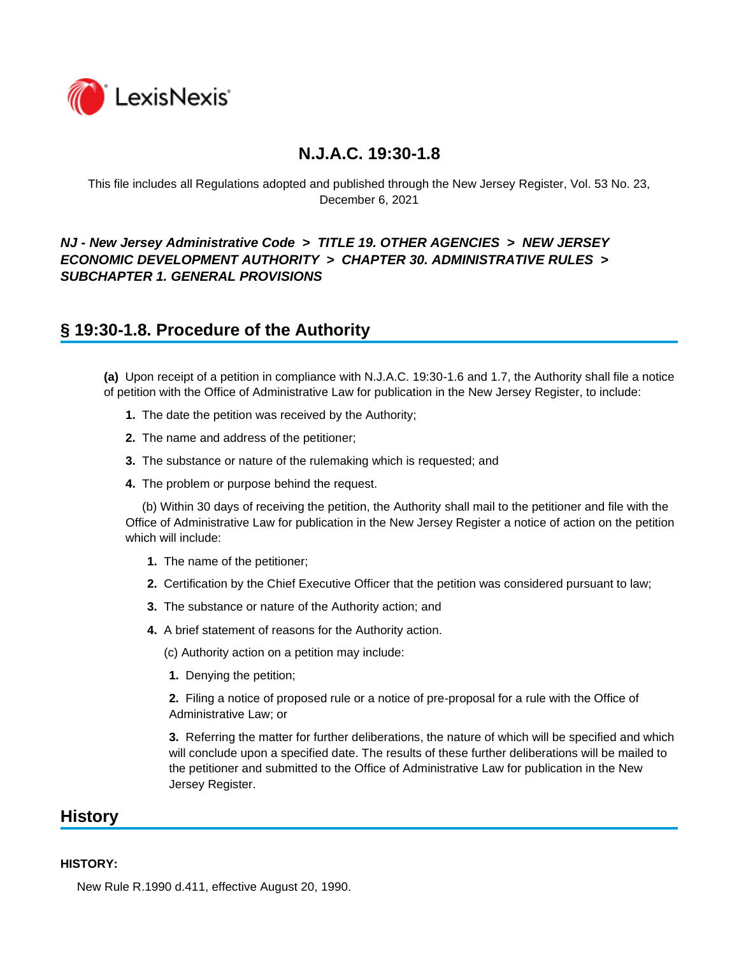

This file includes all Regulations adopted and published through the New Jersey Register, Vol. 53 No. 23, December 6, 2021

### *NJ - New Jersey Administrative Code* **>** *TITLE 19. OTHER AGENCIES* **>** *NEW JERSEY ECONOMIC DEVELOPMENT AUTHORITY* **>** *CHAPTER 30. ADMINISTRATIVE RULES* **>**  *SUBCHAPTER 1. GENERAL PROVISIONS*

## **§ 19:30-1.8. Procedure of the Authority**

**(a)** Upon receipt of a petition in compliance with N.J.A.C. 19:30-1.6 and 1.7, the Authority shall file a notice of petition with the Office of Administrative Law for publication in the New Jersey Register, to include:

- **1.** The date the petition was received by the Authority;
- **2.** The name and address of the petitioner;
- **3.** The substance or nature of the rulemaking which is requested; and
- **4.** The problem or purpose behind the request.

 (b) Within 30 days of receiving the petition, the Authority shall mail to the petitioner and file with the Office of Administrative Law for publication in the New Jersey Register a notice of action on the petition which will include:

- **1.** The name of the petitioner;
- **2.** Certification by the Chief Executive Officer that the petition was considered pursuant to law;
- **3.** The substance or nature of the Authority action; and
- **4.** A brief statement of reasons for the Authority action.

(c) Authority action on a petition may include:

**1.** Denying the petition;

**2.** Filing a notice of proposed rule or a notice of pre-proposal for a rule with the Office of Administrative Law; or

**3.** Referring the matter for further deliberations, the nature of which will be specified and which will conclude upon a specified date. The results of these further deliberations will be mailed to the petitioner and submitted to the Office of Administrative Law for publication in the New Jersey Register.

### **History**

#### **HISTORY:**

New Rule R.1990 d.411, effective August 20, 1990.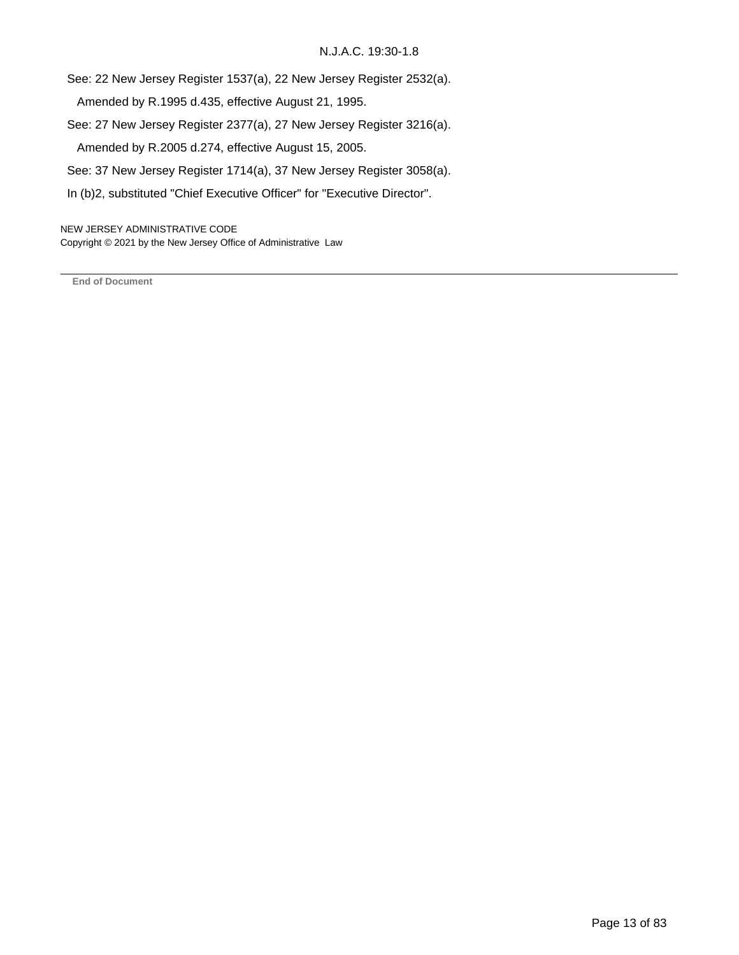See: 22 New Jersey Register 1537(a), 22 New Jersey Register 2532(a).

Amended by R.1995 d.435, effective August 21, 1995.

See: 27 New Jersey Register 2377(a), 27 New Jersey Register 3216(a).

Amended by R.2005 d.274, effective August 15, 2005.

See: 37 New Jersey Register 1714(a), 37 New Jersey Register 3058(a).

In (b)2, substituted "Chief Executive Officer" for "Executive Director".

NEW JERSEY ADMINISTRATIVE CODE Copyright © 2021 by the New Jersey Office of Administrative Law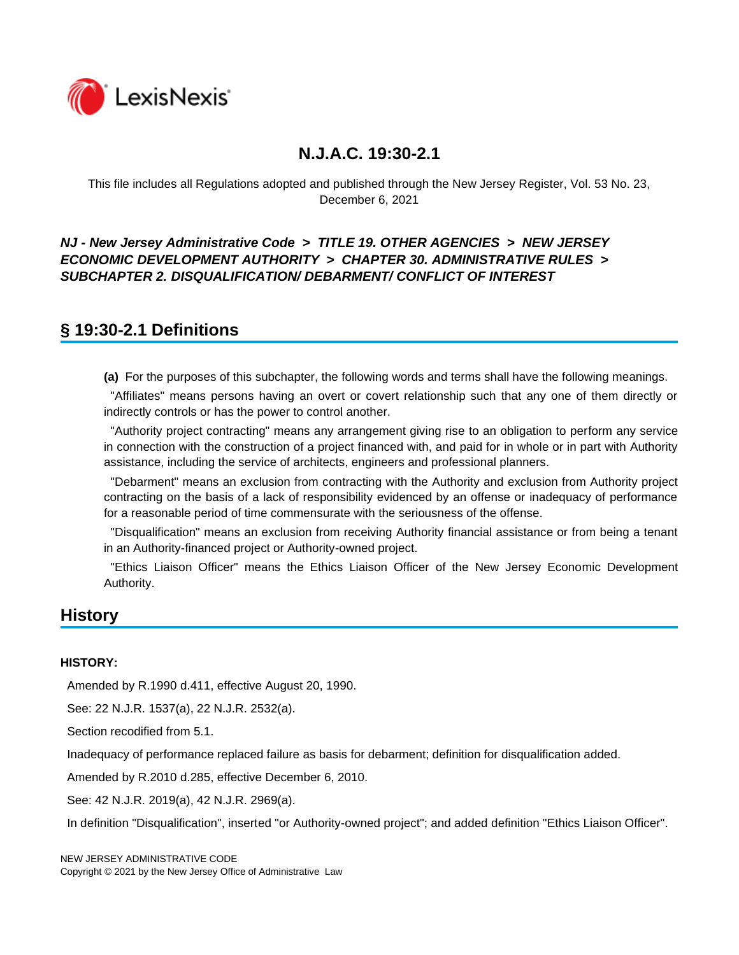

This file includes all Regulations adopted and published through the New Jersey Register, Vol. 53 No. 23, December 6, 2021

*NJ - New Jersey Administrative Code* **>** *TITLE 19. OTHER AGENCIES* **>** *NEW JERSEY ECONOMIC DEVELOPMENT AUTHORITY* **>** *CHAPTER 30. ADMINISTRATIVE RULES* **>**  *SUBCHAPTER 2. DISQUALIFICATION/ DEBARMENT/ CONFLICT OF INTEREST*

## **§ 19:30-2.1 Definitions**

**(a)** For the purposes of this subchapter, the following words and terms shall have the following meanings.

 "Affiliates" means persons having an overt or covert relationship such that any one of them directly or indirectly controls or has the power to control another.

 "Authority project contracting" means any arrangement giving rise to an obligation to perform any service in connection with the construction of a project financed with, and paid for in whole or in part with Authority assistance, including the service of architects, engineers and professional planners.

 "Debarment" means an exclusion from contracting with the Authority and exclusion from Authority project contracting on the basis of a lack of responsibility evidenced by an offense or inadequacy of performance for a reasonable period of time commensurate with the seriousness of the offense.

 "Disqualification" means an exclusion from receiving Authority financial assistance or from being a tenant in an Authority-financed project or Authority-owned project.

 "Ethics Liaison Officer" means the Ethics Liaison Officer of the New Jersey Economic Development Authority.

## **History**

#### **HISTORY:**

Amended by R.1990 d.411, effective August 20, 1990.

See: 22 N.J.R. 1537(a), 22 N.J.R. 2532(a).

Section recodified from 5.1.

Inadequacy of performance replaced failure as basis for debarment; definition for disqualification added.

Amended by R.2010 d.285, effective December 6, 2010.

See: 42 N.J.R. 2019(a), 42 N.J.R. 2969(a).

In definition "Disqualification", inserted "or Authority-owned project"; and added definition "Ethics Liaison Officer".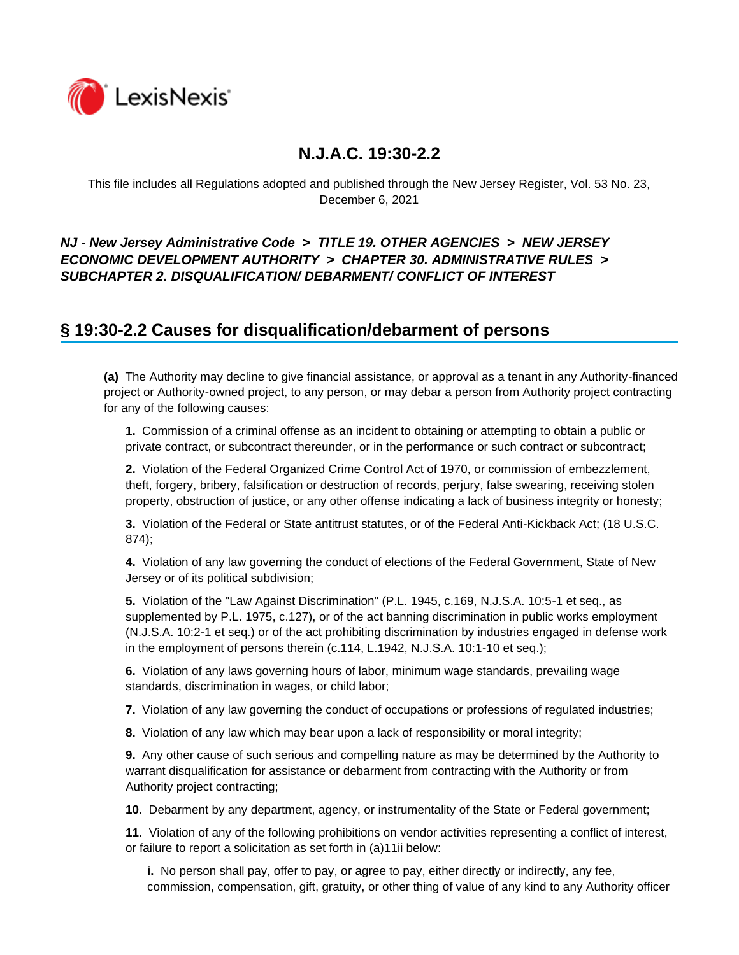

This file includes all Regulations adopted and published through the New Jersey Register, Vol. 53 No. 23, December 6, 2021

### *NJ - New Jersey Administrative Code* **>** *TITLE 19. OTHER AGENCIES* **>** *NEW JERSEY ECONOMIC DEVELOPMENT AUTHORITY* **>** *CHAPTER 30. ADMINISTRATIVE RULES* **>**  *SUBCHAPTER 2. DISQUALIFICATION/ DEBARMENT/ CONFLICT OF INTEREST*

## **§ 19:30-2.2 Causes for disqualification/debarment of persons**

**(a)** The Authority may decline to give financial assistance, or approval as a tenant in any Authority-financed project or Authority-owned project, to any person, or may debar a person from Authority project contracting for any of the following causes:

**1.** Commission of a criminal offense as an incident to obtaining or attempting to obtain a public or private contract, or subcontract thereunder, or in the performance or such contract or subcontract;

**2.** Violation of the Federal Organized Crime Control Act of 1970, or commission of embezzlement, theft, forgery, bribery, falsification or destruction of records, perjury, false swearing, receiving stolen property, obstruction of justice, or any other offense indicating a lack of business integrity or honesty;

**3.** Violation of the Federal or State antitrust statutes, or of the Federal Anti-Kickback Act; (18 U.S.C. 874);

**4.** Violation of any law governing the conduct of elections of the Federal Government, State of New Jersey or of its political subdivision;

**5.** Violation of the "Law Against Discrimination" (P.L. 1945, c.169, N.J.S.A. 10:5-1 et seq., as supplemented by P.L. 1975, c.127), or of the act banning discrimination in public works employment (N.J.S.A. 10:2-1 et seq.) or of the act prohibiting discrimination by industries engaged in defense work in the employment of persons therein (c.114, L.1942, N.J.S.A. 10:1-10 et seq.);

**6.** Violation of any laws governing hours of labor, minimum wage standards, prevailing wage standards, discrimination in wages, or child labor;

**7.** Violation of any law governing the conduct of occupations or professions of regulated industries;

**8.** Violation of any law which may bear upon a lack of responsibility or moral integrity;

**9.** Any other cause of such serious and compelling nature as may be determined by the Authority to warrant disqualification for assistance or debarment from contracting with the Authority or from Authority project contracting;

**10.** Debarment by any department, agency, or instrumentality of the State or Federal government;

**11.** Violation of any of the following prohibitions on vendor activities representing a conflict of interest, or failure to report a solicitation as set forth in (a)11ii below:

**i.** No person shall pay, offer to pay, or agree to pay, either directly or indirectly, any fee, commission, compensation, gift, gratuity, or other thing of value of any kind to any Authority officer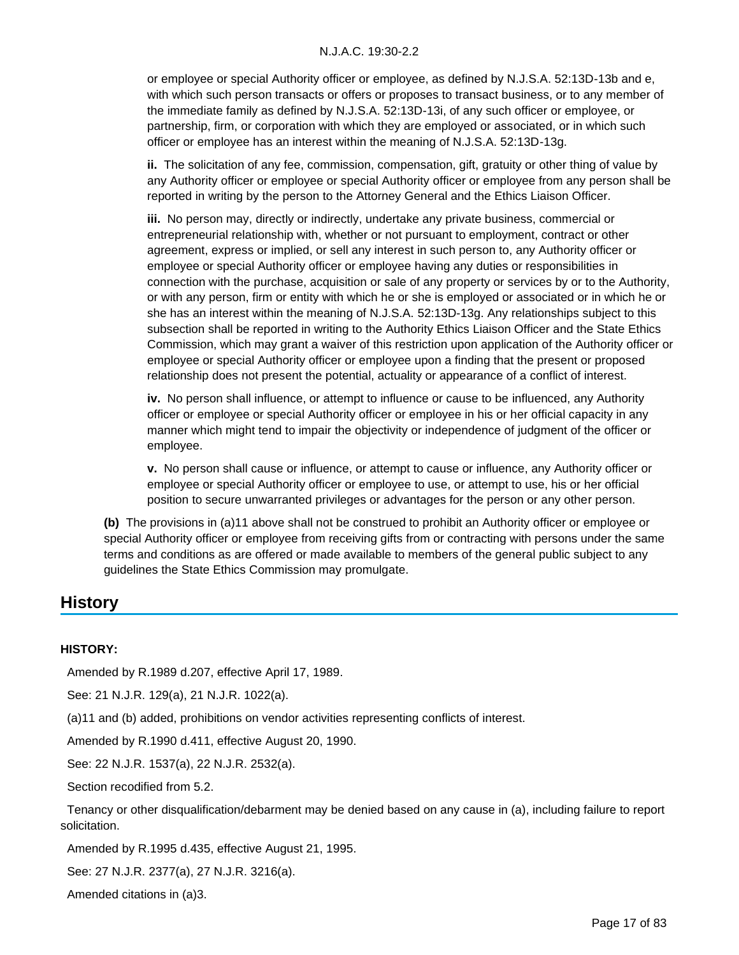or employee or special Authority officer or employee, as defined by N.J.S.A. 52:13D-13b and e, with which such person transacts or offers or proposes to transact business, or to any member of the immediate family as defined by N.J.S.A. 52:13D-13i, of any such officer or employee, or partnership, firm, or corporation with which they are employed or associated, or in which such officer or employee has an interest within the meaning of N.J.S.A. 52:13D-13g.

**ii.** The solicitation of any fee, commission, compensation, gift, gratuity or other thing of value by any Authority officer or employee or special Authority officer or employee from any person shall be reported in writing by the person to the Attorney General and the Ethics Liaison Officer.

**iii.** No person may, directly or indirectly, undertake any private business, commercial or entrepreneurial relationship with, whether or not pursuant to employment, contract or other agreement, express or implied, or sell any interest in such person to, any Authority officer or employee or special Authority officer or employee having any duties or responsibilities in connection with the purchase, acquisition or sale of any property or services by or to the Authority, or with any person, firm or entity with which he or she is employed or associated or in which he or she has an interest within the meaning of N.J.S.A. 52:13D-13g. Any relationships subject to this subsection shall be reported in writing to the Authority Ethics Liaison Officer and the State Ethics Commission, which may grant a waiver of this restriction upon application of the Authority officer or employee or special Authority officer or employee upon a finding that the present or proposed relationship does not present the potential, actuality or appearance of a conflict of interest.

**iv.** No person shall influence, or attempt to influence or cause to be influenced, any Authority officer or employee or special Authority officer or employee in his or her official capacity in any manner which might tend to impair the objectivity or independence of judgment of the officer or employee.

**v.** No person shall cause or influence, or attempt to cause or influence, any Authority officer or employee or special Authority officer or employee to use, or attempt to use, his or her official position to secure unwarranted privileges or advantages for the person or any other person.

**(b)** The provisions in (a)11 above shall not be construed to prohibit an Authority officer or employee or special Authority officer or employee from receiving gifts from or contracting with persons under the same terms and conditions as are offered or made available to members of the general public subject to any guidelines the State Ethics Commission may promulgate.

## **History**

#### **HISTORY:**

Amended by R.1989 d.207, effective April 17, 1989.

See: 21 N.J.R. 129(a), 21 N.J.R. 1022(a).

(a)11 and (b) added, prohibitions on vendor activities representing conflicts of interest.

Amended by R.1990 d.411, effective August 20, 1990.

See: 22 N.J.R. 1537(a), 22 N.J.R. 2532(a).

Section recodified from 5.2.

 Tenancy or other disqualification/debarment may be denied based on any cause in (a), including failure to report solicitation.

Amended by R.1995 d.435, effective August 21, 1995.

See: 27 N.J.R. 2377(a), 27 N.J.R. 3216(a).

Amended citations in (a)3.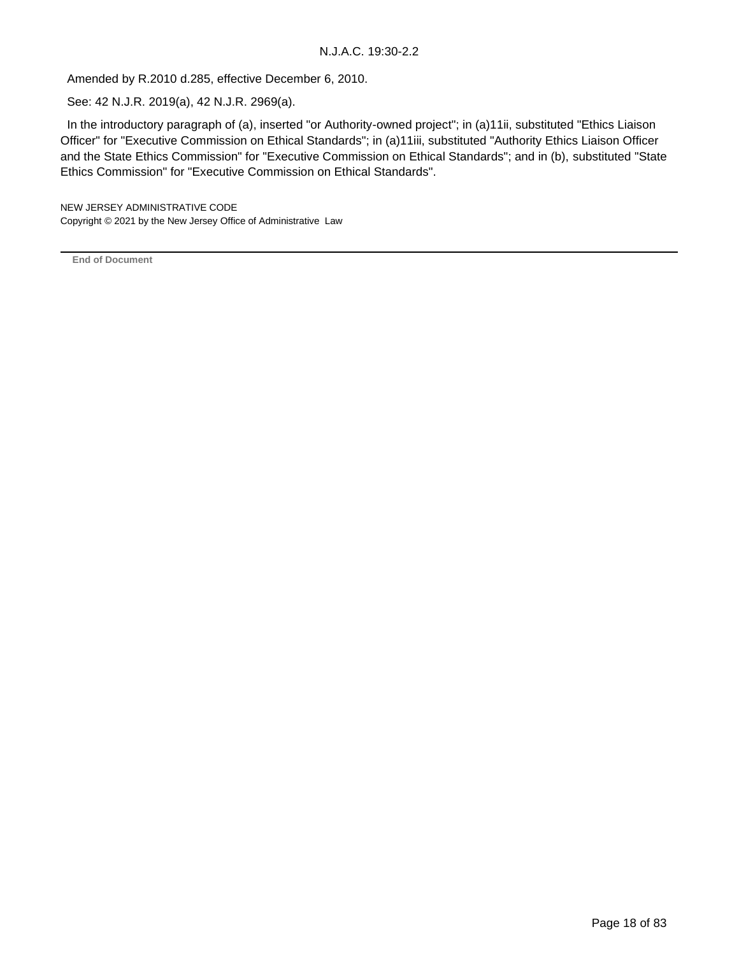Amended by R.2010 d.285, effective December 6, 2010.

See: 42 N.J.R. 2019(a), 42 N.J.R. 2969(a).

 In the introductory paragraph of (a), inserted "or Authority-owned project"; in (a)11ii, substituted "Ethics Liaison Officer" for "Executive Commission on Ethical Standards"; in (a)11iii, substituted "Authority Ethics Liaison Officer and the State Ethics Commission" for "Executive Commission on Ethical Standards"; and in (b), substituted "State Ethics Commission" for "Executive Commission on Ethical Standards".

NEW JERSEY ADMINISTRATIVE CODE Copyright © 2021 by the New Jersey Office of Administrative Law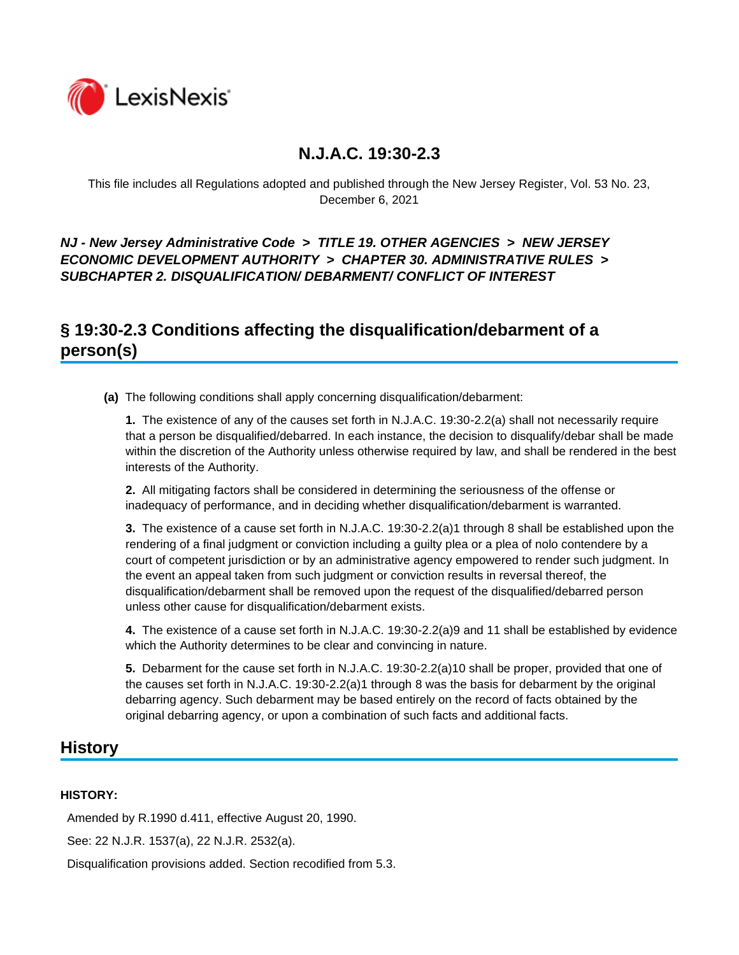

This file includes all Regulations adopted and published through the New Jersey Register, Vol. 53 No. 23, December 6, 2021

*NJ - New Jersey Administrative Code* **>** *TITLE 19. OTHER AGENCIES* **>** *NEW JERSEY ECONOMIC DEVELOPMENT AUTHORITY* **>** *CHAPTER 30. ADMINISTRATIVE RULES* **>**  *SUBCHAPTER 2. DISQUALIFICATION/ DEBARMENT/ CONFLICT OF INTEREST*

# **§ 19:30-2.3 Conditions affecting the disqualification/debarment of a person(s)**

**(a)** The following conditions shall apply concerning disqualification/debarment:

**1.** The existence of any of the causes set forth in N.J.A.C. 19:30-2.2(a) shall not necessarily require that a person be disqualified/debarred. In each instance, the decision to disqualify/debar shall be made within the discretion of the Authority unless otherwise required by law, and shall be rendered in the best interests of the Authority.

**2.** All mitigating factors shall be considered in determining the seriousness of the offense or inadequacy of performance, and in deciding whether disqualification/debarment is warranted.

**3.** The existence of a cause set forth in N.J.A.C. 19:30-2.2(a)1 through 8 shall be established upon the rendering of a final judgment or conviction including a guilty plea or a plea of nolo contendere by a court of competent jurisdiction or by an administrative agency empowered to render such judgment. In the event an appeal taken from such judgment or conviction results in reversal thereof, the disqualification/debarment shall be removed upon the request of the disqualified/debarred person unless other cause for disqualification/debarment exists.

**4.** The existence of a cause set forth in N.J.A.C. 19:30-2.2(a)9 and 11 shall be established by evidence which the Authority determines to be clear and convincing in nature.

**5.** Debarment for the cause set forth in N.J.A.C. 19:30-2.2(a)10 shall be proper, provided that one of the causes set forth in N.J.A.C. 19:30-2.2(a)1 through 8 was the basis for debarment by the original debarring agency. Such debarment may be based entirely on the record of facts obtained by the original debarring agency, or upon a combination of such facts and additional facts.

## **History**

### **HISTORY:**

Amended by R.1990 d.411, effective August 20, 1990.

See: 22 N.J.R. 1537(a), 22 N.J.R. 2532(a).

Disqualification provisions added. Section recodified from 5.3.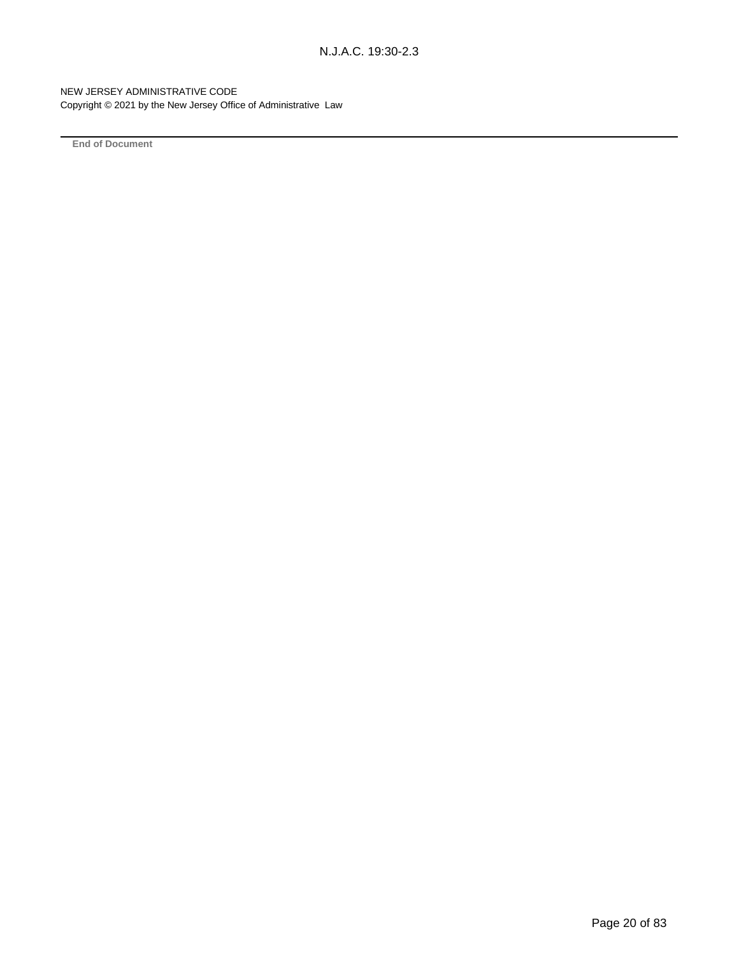NEW JERSEY ADMINISTRATIVE CODE Copyright © 2021 by the New Jersey Office of Administrative Law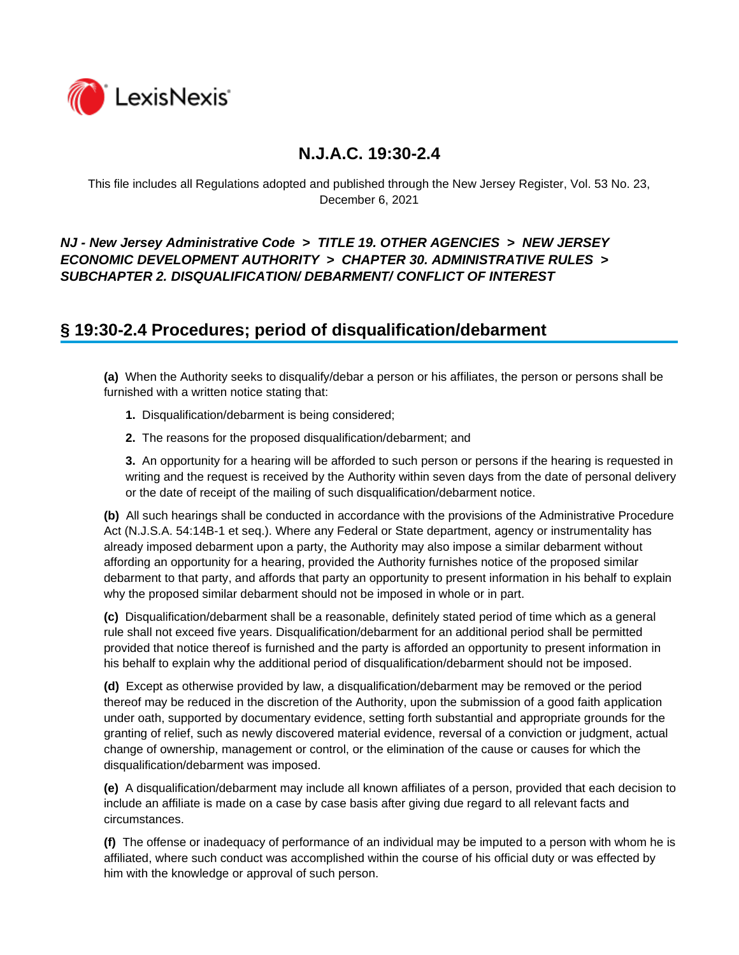

This file includes all Regulations adopted and published through the New Jersey Register, Vol. 53 No. 23, December 6, 2021

### *NJ - New Jersey Administrative Code* **>** *TITLE 19. OTHER AGENCIES* **>** *NEW JERSEY ECONOMIC DEVELOPMENT AUTHORITY* **>** *CHAPTER 30. ADMINISTRATIVE RULES* **>**  *SUBCHAPTER 2. DISQUALIFICATION/ DEBARMENT/ CONFLICT OF INTEREST*

## **§ 19:30-2.4 Procedures; period of disqualification/debarment**

**(a)** When the Authority seeks to disqualify/debar a person or his affiliates, the person or persons shall be furnished with a written notice stating that:

- **1.** Disqualification/debarment is being considered;
- **2.** The reasons for the proposed disqualification/debarment; and

**3.** An opportunity for a hearing will be afforded to such person or persons if the hearing is requested in writing and the request is received by the Authority within seven days from the date of personal delivery or the date of receipt of the mailing of such disqualification/debarment notice.

**(b)** All such hearings shall be conducted in accordance with the provisions of the Administrative Procedure Act (N.J.S.A. 54:14B-1 et seq.). Where any Federal or State department, agency or instrumentality has already imposed debarment upon a party, the Authority may also impose a similar debarment without affording an opportunity for a hearing, provided the Authority furnishes notice of the proposed similar debarment to that party, and affords that party an opportunity to present information in his behalf to explain why the proposed similar debarment should not be imposed in whole or in part.

**(c)** Disqualification/debarment shall be a reasonable, definitely stated period of time which as a general rule shall not exceed five years. Disqualification/debarment for an additional period shall be permitted provided that notice thereof is furnished and the party is afforded an opportunity to present information in his behalf to explain why the additional period of disqualification/debarment should not be imposed.

**(d)** Except as otherwise provided by law, a disqualification/debarment may be removed or the period thereof may be reduced in the discretion of the Authority, upon the submission of a good faith application under oath, supported by documentary evidence, setting forth substantial and appropriate grounds for the granting of relief, such as newly discovered material evidence, reversal of a conviction or judgment, actual change of ownership, management or control, or the elimination of the cause or causes for which the disqualification/debarment was imposed.

**(e)** A disqualification/debarment may include all known affiliates of a person, provided that each decision to include an affiliate is made on a case by case basis after giving due regard to all relevant facts and circumstances.

**(f)** The offense or inadequacy of performance of an individual may be imputed to a person with whom he is affiliated, where such conduct was accomplished within the course of his official duty or was effected by him with the knowledge or approval of such person.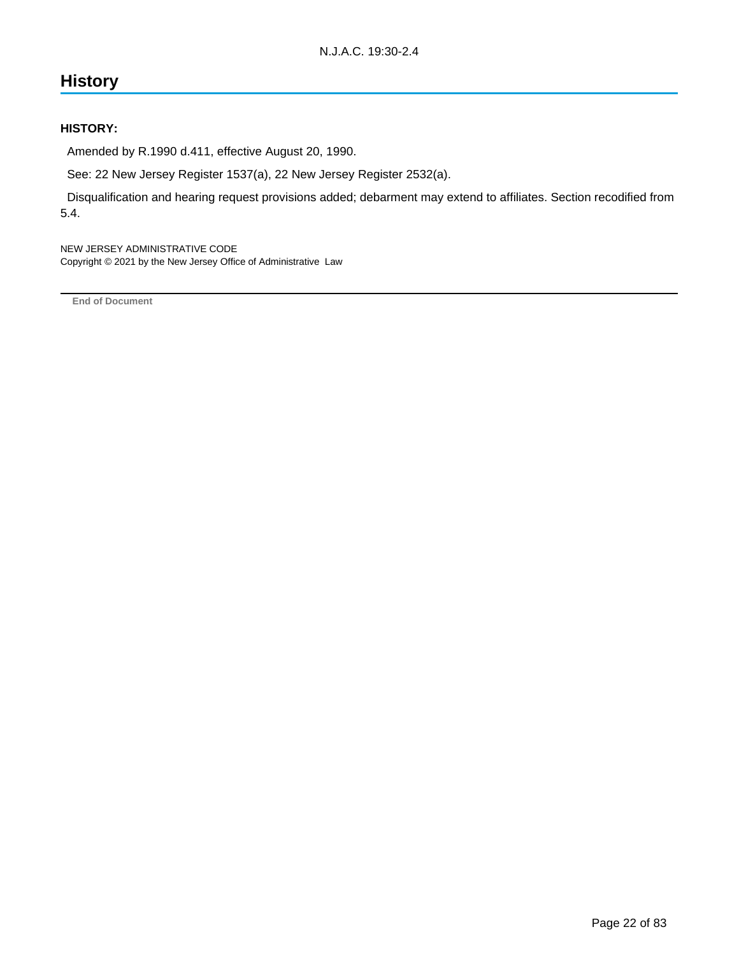# **History**

#### **HISTORY:**

Amended by R.1990 d.411, effective August 20, 1990.

See: 22 New Jersey Register 1537(a), 22 New Jersey Register 2532(a).

 Disqualification and hearing request provisions added; debarment may extend to affiliates. Section recodified from 5.4.

NEW JERSEY ADMINISTRATIVE CODE Copyright © 2021 by the New Jersey Office of Administrative Law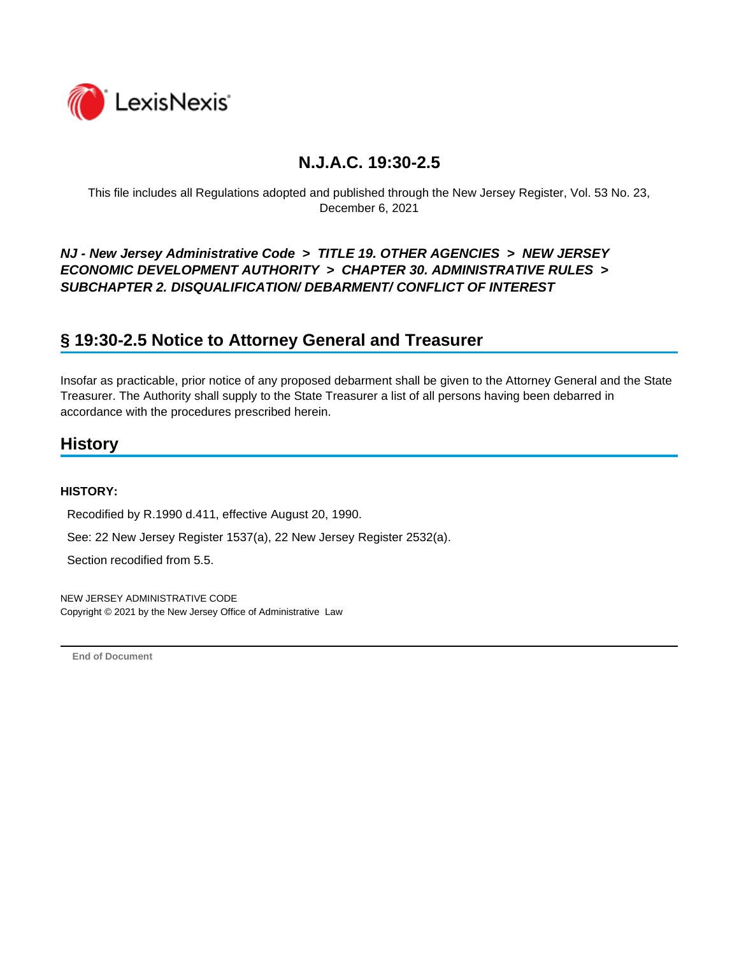

This file includes all Regulations adopted and published through the New Jersey Register, Vol. 53 No. 23, December 6, 2021

*NJ - New Jersey Administrative Code* **>** *TITLE 19. OTHER AGENCIES* **>** *NEW JERSEY ECONOMIC DEVELOPMENT AUTHORITY* **>** *CHAPTER 30. ADMINISTRATIVE RULES* **>**  *SUBCHAPTER 2. DISQUALIFICATION/ DEBARMENT/ CONFLICT OF INTEREST*

## **§ 19:30-2.5 Notice to Attorney General and Treasurer**

Insofar as practicable, prior notice of any proposed debarment shall be given to the Attorney General and the State Treasurer. The Authority shall supply to the State Treasurer a list of all persons having been debarred in accordance with the procedures prescribed herein.

## **History**

#### **HISTORY:**

Recodified by R.1990 d.411, effective August 20, 1990.

See: 22 New Jersey Register 1537(a), 22 New Jersey Register 2532(a).

Section recodified from 5.5.

NEW JERSEY ADMINISTRATIVE CODE Copyright © 2021 by the New Jersey Office of Administrative Law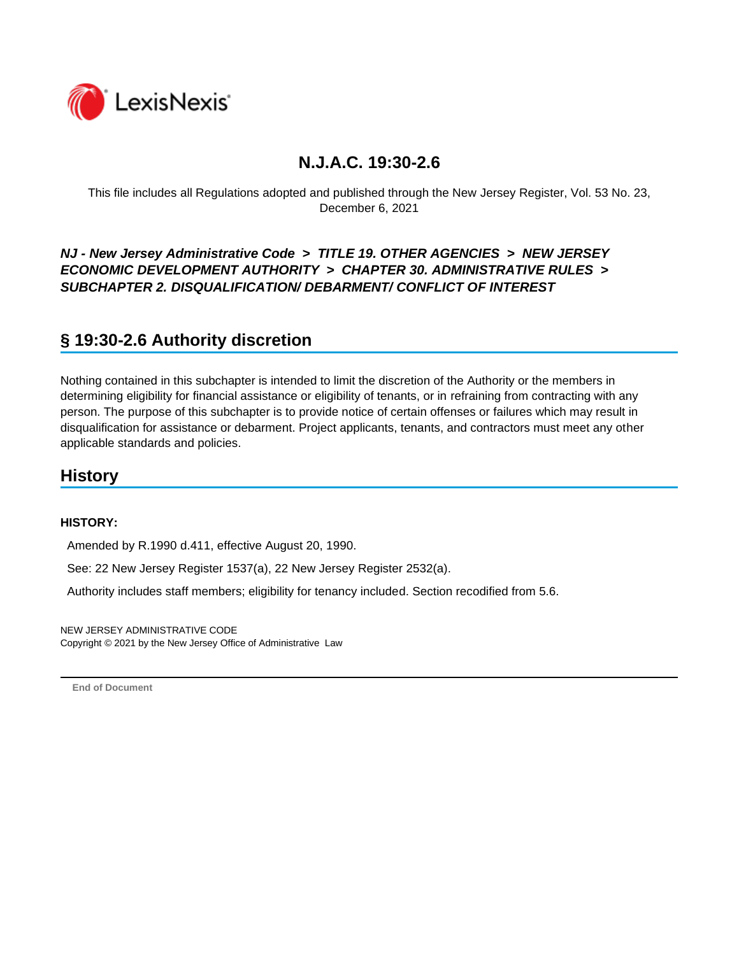

This file includes all Regulations adopted and published through the New Jersey Register, Vol. 53 No. 23, December 6, 2021

### *NJ - New Jersey Administrative Code* **>** *TITLE 19. OTHER AGENCIES* **>** *NEW JERSEY ECONOMIC DEVELOPMENT AUTHORITY* **>** *CHAPTER 30. ADMINISTRATIVE RULES* **>**  *SUBCHAPTER 2. DISQUALIFICATION/ DEBARMENT/ CONFLICT OF INTEREST*

# **§ 19:30-2.6 Authority discretion**

Nothing contained in this subchapter is intended to limit the discretion of the Authority or the members in determining eligibility for financial assistance or eligibility of tenants, or in refraining from contracting with any person. The purpose of this subchapter is to provide notice of certain offenses or failures which may result in disqualification for assistance or debarment. Project applicants, tenants, and contractors must meet any other applicable standards and policies.

## **History**

#### **HISTORY:**

Amended by R.1990 d.411, effective August 20, 1990.

See: 22 New Jersey Register 1537(a), 22 New Jersey Register 2532(a).

Authority includes staff members; eligibility for tenancy included. Section recodified from 5.6.

NEW JERSEY ADMINISTRATIVE CODE Copyright © 2021 by the New Jersey Office of Administrative Law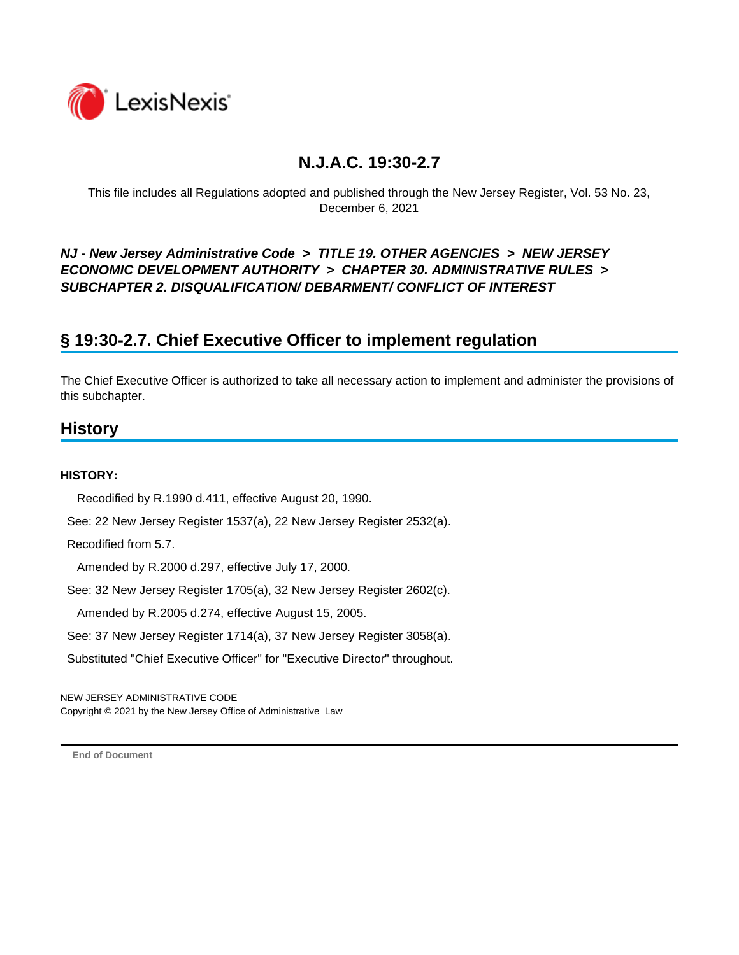

This file includes all Regulations adopted and published through the New Jersey Register, Vol. 53 No. 23, December 6, 2021

*NJ - New Jersey Administrative Code* **>** *TITLE 19. OTHER AGENCIES* **>** *NEW JERSEY ECONOMIC DEVELOPMENT AUTHORITY* **>** *CHAPTER 30. ADMINISTRATIVE RULES* **>**  *SUBCHAPTER 2. DISQUALIFICATION/ DEBARMENT/ CONFLICT OF INTEREST*

# **§ 19:30-2.7. Chief Executive Officer to implement regulation**

The Chief Executive Officer is authorized to take all necessary action to implement and administer the provisions of this subchapter.

## **History**

### **HISTORY:**

Recodified by R.1990 d.411, effective August 20, 1990.

See: 22 New Jersey Register 1537(a), 22 New Jersey Register 2532(a).

Recodified from 5.7.

Amended by R.2000 d.297, effective July 17, 2000.

See: 32 New Jersey Register 1705(a), 32 New Jersey Register 2602(c).

Amended by R.2005 d.274, effective August 15, 2005.

See: 37 New Jersey Register 1714(a), 37 New Jersey Register 3058(a).

Substituted "Chief Executive Officer" for "Executive Director" throughout.

NEW JERSEY ADMINISTRATIVE CODE Copyright © 2021 by the New Jersey Office of Administrative Law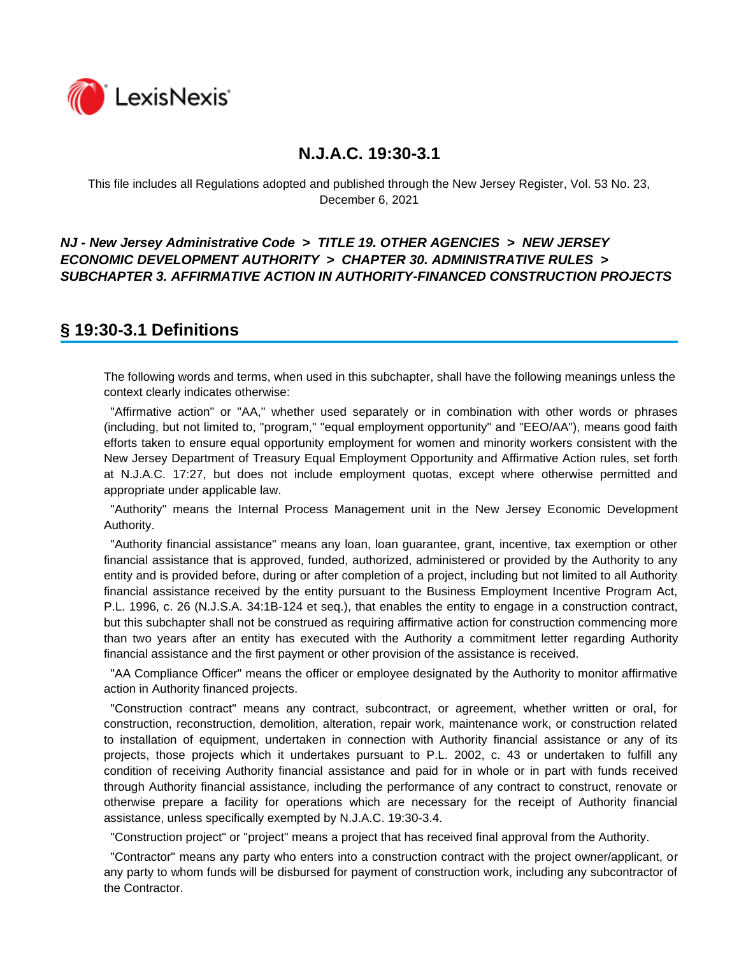

This file includes all Regulations adopted and published through the New Jersey Register, Vol. 53 No. 23, December 6, 2021

### *NJ - New Jersey Administrative Code* **>** *TITLE 19. OTHER AGENCIES* **>** *NEW JERSEY ECONOMIC DEVELOPMENT AUTHORITY* **>** *CHAPTER 30. ADMINISTRATIVE RULES* **>**  *SUBCHAPTER 3. AFFIRMATIVE ACTION IN AUTHORITY-FINANCED CONSTRUCTION PROJECTS*

## **§ 19:30-3.1 Definitions**

The following words and terms, when used in this subchapter, shall have the following meanings unless the context clearly indicates otherwise:

 "Affirmative action" or "AA," whether used separately or in combination with other words or phrases (including, but not limited to, "program," "equal employment opportunity" and "EEO/AA"), means good faith efforts taken to ensure equal opportunity employment for women and minority workers consistent with the New Jersey Department of Treasury Equal Employment Opportunity and Affirmative Action rules, set forth at N.J.A.C. 17:27, but does not include employment quotas, except where otherwise permitted and appropriate under applicable law.

 "Authority" means the Internal Process Management unit in the New Jersey Economic Development Authority.

 "Authority financial assistance" means any loan, loan guarantee, grant, incentive, tax exemption or other financial assistance that is approved, funded, authorized, administered or provided by the Authority to any entity and is provided before, during or after completion of a project, including but not limited to all Authority financial assistance received by the entity pursuant to the Business Employment Incentive Program Act, P.L. 1996, c. 26 (N.J.S.A. 34:1B-124 et seq.), that enables the entity to engage in a construction contract, but this subchapter shall not be construed as requiring affirmative action for construction commencing more than two years after an entity has executed with the Authority a commitment letter regarding Authority financial assistance and the first payment or other provision of the assistance is received.

 "AA Compliance Officer" means the officer or employee designated by the Authority to monitor affirmative action in Authority financed projects.

 "Construction contract" means any contract, subcontract, or agreement, whether written or oral, for construction, reconstruction, demolition, alteration, repair work, maintenance work, or construction related to installation of equipment, undertaken in connection with Authority financial assistance or any of its projects, those projects which it undertakes pursuant to P.L. 2002, c. 43 or undertaken to fulfill any condition of receiving Authority financial assistance and paid for in whole or in part with funds received through Authority financial assistance, including the performance of any contract to construct, renovate or otherwise prepare a facility for operations which are necessary for the receipt of Authority financial assistance, unless specifically exempted by N.J.A.C. 19:30-3.4.

"Construction project" or "project" means a project that has received final approval from the Authority.

 "Contractor" means any party who enters into a construction contract with the project owner/applicant, or any party to whom funds will be disbursed for payment of construction work, including any subcontractor of the Contractor.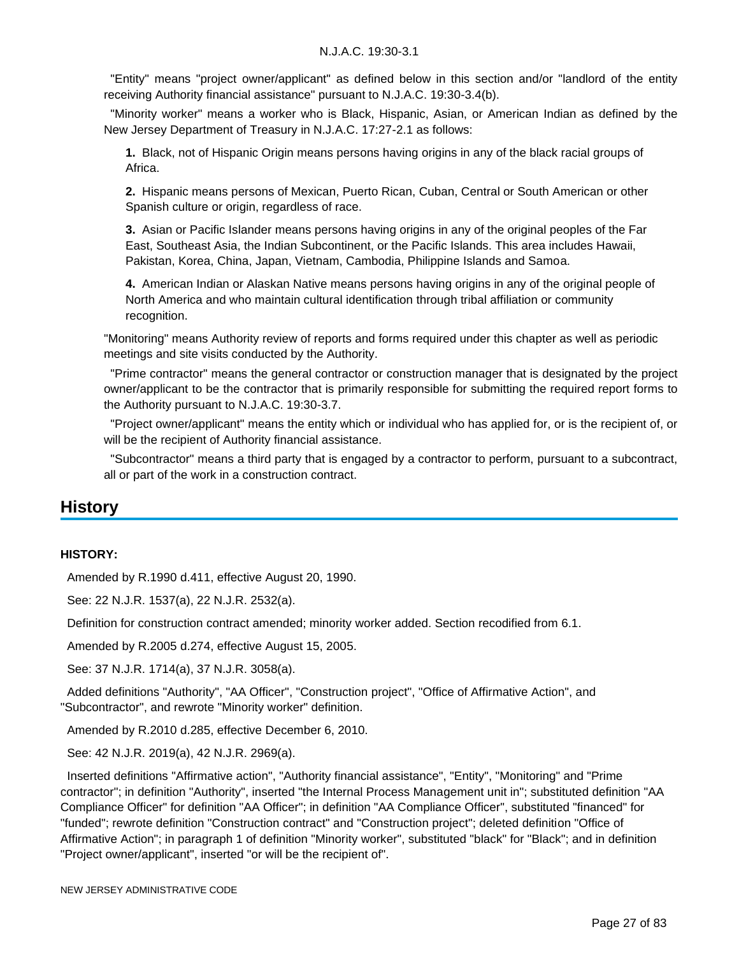"Entity" means "project owner/applicant" as defined below in this section and/or "landlord of the entity receiving Authority financial assistance" pursuant to N.J.A.C. 19:30-3.4(b).

 "Minority worker" means a worker who is Black, Hispanic, Asian, or American Indian as defined by the New Jersey Department of Treasury in N.J.A.C. 17:27-2.1 as follows:

**1.** Black, not of Hispanic Origin means persons having origins in any of the black racial groups of Africa.

**2.** Hispanic means persons of Mexican, Puerto Rican, Cuban, Central or South American or other Spanish culture or origin, regardless of race.

**3.** Asian or Pacific Islander means persons having origins in any of the original peoples of the Far East, Southeast Asia, the Indian Subcontinent, or the Pacific Islands. This area includes Hawaii, Pakistan, Korea, China, Japan, Vietnam, Cambodia, Philippine Islands and Samoa.

**4.** American Indian or Alaskan Native means persons having origins in any of the original people of North America and who maintain cultural identification through tribal affiliation or community recognition.

"Monitoring" means Authority review of reports and forms required under this chapter as well as periodic meetings and site visits conducted by the Authority.

 "Prime contractor" means the general contractor or construction manager that is designated by the project owner/applicant to be the contractor that is primarily responsible for submitting the required report forms to the Authority pursuant to N.J.A.C. 19:30-3.7.

 "Project owner/applicant" means the entity which or individual who has applied for, or is the recipient of, or will be the recipient of Authority financial assistance.

 "Subcontractor" means a third party that is engaged by a contractor to perform, pursuant to a subcontract, all or part of the work in a construction contract.

## **History**

#### **HISTORY:**

Amended by R.1990 d.411, effective August 20, 1990.

See: 22 N.J.R. 1537(a), 22 N.J.R. 2532(a).

Definition for construction contract amended; minority worker added. Section recodified from 6.1.

Amended by R.2005 d.274, effective August 15, 2005.

See: 37 N.J.R. 1714(a), 37 N.J.R. 3058(a).

 Added definitions "Authority", "AA Officer", "Construction project", "Office of Affirmative Action", and "Subcontractor", and rewrote "Minority worker" definition.

Amended by R.2010 d.285, effective December 6, 2010.

See: 42 N.J.R. 2019(a), 42 N.J.R. 2969(a).

 Inserted definitions "Affirmative action", "Authority financial assistance", "Entity", "Monitoring" and "Prime contractor"; in definition "Authority", inserted "the Internal Process Management unit in"; substituted definition "AA Compliance Officer" for definition "AA Officer"; in definition "AA Compliance Officer", substituted "financed" for "funded"; rewrote definition "Construction contract" and "Construction project"; deleted definition "Office of Affirmative Action"; in paragraph 1 of definition "Minority worker", substituted "black" for "Black"; and in definition "Project owner/applicant", inserted "or will be the recipient of".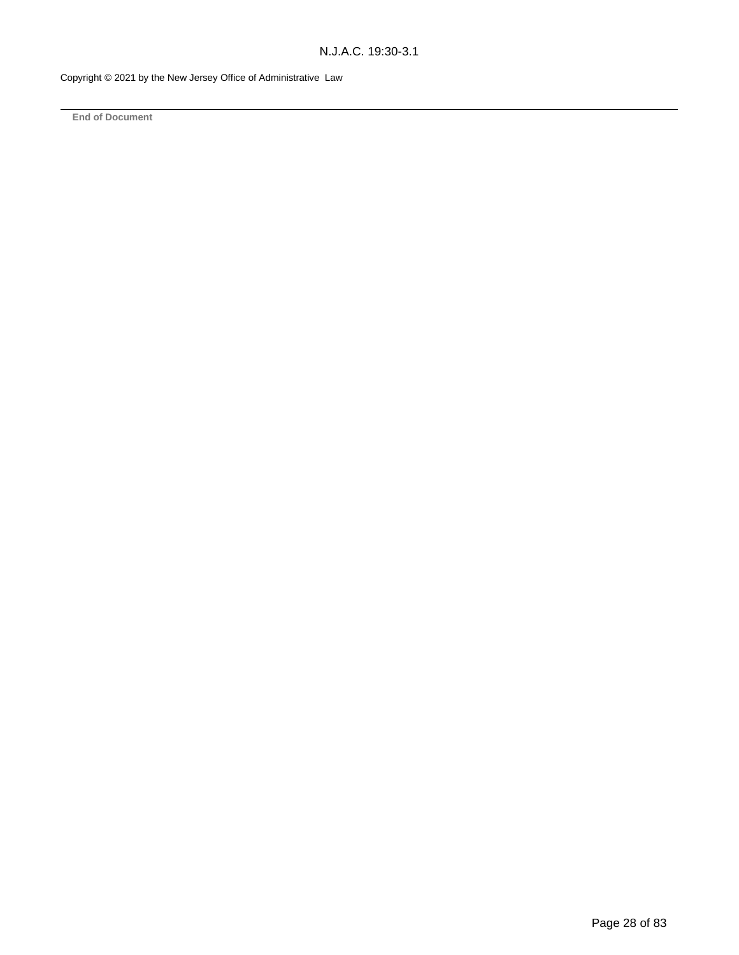Copyright © 2021 by the New Jersey Office of Administrative Law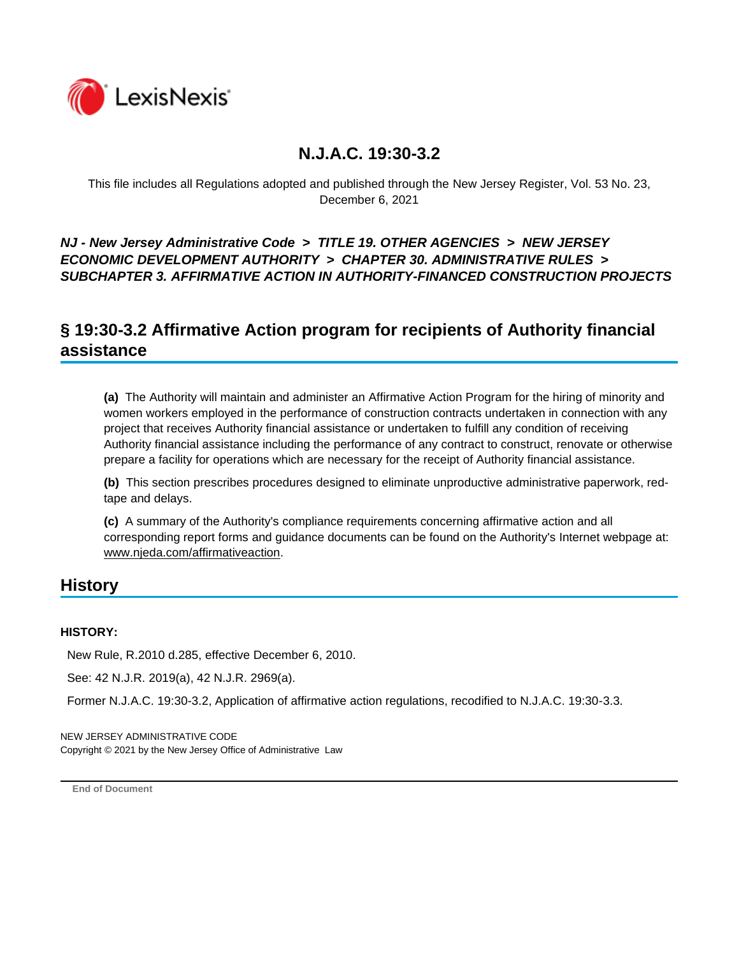

This file includes all Regulations adopted and published through the New Jersey Register, Vol. 53 No. 23, December 6, 2021

### *NJ - New Jersey Administrative Code* **>** *TITLE 19. OTHER AGENCIES* **>** *NEW JERSEY ECONOMIC DEVELOPMENT AUTHORITY* **>** *CHAPTER 30. ADMINISTRATIVE RULES* **>**  *SUBCHAPTER 3. AFFIRMATIVE ACTION IN AUTHORITY-FINANCED CONSTRUCTION PROJECTS*

## **§ 19:30-3.2 Affirmative Action program for recipients of Authority financial assistance**

**(a)** The Authority will maintain and administer an Affirmative Action Program for the hiring of minority and women workers employed in the performance of construction contracts undertaken in connection with any project that receives Authority financial assistance or undertaken to fulfill any condition of receiving Authority financial assistance including the performance of any contract to construct, renovate or otherwise prepare a facility for operations which are necessary for the receipt of Authority financial assistance.

**(b)** This section prescribes procedures designed to eliminate unproductive administrative paperwork, redtape and delays.

**(c)** A summary of the Authority's compliance requirements concerning affirmative action and all corresponding report forms and guidance documents can be found on the Authority's Internet webpage at: www.njeda.com/affirmativeaction.

## **History**

### **HISTORY:**

New Rule, R.2010 d.285, effective December 6, 2010.

See: 42 N.J.R. 2019(a), 42 N.J.R. 2969(a).

Former N.J.A.C. 19:30-3.2, Application of affirmative action regulations, recodified to N.J.A.C. 19:30-3.3.

NEW JERSEY ADMINISTRATIVE CODE Copyright © 2021 by the New Jersey Office of Administrative Law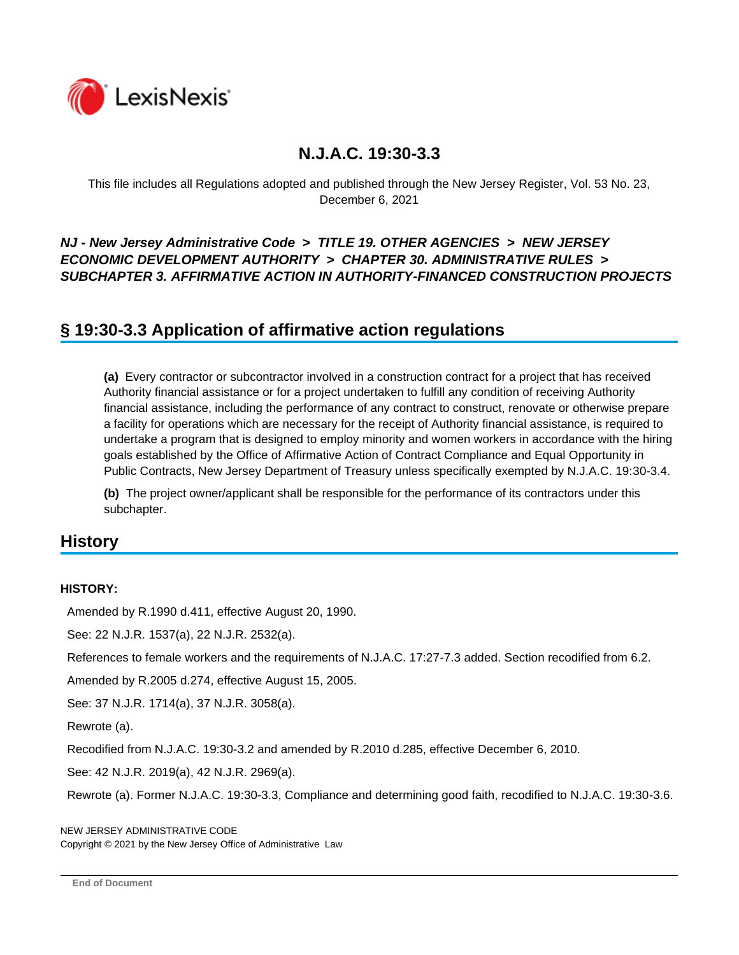

This file includes all Regulations adopted and published through the New Jersey Register, Vol. 53 No. 23, December 6, 2021

### *NJ - New Jersey Administrative Code* **>** *TITLE 19. OTHER AGENCIES* **>** *NEW JERSEY ECONOMIC DEVELOPMENT AUTHORITY* **>** *CHAPTER 30. ADMINISTRATIVE RULES* **>**  *SUBCHAPTER 3. AFFIRMATIVE ACTION IN AUTHORITY-FINANCED CONSTRUCTION PROJECTS*

## **§ 19:30-3.3 Application of affirmative action regulations**

**(a)** Every contractor or subcontractor involved in a construction contract for a project that has received Authority financial assistance or for a project undertaken to fulfill any condition of receiving Authority financial assistance, including the performance of any contract to construct, renovate or otherwise prepare a facility for operations which are necessary for the receipt of Authority financial assistance, is required to undertake a program that is designed to employ minority and women workers in accordance with the hiring goals established by the Office of Affirmative Action of Contract Compliance and Equal Opportunity in Public Contracts, New Jersey Department of Treasury unless specifically exempted by N.J.A.C. 19:30-3.4.

**(b)** The project owner/applicant shall be responsible for the performance of its contractors under this subchapter.

## **History**

#### **HISTORY:**

Amended by R.1990 d.411, effective August 20, 1990.

See: 22 N.J.R. 1537(a), 22 N.J.R. 2532(a).

References to female workers and the requirements of N.J.A.C. 17:27-7.3 added. Section recodified from 6.2.

Amended by R.2005 d.274, effective August 15, 2005.

See: 37 N.J.R. 1714(a), 37 N.J.R. 3058(a).

Rewrote (a).

Recodified from N.J.A.C. 19:30-3.2 and amended by R.2010 d.285, effective December 6, 2010.

See: 42 N.J.R. 2019(a), 42 N.J.R. 2969(a).

Rewrote (a). Former N.J.A.C. 19:30-3.3, Compliance and determining good faith, recodified to N.J.A.C. 19:30-3.6.

NEW JERSEY ADMINISTRATIVE CODE Copyright © 2021 by the New Jersey Office of Administrative Law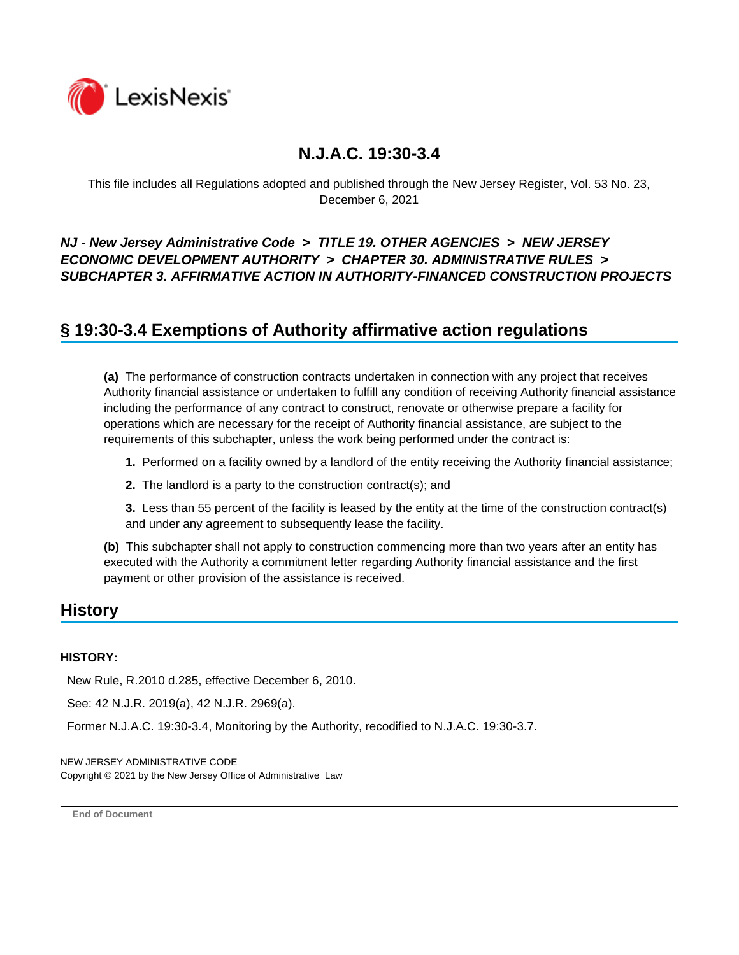

This file includes all Regulations adopted and published through the New Jersey Register, Vol. 53 No. 23, December 6, 2021

### *NJ - New Jersey Administrative Code* **>** *TITLE 19. OTHER AGENCIES* **>** *NEW JERSEY ECONOMIC DEVELOPMENT AUTHORITY* **>** *CHAPTER 30. ADMINISTRATIVE RULES* **>**  *SUBCHAPTER 3. AFFIRMATIVE ACTION IN AUTHORITY-FINANCED CONSTRUCTION PROJECTS*

## **§ 19:30-3.4 Exemptions of Authority affirmative action regulations**

**(a)** The performance of construction contracts undertaken in connection with any project that receives Authority financial assistance or undertaken to fulfill any condition of receiving Authority financial assistance including the performance of any contract to construct, renovate or otherwise prepare a facility for operations which are necessary for the receipt of Authority financial assistance, are subject to the requirements of this subchapter, unless the work being performed under the contract is:

**1.** Performed on a facility owned by a landlord of the entity receiving the Authority financial assistance;

**2.** The landlord is a party to the construction contract(s); and

**3.** Less than 55 percent of the facility is leased by the entity at the time of the construction contract(s) and under any agreement to subsequently lease the facility.

**(b)** This subchapter shall not apply to construction commencing more than two years after an entity has executed with the Authority a commitment letter regarding Authority financial assistance and the first payment or other provision of the assistance is received.

## **History**

#### **HISTORY:**

New Rule, R.2010 d.285, effective December 6, 2010.

See: 42 N.J.R. 2019(a), 42 N.J.R. 2969(a).

Former N.J.A.C. 19:30-3.4, Monitoring by the Authority, recodified to N.J.A.C. 19:30-3.7.

NEW JERSEY ADMINISTRATIVE CODE Copyright © 2021 by the New Jersey Office of Administrative Law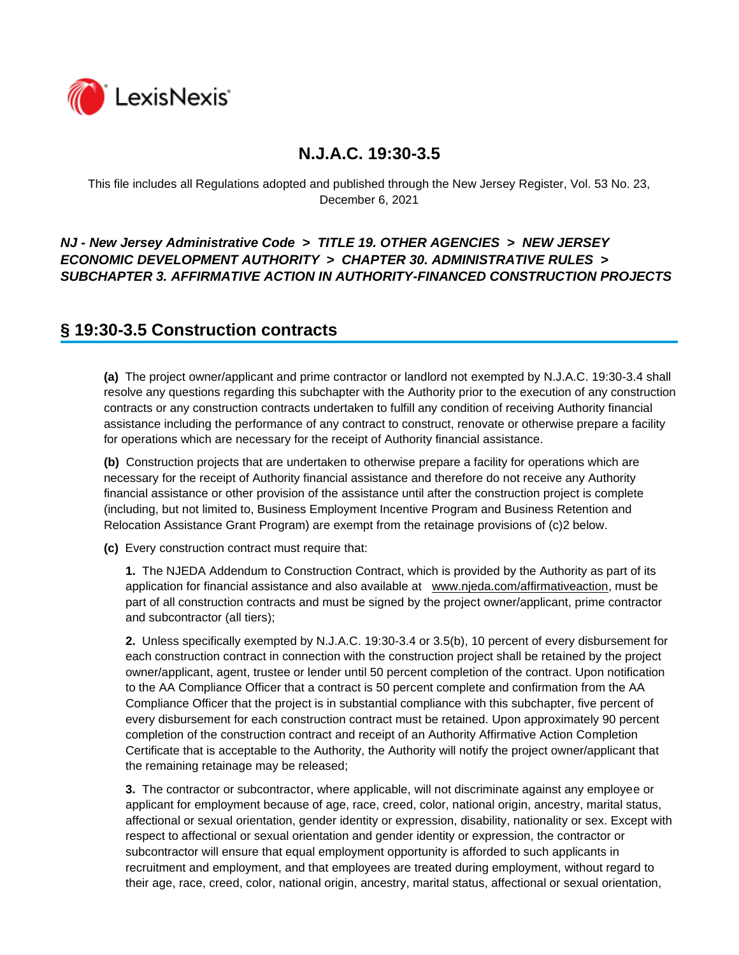

This file includes all Regulations adopted and published through the New Jersey Register, Vol. 53 No. 23, December 6, 2021

### *NJ - New Jersey Administrative Code* **>** *TITLE 19. OTHER AGENCIES* **>** *NEW JERSEY ECONOMIC DEVELOPMENT AUTHORITY* **>** *CHAPTER 30. ADMINISTRATIVE RULES* **>**  *SUBCHAPTER 3. AFFIRMATIVE ACTION IN AUTHORITY-FINANCED CONSTRUCTION PROJECTS*

## **§ 19:30-3.5 Construction contracts**

**(a)** The project owner/applicant and prime contractor or landlord not exempted by N.J.A.C. 19:30-3.4 shall resolve any questions regarding this subchapter with the Authority prior to the execution of any construction contracts or any construction contracts undertaken to fulfill any condition of receiving Authority financial assistance including the performance of any contract to construct, renovate or otherwise prepare a facility for operations which are necessary for the receipt of Authority financial assistance.

**(b)** Construction projects that are undertaken to otherwise prepare a facility for operations which are necessary for the receipt of Authority financial assistance and therefore do not receive any Authority financial assistance or other provision of the assistance until after the construction project is complete (including, but not limited to, Business Employment Incentive Program and Business Retention and Relocation Assistance Grant Program) are exempt from the retainage provisions of (c)2 below.

**(c)** Every construction contract must require that:

**1.** The NJEDA Addendum to Construction Contract, which is provided by the Authority as part of its application for financial assistance and also available at www.njeda.com/affirmativeaction, must be part of all construction contracts and must be signed by the project owner/applicant, prime contractor and subcontractor (all tiers);

**2.** Unless specifically exempted by N.J.A.C. 19:30-3.4 or 3.5(b), 10 percent of every disbursement for each construction contract in connection with the construction project shall be retained by the project owner/applicant, agent, trustee or lender until 50 percent completion of the contract. Upon notification to the AA Compliance Officer that a contract is 50 percent complete and confirmation from the AA Compliance Officer that the project is in substantial compliance with this subchapter, five percent of every disbursement for each construction contract must be retained. Upon approximately 90 percent completion of the construction contract and receipt of an Authority Affirmative Action Completion Certificate that is acceptable to the Authority, the Authority will notify the project owner/applicant that the remaining retainage may be released;

**3.** The contractor or subcontractor, where applicable, will not discriminate against any employee or applicant for employment because of age, race, creed, color, national origin, ancestry, marital status, affectional or sexual orientation, gender identity or expression, disability, nationality or sex. Except with respect to affectional or sexual orientation and gender identity or expression, the contractor or subcontractor will ensure that equal employment opportunity is afforded to such applicants in recruitment and employment, and that employees are treated during employment, without regard to their age, race, creed, color, national origin, ancestry, marital status, affectional or sexual orientation,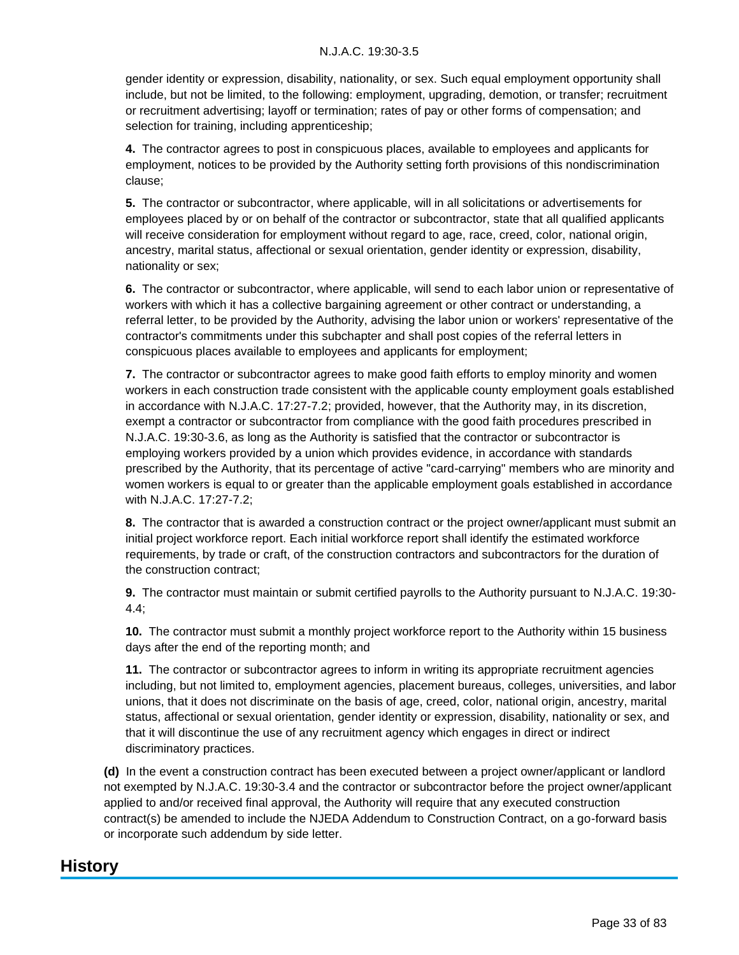gender identity or expression, disability, nationality, or sex. Such equal employment opportunity shall include, but not be limited, to the following: employment, upgrading, demotion, or transfer; recruitment or recruitment advertising; layoff or termination; rates of pay or other forms of compensation; and selection for training, including apprenticeship;

**4.** The contractor agrees to post in conspicuous places, available to employees and applicants for employment, notices to be provided by the Authority setting forth provisions of this nondiscrimination clause;

**5.** The contractor or subcontractor, where applicable, will in all solicitations or advertisements for employees placed by or on behalf of the contractor or subcontractor, state that all qualified applicants will receive consideration for employment without regard to age, race, creed, color, national origin, ancestry, marital status, affectional or sexual orientation, gender identity or expression, disability, nationality or sex;

**6.** The contractor or subcontractor, where applicable, will send to each labor union or representative of workers with which it has a collective bargaining agreement or other contract or understanding, a referral letter, to be provided by the Authority, advising the labor union or workers' representative of the contractor's commitments under this subchapter and shall post copies of the referral letters in conspicuous places available to employees and applicants for employment;

**7.** The contractor or subcontractor agrees to make good faith efforts to employ minority and women workers in each construction trade consistent with the applicable county employment goals established in accordance with N.J.A.C. 17:27-7.2; provided, however, that the Authority may, in its discretion, exempt a contractor or subcontractor from compliance with the good faith procedures prescribed in N.J.A.C. 19:30-3.6, as long as the Authority is satisfied that the contractor or subcontractor is employing workers provided by a union which provides evidence, in accordance with standards prescribed by the Authority, that its percentage of active "card-carrying" members who are minority and women workers is equal to or greater than the applicable employment goals established in accordance with N.J.A.C. 17:27-7.2;

**8.** The contractor that is awarded a construction contract or the project owner/applicant must submit an initial project workforce report. Each initial workforce report shall identify the estimated workforce requirements, by trade or craft, of the construction contractors and subcontractors for the duration of the construction contract;

**9.** The contractor must maintain or submit certified payrolls to the Authority pursuant to N.J.A.C. 19:30- 4.4;

**10.** The contractor must submit a monthly project workforce report to the Authority within 15 business days after the end of the reporting month; and

**11.** The contractor or subcontractor agrees to inform in writing its appropriate recruitment agencies including, but not limited to, employment agencies, placement bureaus, colleges, universities, and labor unions, that it does not discriminate on the basis of age, creed, color, national origin, ancestry, marital status, affectional or sexual orientation, gender identity or expression, disability, nationality or sex, and that it will discontinue the use of any recruitment agency which engages in direct or indirect discriminatory practices.

**(d)** In the event a construction contract has been executed between a project owner/applicant or landlord not exempted by N.J.A.C. 19:30-3.4 and the contractor or subcontractor before the project owner/applicant applied to and/or received final approval, the Authority will require that any executed construction contract(s) be amended to include the NJEDA Addendum to Construction Contract, on a go-forward basis or incorporate such addendum by side letter.

## **History**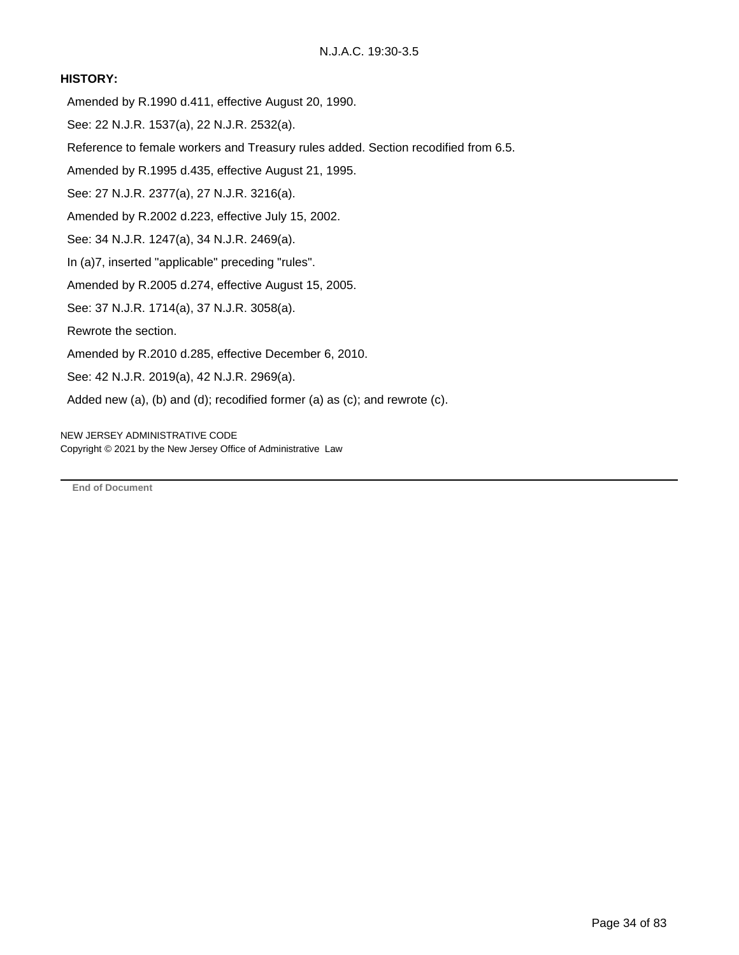#### **HISTORY:**

- Amended by R.1990 d.411, effective August 20, 1990.
- See: 22 N.J.R. 1537(a), 22 N.J.R. 2532(a).
- Reference to female workers and Treasury rules added. Section recodified from 6.5.
- Amended by R.1995 d.435, effective August 21, 1995.
- See: 27 N.J.R. 2377(a), 27 N.J.R. 3216(a).
- Amended by R.2002 d.223, effective July 15, 2002.
- See: 34 N.J.R. 1247(a), 34 N.J.R. 2469(a).
- In (a)7, inserted "applicable" preceding "rules".
- Amended by R.2005 d.274, effective August 15, 2005.
- See: 37 N.J.R. 1714(a), 37 N.J.R. 3058(a).
- Rewrote the section.
- Amended by R.2010 d.285, effective December 6, 2010.
- See: 42 N.J.R. 2019(a), 42 N.J.R. 2969(a).
- Added new (a), (b) and (d); recodified former (a) as (c); and rewrote (c).

NEW JERSEY ADMINISTRATIVE CODE Copyright © 2021 by the New Jersey Office of Administrative Law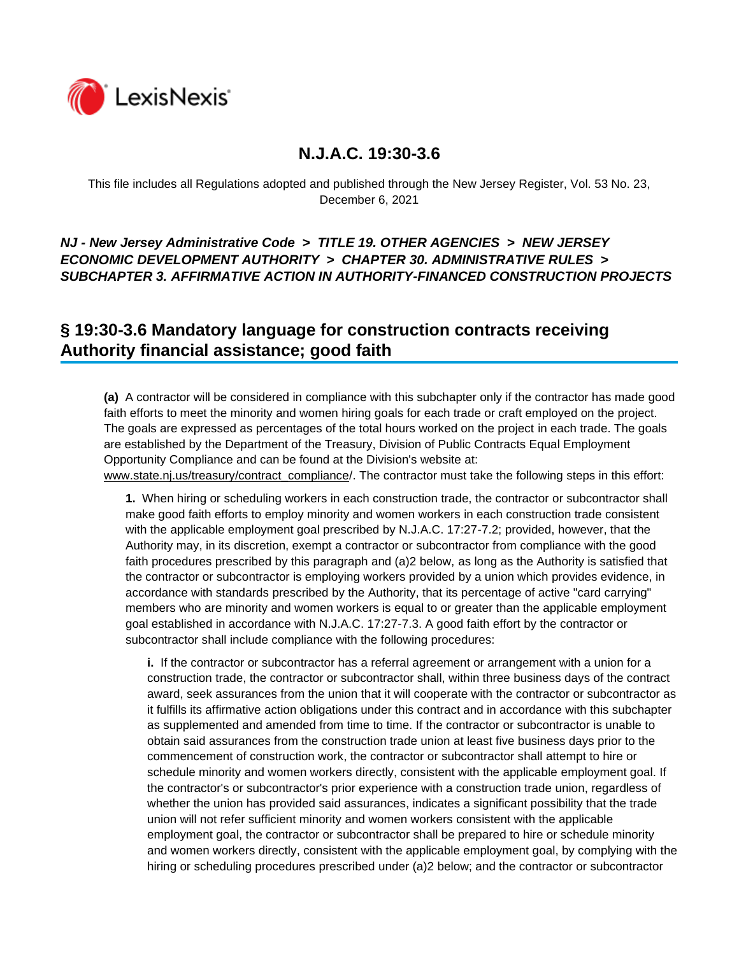

This file includes all Regulations adopted and published through the New Jersey Register, Vol. 53 No. 23, December 6, 2021

### *NJ - New Jersey Administrative Code* **>** *TITLE 19. OTHER AGENCIES* **>** *NEW JERSEY ECONOMIC DEVELOPMENT AUTHORITY* **>** *CHAPTER 30. ADMINISTRATIVE RULES* **>**  *SUBCHAPTER 3. AFFIRMATIVE ACTION IN AUTHORITY-FINANCED CONSTRUCTION PROJECTS*

## **§ 19:30-3.6 Mandatory language for construction contracts receiving Authority financial assistance; good faith**

**(a)** A contractor will be considered in compliance with this subchapter only if the contractor has made good faith efforts to meet the minority and women hiring goals for each trade or craft employed on the project. The goals are expressed as percentages of the total hours worked on the project in each trade. The goals are established by the Department of the Treasury, Division of Public Contracts Equal Employment Opportunity Compliance and can be found at the Division's website at:

www.state.nj.us/treasury/contract\_compliance/. The contractor must take the following steps in this effort:

**1.** When hiring or scheduling workers in each construction trade, the contractor or subcontractor shall make good faith efforts to employ minority and women workers in each construction trade consistent with the applicable employment goal prescribed by N.J.A.C. 17:27-7.2; provided, however, that the Authority may, in its discretion, exempt a contractor or subcontractor from compliance with the good faith procedures prescribed by this paragraph and (a)2 below, as long as the Authority is satisfied that the contractor or subcontractor is employing workers provided by a union which provides evidence, in accordance with standards prescribed by the Authority, that its percentage of active "card carrying" members who are minority and women workers is equal to or greater than the applicable employment goal established in accordance with N.J.A.C. 17:27-7.3. A good faith effort by the contractor or subcontractor shall include compliance with the following procedures:

**i.** If the contractor or subcontractor has a referral agreement or arrangement with a union for a construction trade, the contractor or subcontractor shall, within three business days of the contract award, seek assurances from the union that it will cooperate with the contractor or subcontractor as it fulfills its affirmative action obligations under this contract and in accordance with this subchapter as supplemented and amended from time to time. If the contractor or subcontractor is unable to obtain said assurances from the construction trade union at least five business days prior to the commencement of construction work, the contractor or subcontractor shall attempt to hire or schedule minority and women workers directly, consistent with the applicable employment goal. If the contractor's or subcontractor's prior experience with a construction trade union, regardless of whether the union has provided said assurances, indicates a significant possibility that the trade union will not refer sufficient minority and women workers consistent with the applicable employment goal, the contractor or subcontractor shall be prepared to hire or schedule minority and women workers directly, consistent with the applicable employment goal, by complying with the hiring or scheduling procedures prescribed under (a)2 below; and the contractor or subcontractor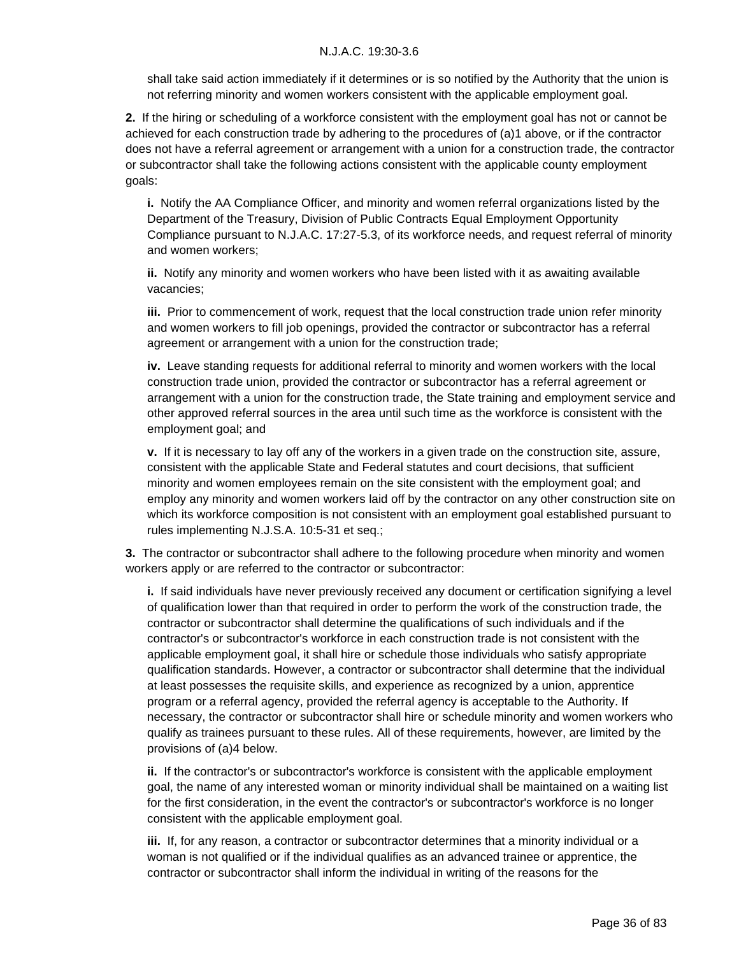shall take said action immediately if it determines or is so notified by the Authority that the union is not referring minority and women workers consistent with the applicable employment goal.

**2.** If the hiring or scheduling of a workforce consistent with the employment goal has not or cannot be achieved for each construction trade by adhering to the procedures of (a)1 above, or if the contractor does not have a referral agreement or arrangement with a union for a construction trade, the contractor or subcontractor shall take the following actions consistent with the applicable county employment goals:

**i.** Notify the AA Compliance Officer, and minority and women referral organizations listed by the Department of the Treasury, Division of Public Contracts Equal Employment Opportunity Compliance pursuant to N.J.A.C. 17:27-5.3, of its workforce needs, and request referral of minority and women workers;

**ii.** Notify any minority and women workers who have been listed with it as awaiting available vacancies;

**iii.** Prior to commencement of work, request that the local construction trade union refer minority and women workers to fill job openings, provided the contractor or subcontractor has a referral agreement or arrangement with a union for the construction trade;

**iv.** Leave standing requests for additional referral to minority and women workers with the local construction trade union, provided the contractor or subcontractor has a referral agreement or arrangement with a union for the construction trade, the State training and employment service and other approved referral sources in the area until such time as the workforce is consistent with the employment goal; and

**v.** If it is necessary to lay off any of the workers in a given trade on the construction site, assure, consistent with the applicable State and Federal statutes and court decisions, that sufficient minority and women employees remain on the site consistent with the employment goal; and employ any minority and women workers laid off by the contractor on any other construction site on which its workforce composition is not consistent with an employment goal established pursuant to rules implementing N.J.S.A. 10:5-31 et seq.;

**3.** The contractor or subcontractor shall adhere to the following procedure when minority and women workers apply or are referred to the contractor or subcontractor:

**i.** If said individuals have never previously received any document or certification signifying a level of qualification lower than that required in order to perform the work of the construction trade, the contractor or subcontractor shall determine the qualifications of such individuals and if the contractor's or subcontractor's workforce in each construction trade is not consistent with the applicable employment goal, it shall hire or schedule those individuals who satisfy appropriate qualification standards. However, a contractor or subcontractor shall determine that the individual at least possesses the requisite skills, and experience as recognized by a union, apprentice program or a referral agency, provided the referral agency is acceptable to the Authority. If necessary, the contractor or subcontractor shall hire or schedule minority and women workers who qualify as trainees pursuant to these rules. All of these requirements, however, are limited by the provisions of (a)4 below.

**ii.** If the contractor's or subcontractor's workforce is consistent with the applicable employment goal, the name of any interested woman or minority individual shall be maintained on a waiting list for the first consideration, in the event the contractor's or subcontractor's workforce is no longer consistent with the applicable employment goal.

**iii.** If, for any reason, a contractor or subcontractor determines that a minority individual or a woman is not qualified or if the individual qualifies as an advanced trainee or apprentice, the contractor or subcontractor shall inform the individual in writing of the reasons for the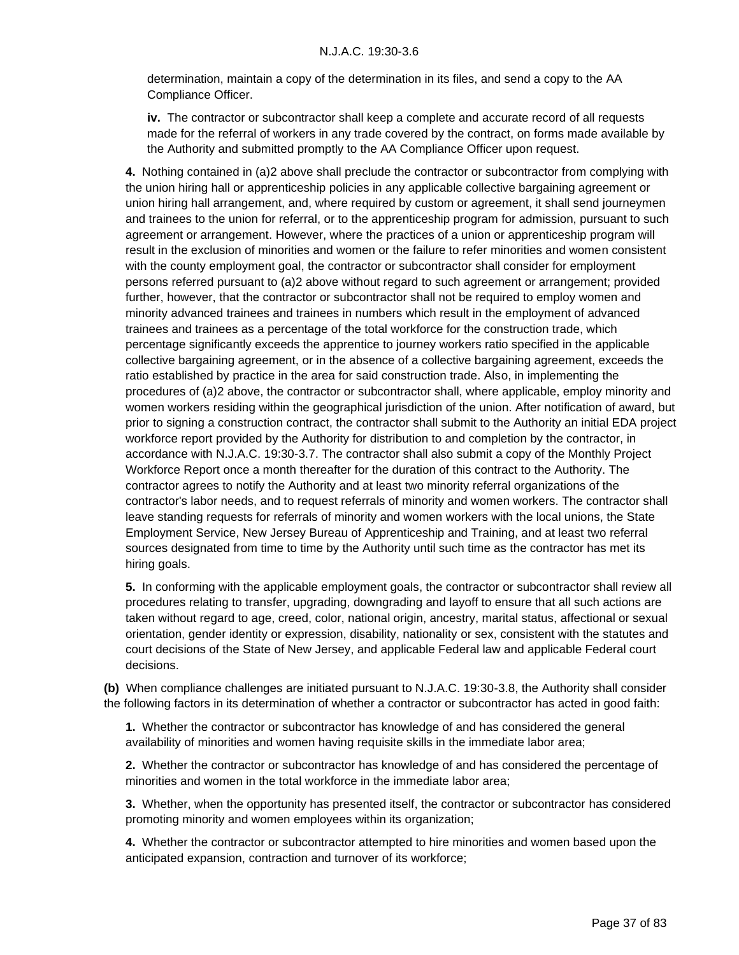determination, maintain a copy of the determination in its files, and send a copy to the AA Compliance Officer.

**iv.** The contractor or subcontractor shall keep a complete and accurate record of all requests made for the referral of workers in any trade covered by the contract, on forms made available by the Authority and submitted promptly to the AA Compliance Officer upon request.

**4.** Nothing contained in (a)2 above shall preclude the contractor or subcontractor from complying with the union hiring hall or apprenticeship policies in any applicable collective bargaining agreement or union hiring hall arrangement, and, where required by custom or agreement, it shall send journeymen and trainees to the union for referral, or to the apprenticeship program for admission, pursuant to such agreement or arrangement. However, where the practices of a union or apprenticeship program will result in the exclusion of minorities and women or the failure to refer minorities and women consistent with the county employment goal, the contractor or subcontractor shall consider for employment persons referred pursuant to (a)2 above without regard to such agreement or arrangement; provided further, however, that the contractor or subcontractor shall not be required to employ women and minority advanced trainees and trainees in numbers which result in the employment of advanced trainees and trainees as a percentage of the total workforce for the construction trade, which percentage significantly exceeds the apprentice to journey workers ratio specified in the applicable collective bargaining agreement, or in the absence of a collective bargaining agreement, exceeds the ratio established by practice in the area for said construction trade. Also, in implementing the procedures of (a)2 above, the contractor or subcontractor shall, where applicable, employ minority and women workers residing within the geographical jurisdiction of the union. After notification of award, but prior to signing a construction contract, the contractor shall submit to the Authority an initial EDA project workforce report provided by the Authority for distribution to and completion by the contractor, in accordance with N.J.A.C. 19:30-3.7. The contractor shall also submit a copy of the Monthly Project Workforce Report once a month thereafter for the duration of this contract to the Authority. The contractor agrees to notify the Authority and at least two minority referral organizations of the contractor's labor needs, and to request referrals of minority and women workers. The contractor shall leave standing requests for referrals of minority and women workers with the local unions, the State Employment Service, New Jersey Bureau of Apprenticeship and Training, and at least two referral sources designated from time to time by the Authority until such time as the contractor has met its hiring goals.

**5.** In conforming with the applicable employment goals, the contractor or subcontractor shall review all procedures relating to transfer, upgrading, downgrading and layoff to ensure that all such actions are taken without regard to age, creed, color, national origin, ancestry, marital status, affectional or sexual orientation, gender identity or expression, disability, nationality or sex, consistent with the statutes and court decisions of the State of New Jersey, and applicable Federal law and applicable Federal court decisions.

**(b)** When compliance challenges are initiated pursuant to N.J.A.C. 19:30-3.8, the Authority shall consider the following factors in its determination of whether a contractor or subcontractor has acted in good faith:

**1.** Whether the contractor or subcontractor has knowledge of and has considered the general availability of minorities and women having requisite skills in the immediate labor area;

**2.** Whether the contractor or subcontractor has knowledge of and has considered the percentage of minorities and women in the total workforce in the immediate labor area;

**3.** Whether, when the opportunity has presented itself, the contractor or subcontractor has considered promoting minority and women employees within its organization;

**4.** Whether the contractor or subcontractor attempted to hire minorities and women based upon the anticipated expansion, contraction and turnover of its workforce;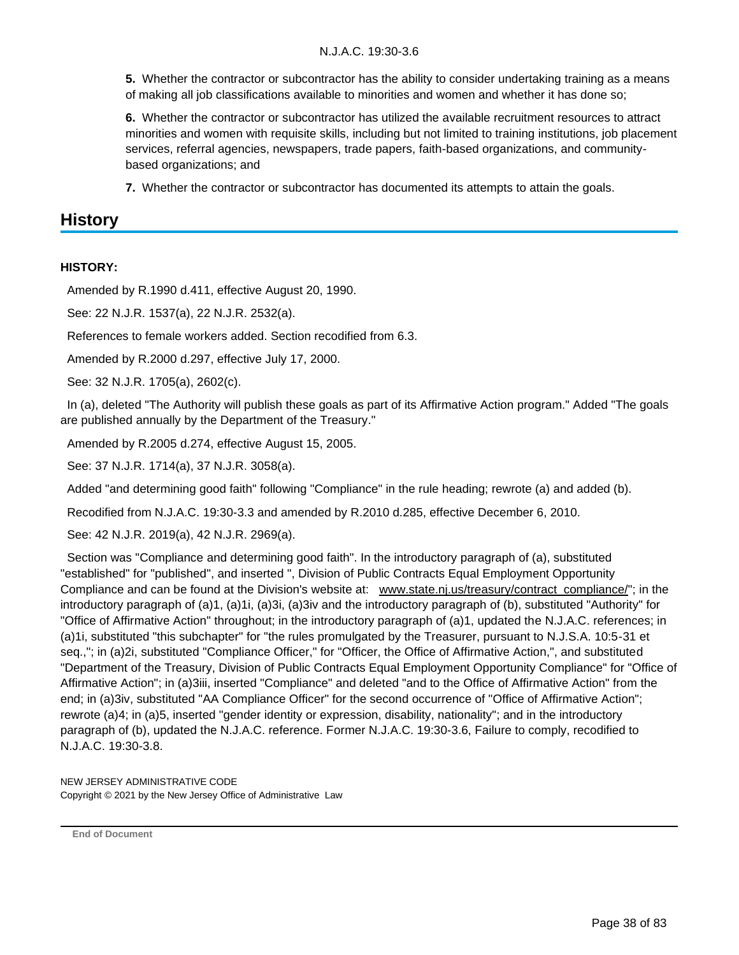**5.** Whether the contractor or subcontractor has the ability to consider undertaking training as a means of making all job classifications available to minorities and women and whether it has done so;

**6.** Whether the contractor or subcontractor has utilized the available recruitment resources to attract minorities and women with requisite skills, including but not limited to training institutions, job placement services, referral agencies, newspapers, trade papers, faith-based organizations, and communitybased organizations; and

**7.** Whether the contractor or subcontractor has documented its attempts to attain the goals.

### **History**

#### **HISTORY:**

Amended by R.1990 d.411, effective August 20, 1990.

See: 22 N.J.R. 1537(a), 22 N.J.R. 2532(a).

References to female workers added. Section recodified from 6.3.

Amended by R.2000 d.297, effective July 17, 2000.

See: 32 N.J.R. 1705(a), 2602(c).

 In (a), deleted "The Authority will publish these goals as part of its Affirmative Action program." Added "The goals are published annually by the Department of the Treasury."

Amended by R.2005 d.274, effective August 15, 2005.

See: 37 N.J.R. 1714(a), 37 N.J.R. 3058(a).

Added "and determining good faith" following "Compliance" in the rule heading; rewrote (a) and added (b).

Recodified from N.J.A.C. 19:30-3.3 and amended by R.2010 d.285, effective December 6, 2010.

See: 42 N.J.R. 2019(a), 42 N.J.R. 2969(a).

 Section was "Compliance and determining good faith". In the introductory paragraph of (a), substituted "established" for "published", and inserted ", Division of Public Contracts Equal Employment Opportunity Compliance and can be found at the Division's website at: www.state.nj.us/treasury/contract\_compliance/"; in the introductory paragraph of (a)1, (a)1i, (a)3i, (a)3iv and the introductory paragraph of (b), substituted "Authority" for "Office of Affirmative Action" throughout; in the introductory paragraph of (a)1, updated the N.J.A.C. references; in (a)1i, substituted "this subchapter" for "the rules promulgated by the Treasurer, pursuant to N.J.S.A. 10:5-31 et seq.,"; in (a)2i, substituted "Compliance Officer," for "Officer, the Office of Affirmative Action,", and substituted "Department of the Treasury, Division of Public Contracts Equal Employment Opportunity Compliance" for "Office of Affirmative Action"; in (a)3iii, inserted "Compliance" and deleted "and to the Office of Affirmative Action" from the end; in (a)3iv, substituted "AA Compliance Officer" for the second occurrence of "Office of Affirmative Action"; rewrote (a)4; in (a)5, inserted "gender identity or expression, disability, nationality"; and in the introductory paragraph of (b), updated the N.J.A.C. reference. Former N.J.A.C. 19:30-3.6, Failure to comply, recodified to N.J.A.C. 19:30-3.8.

NEW JERSEY ADMINISTRATIVE CODE Copyright © 2021 by the New Jersey Office of Administrative Law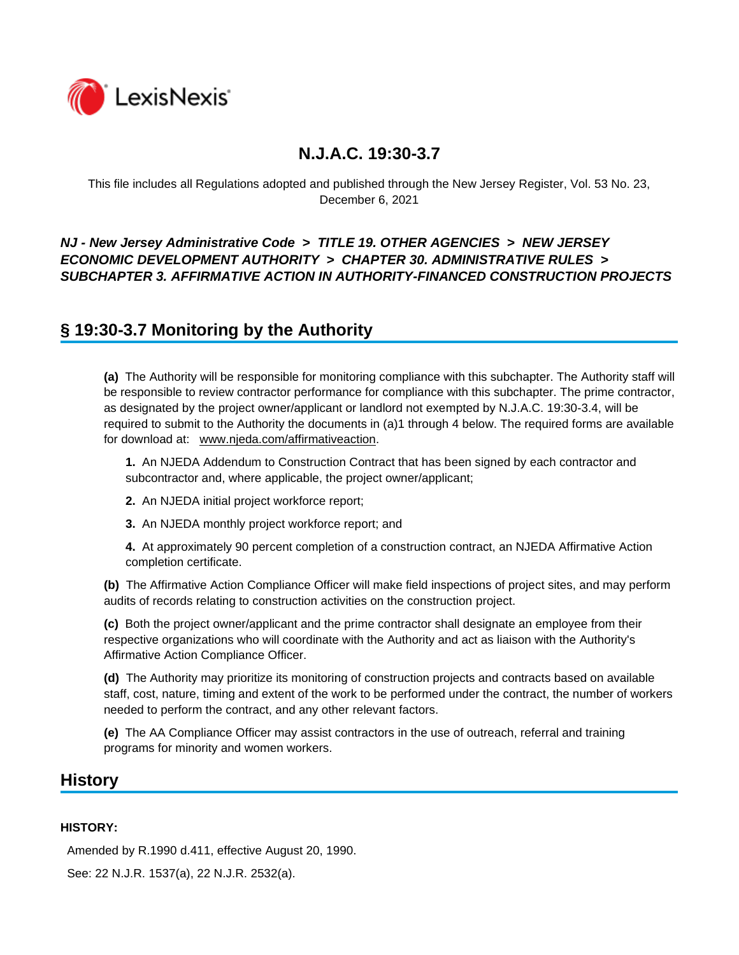

This file includes all Regulations adopted and published through the New Jersey Register, Vol. 53 No. 23, December 6, 2021

### *NJ - New Jersey Administrative Code* **>** *TITLE 19. OTHER AGENCIES* **>** *NEW JERSEY ECONOMIC DEVELOPMENT AUTHORITY* **>** *CHAPTER 30. ADMINISTRATIVE RULES* **>**  *SUBCHAPTER 3. AFFIRMATIVE ACTION IN AUTHORITY-FINANCED CONSTRUCTION PROJECTS*

## **§ 19:30-3.7 Monitoring by the Authority**

**(a)** The Authority will be responsible for monitoring compliance with this subchapter. The Authority staff will be responsible to review contractor performance for compliance with this subchapter. The prime contractor, as designated by the project owner/applicant or landlord not exempted by N.J.A.C. 19:30-3.4, will be required to submit to the Authority the documents in (a)1 through 4 below. The required forms are available for download at: www.njeda.com/affirmativeaction.

**1.** An NJEDA Addendum to Construction Contract that has been signed by each contractor and subcontractor and, where applicable, the project owner/applicant;

- **2.** An NJEDA initial project workforce report;
- **3.** An NJEDA monthly project workforce report; and

**4.** At approximately 90 percent completion of a construction contract, an NJEDA Affirmative Action completion certificate.

**(b)** The Affirmative Action Compliance Officer will make field inspections of project sites, and may perform audits of records relating to construction activities on the construction project.

**(c)** Both the project owner/applicant and the prime contractor shall designate an employee from their respective organizations who will coordinate with the Authority and act as liaison with the Authority's Affirmative Action Compliance Officer.

**(d)** The Authority may prioritize its monitoring of construction projects and contracts based on available staff, cost, nature, timing and extent of the work to be performed under the contract, the number of workers needed to perform the contract, and any other relevant factors.

**(e)** The AA Compliance Officer may assist contractors in the use of outreach, referral and training programs for minority and women workers.

### **History**

#### **HISTORY:**

Amended by R.1990 d.411, effective August 20, 1990.

See: 22 N.J.R. 1537(a), 22 N.J.R. 2532(a).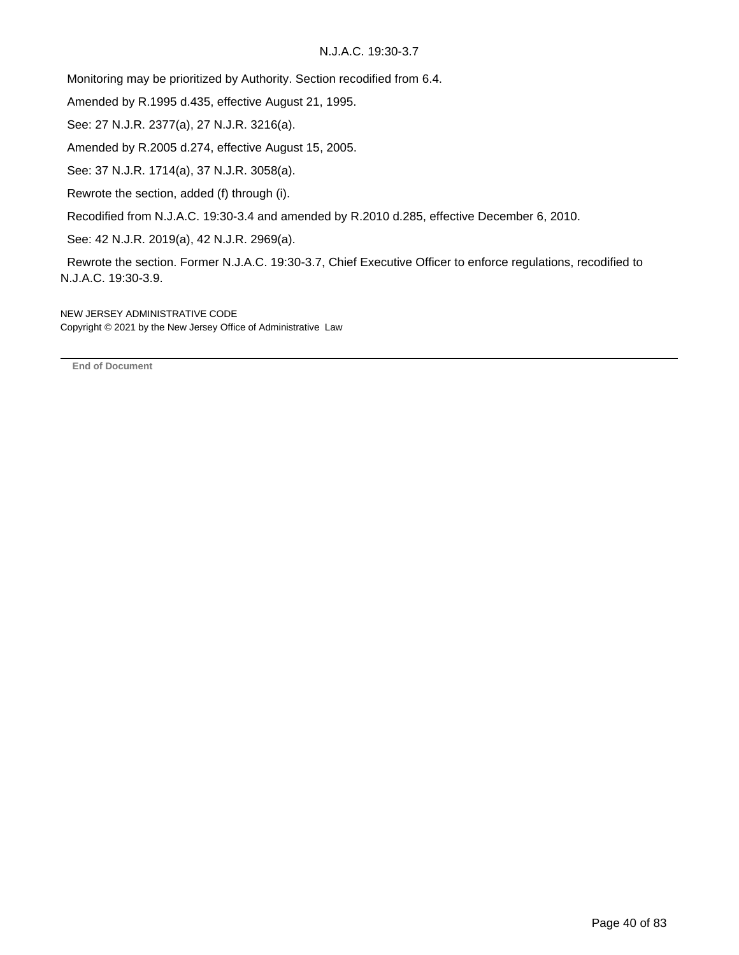Monitoring may be prioritized by Authority. Section recodified from 6.4.

Amended by R.1995 d.435, effective August 21, 1995.

See: 27 N.J.R. 2377(a), 27 N.J.R. 3216(a).

Amended by R.2005 d.274, effective August 15, 2005.

See: 37 N.J.R. 1714(a), 37 N.J.R. 3058(a).

Rewrote the section, added (f) through (i).

Recodified from N.J.A.C. 19:30-3.4 and amended by R.2010 d.285, effective December 6, 2010.

See: 42 N.J.R. 2019(a), 42 N.J.R. 2969(a).

 Rewrote the section. Former N.J.A.C. 19:30-3.7, Chief Executive Officer to enforce regulations, recodified to N.J.A.C. 19:30-3.9.

NEW JERSEY ADMINISTRATIVE CODE Copyright © 2021 by the New Jersey Office of Administrative Law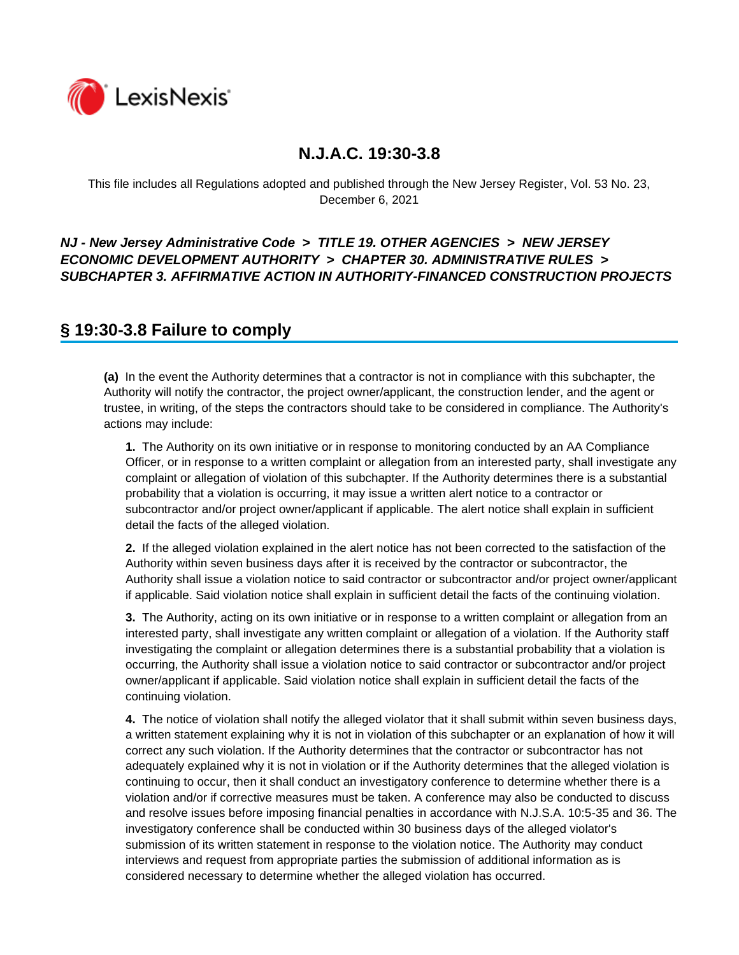

This file includes all Regulations adopted and published through the New Jersey Register, Vol. 53 No. 23, December 6, 2021

### *NJ - New Jersey Administrative Code* **>** *TITLE 19. OTHER AGENCIES* **>** *NEW JERSEY ECONOMIC DEVELOPMENT AUTHORITY* **>** *CHAPTER 30. ADMINISTRATIVE RULES* **>**  *SUBCHAPTER 3. AFFIRMATIVE ACTION IN AUTHORITY-FINANCED CONSTRUCTION PROJECTS*

## **§ 19:30-3.8 Failure to comply**

**(a)** In the event the Authority determines that a contractor is not in compliance with this subchapter, the Authority will notify the contractor, the project owner/applicant, the construction lender, and the agent or trustee, in writing, of the steps the contractors should take to be considered in compliance. The Authority's actions may include:

**1.** The Authority on its own initiative or in response to monitoring conducted by an AA Compliance Officer, or in response to a written complaint or allegation from an interested party, shall investigate any complaint or allegation of violation of this subchapter. If the Authority determines there is a substantial probability that a violation is occurring, it may issue a written alert notice to a contractor or subcontractor and/or project owner/applicant if applicable. The alert notice shall explain in sufficient detail the facts of the alleged violation.

**2.** If the alleged violation explained in the alert notice has not been corrected to the satisfaction of the Authority within seven business days after it is received by the contractor or subcontractor, the Authority shall issue a violation notice to said contractor or subcontractor and/or project owner/applicant if applicable. Said violation notice shall explain in sufficient detail the facts of the continuing violation.

**3.** The Authority, acting on its own initiative or in response to a written complaint or allegation from an interested party, shall investigate any written complaint or allegation of a violation. If the Authority staff investigating the complaint or allegation determines there is a substantial probability that a violation is occurring, the Authority shall issue a violation notice to said contractor or subcontractor and/or project owner/applicant if applicable. Said violation notice shall explain in sufficient detail the facts of the continuing violation.

**4.** The notice of violation shall notify the alleged violator that it shall submit within seven business days, a written statement explaining why it is not in violation of this subchapter or an explanation of how it will correct any such violation. If the Authority determines that the contractor or subcontractor has not adequately explained why it is not in violation or if the Authority determines that the alleged violation is continuing to occur, then it shall conduct an investigatory conference to determine whether there is a violation and/or if corrective measures must be taken. A conference may also be conducted to discuss and resolve issues before imposing financial penalties in accordance with N.J.S.A. 10:5-35 and 36. The investigatory conference shall be conducted within 30 business days of the alleged violator's submission of its written statement in response to the violation notice. The Authority may conduct interviews and request from appropriate parties the submission of additional information as is considered necessary to determine whether the alleged violation has occurred.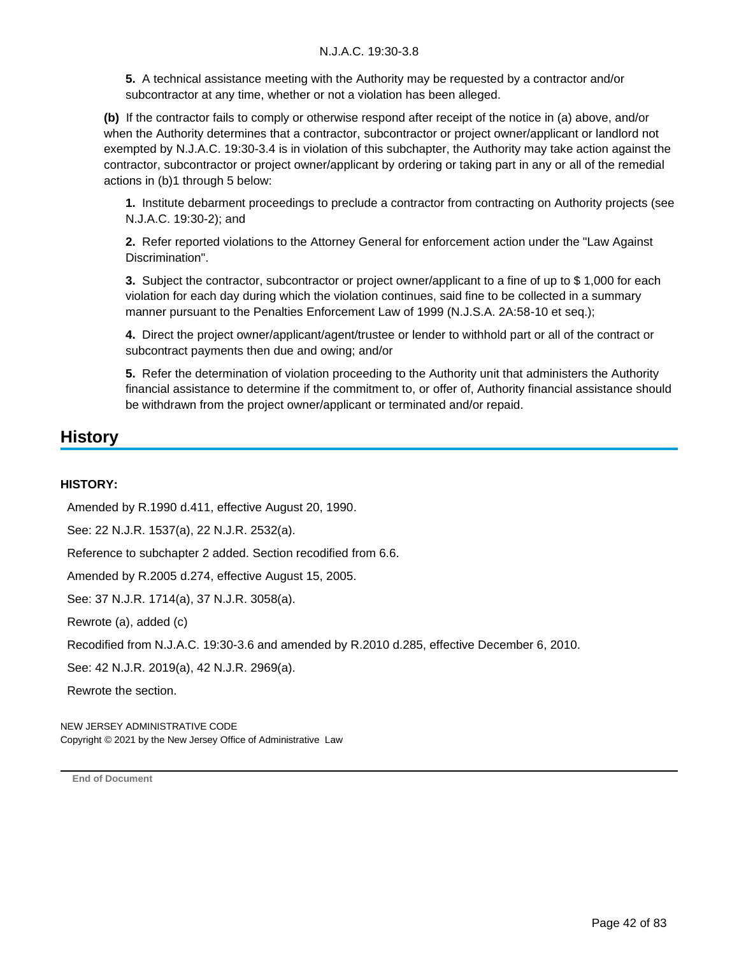**5.** A technical assistance meeting with the Authority may be requested by a contractor and/or subcontractor at any time, whether or not a violation has been alleged.

**(b)** If the contractor fails to comply or otherwise respond after receipt of the notice in (a) above, and/or when the Authority determines that a contractor, subcontractor or project owner/applicant or landlord not exempted by N.J.A.C. 19:30-3.4 is in violation of this subchapter, the Authority may take action against the contractor, subcontractor or project owner/applicant by ordering or taking part in any or all of the remedial actions in (b)1 through 5 below:

**1.** Institute debarment proceedings to preclude a contractor from contracting on Authority projects (see N.J.A.C. 19:30-2); and

**2.** Refer reported violations to the Attorney General for enforcement action under the "Law Against Discrimination".

**3.** Subject the contractor, subcontractor or project owner/applicant to a fine of up to \$ 1,000 for each violation for each day during which the violation continues, said fine to be collected in a summary manner pursuant to the Penalties Enforcement Law of 1999 (N.J.S.A. 2A:58-10 et seq.);

**4.** Direct the project owner/applicant/agent/trustee or lender to withhold part or all of the contract or subcontract payments then due and owing; and/or

**5.** Refer the determination of violation proceeding to the Authority unit that administers the Authority financial assistance to determine if the commitment to, or offer of, Authority financial assistance should be withdrawn from the project owner/applicant or terminated and/or repaid.

### **History**

#### **HISTORY:**

Amended by R.1990 d.411, effective August 20, 1990.

See: 22 N.J.R. 1537(a), 22 N.J.R. 2532(a).

Reference to subchapter 2 added. Section recodified from 6.6.

Amended by R.2005 d.274, effective August 15, 2005.

See: 37 N.J.R. 1714(a), 37 N.J.R. 3058(a).

Rewrote (a), added (c)

Recodified from N.J.A.C. 19:30-3.6 and amended by R.2010 d.285, effective December 6, 2010.

See: 42 N.J.R. 2019(a), 42 N.J.R. 2969(a).

Rewrote the section.

NEW JERSEY ADMINISTRATIVE CODE Copyright © 2021 by the New Jersey Office of Administrative Law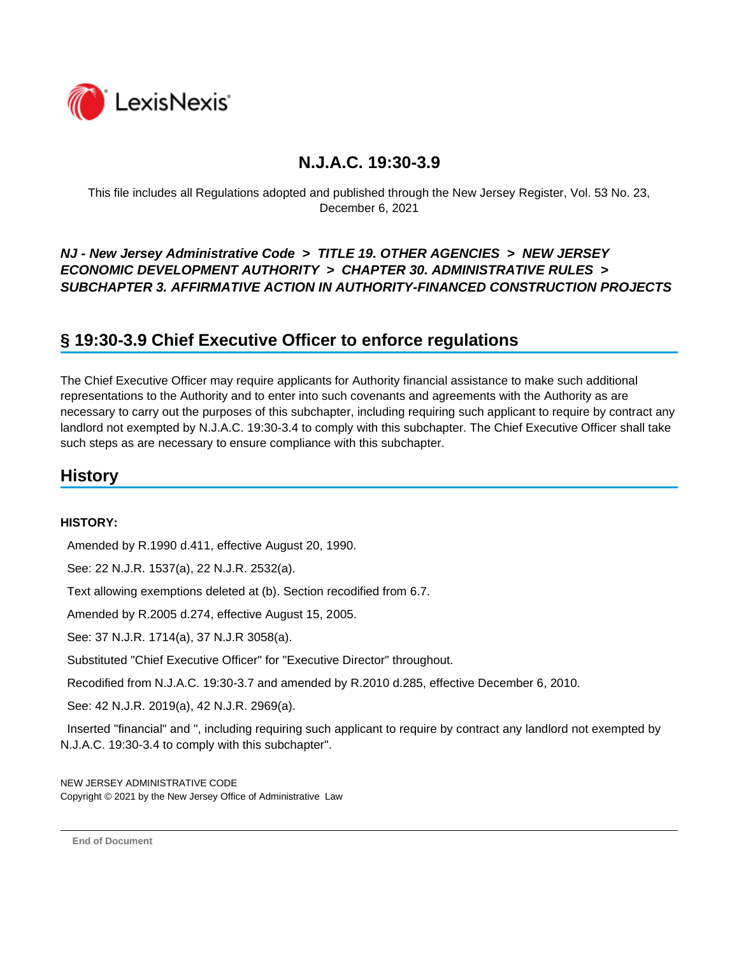

This file includes all Regulations adopted and published through the New Jersey Register, Vol. 53 No. 23, December 6, 2021

### *NJ - New Jersey Administrative Code* **>** *TITLE 19. OTHER AGENCIES* **>** *NEW JERSEY ECONOMIC DEVELOPMENT AUTHORITY* **>** *CHAPTER 30. ADMINISTRATIVE RULES* **>**  *SUBCHAPTER 3. AFFIRMATIVE ACTION IN AUTHORITY-FINANCED CONSTRUCTION PROJECTS*

## **§ 19:30-3.9 Chief Executive Officer to enforce regulations**

The Chief Executive Officer may require applicants for Authority financial assistance to make such additional representations to the Authority and to enter into such covenants and agreements with the Authority as are necessary to carry out the purposes of this subchapter, including requiring such applicant to require by contract any landlord not exempted by N.J.A.C. 19:30-3.4 to comply with this subchapter. The Chief Executive Officer shall take such steps as are necessary to ensure compliance with this subchapter.

## **History**

#### **HISTORY:**

Amended by R.1990 d.411, effective August 20, 1990.

See: 22 N.J.R. 1537(a), 22 N.J.R. 2532(a).

Text allowing exemptions deleted at (b). Section recodified from 6.7.

Amended by R.2005 d.274, effective August 15, 2005.

See: 37 N.J.R. 1714(a), 37 N.J.R 3058(a).

Substituted "Chief Executive Officer" for "Executive Director" throughout.

Recodified from N.J.A.C. 19:30-3.7 and amended by R.2010 d.285, effective December 6, 2010.

See: 42 N.J.R. 2019(a), 42 N.J.R. 2969(a).

 Inserted "financial" and ", including requiring such applicant to require by contract any landlord not exempted by N.J.A.C. 19:30-3.4 to comply with this subchapter".

NEW JERSEY ADMINISTRATIVE CODE Copyright © 2021 by the New Jersey Office of Administrative Law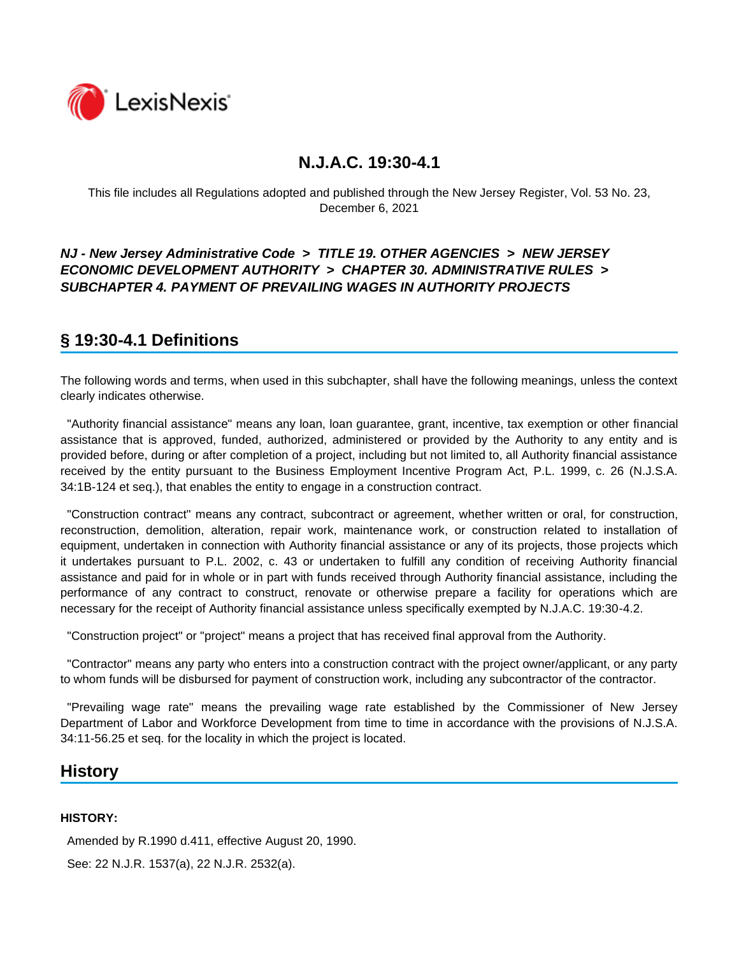

This file includes all Regulations adopted and published through the New Jersey Register, Vol. 53 No. 23, December 6, 2021

### *NJ - New Jersey Administrative Code* **>** *TITLE 19. OTHER AGENCIES* **>** *NEW JERSEY ECONOMIC DEVELOPMENT AUTHORITY* **>** *CHAPTER 30. ADMINISTRATIVE RULES* **>**  *SUBCHAPTER 4. PAYMENT OF PREVAILING WAGES IN AUTHORITY PROJECTS*

# **§ 19:30-4.1 Definitions**

The following words and terms, when used in this subchapter, shall have the following meanings, unless the context clearly indicates otherwise.

 "Authority financial assistance" means any loan, loan guarantee, grant, incentive, tax exemption or other financial assistance that is approved, funded, authorized, administered or provided by the Authority to any entity and is provided before, during or after completion of a project, including but not limited to, all Authority financial assistance received by the entity pursuant to the Business Employment Incentive Program Act, P.L. 1999, c. 26 (N.J.S.A. 34:1B-124 et seq.), that enables the entity to engage in a construction contract.

 "Construction contract" means any contract, subcontract or agreement, whether written or oral, for construction, reconstruction, demolition, alteration, repair work, maintenance work, or construction related to installation of equipment, undertaken in connection with Authority financial assistance or any of its projects, those projects which it undertakes pursuant to P.L. 2002, c. 43 or undertaken to fulfill any condition of receiving Authority financial assistance and paid for in whole or in part with funds received through Authority financial assistance, including the performance of any contract to construct, renovate or otherwise prepare a facility for operations which are necessary for the receipt of Authority financial assistance unless specifically exempted by N.J.A.C. 19:30-4.2.

"Construction project" or "project" means a project that has received final approval from the Authority.

 "Contractor" means any party who enters into a construction contract with the project owner/applicant, or any party to whom funds will be disbursed for payment of construction work, including any subcontractor of the contractor.

 "Prevailing wage rate" means the prevailing wage rate established by the Commissioner of New Jersey Department of Labor and Workforce Development from time to time in accordance with the provisions of N.J.S.A. 34:11-56.25 et seq. for the locality in which the project is located.

## **History**

#### **HISTORY:**

Amended by R.1990 d.411, effective August 20, 1990.

See: 22 N.J.R. 1537(a), 22 N.J.R. 2532(a).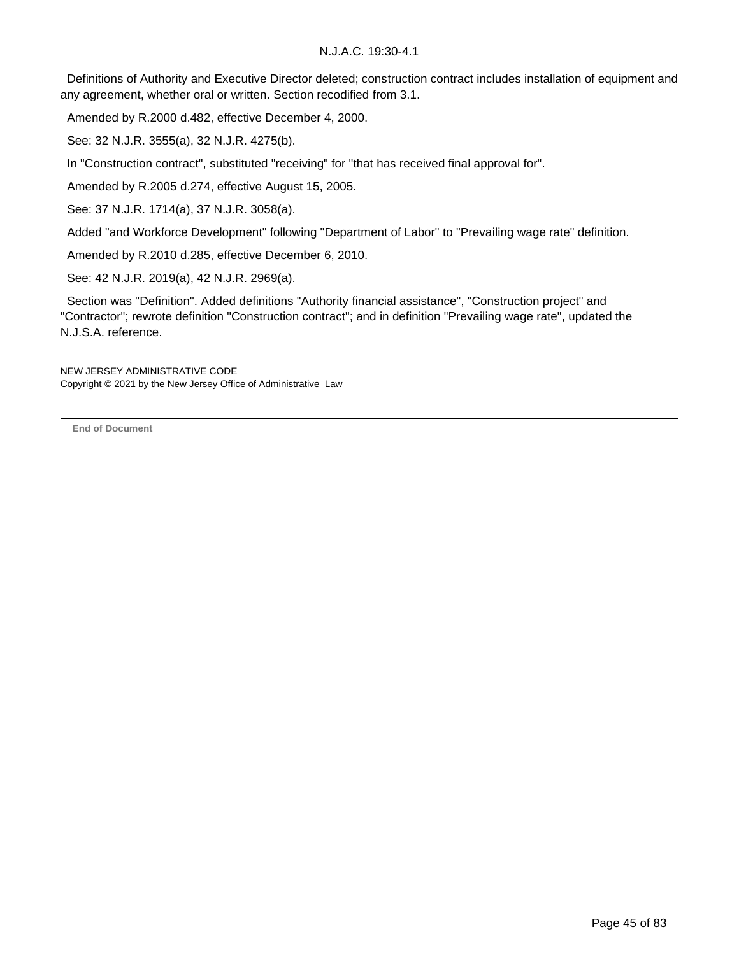Definitions of Authority and Executive Director deleted; construction contract includes installation of equipment and any agreement, whether oral or written. Section recodified from 3.1.

Amended by R.2000 d.482, effective December 4, 2000.

See: 32 N.J.R. 3555(a), 32 N.J.R. 4275(b).

In "Construction contract", substituted "receiving" for "that has received final approval for".

Amended by R.2005 d.274, effective August 15, 2005.

See: 37 N.J.R. 1714(a), 37 N.J.R. 3058(a).

Added "and Workforce Development" following "Department of Labor" to "Prevailing wage rate" definition.

Amended by R.2010 d.285, effective December 6, 2010.

See: 42 N.J.R. 2019(a), 42 N.J.R. 2969(a).

 Section was "Definition". Added definitions "Authority financial assistance", "Construction project" and "Contractor"; rewrote definition "Construction contract"; and in definition "Prevailing wage rate", updated the N.J.S.A. reference.

NEW JERSEY ADMINISTRATIVE CODE Copyright © 2021 by the New Jersey Office of Administrative Law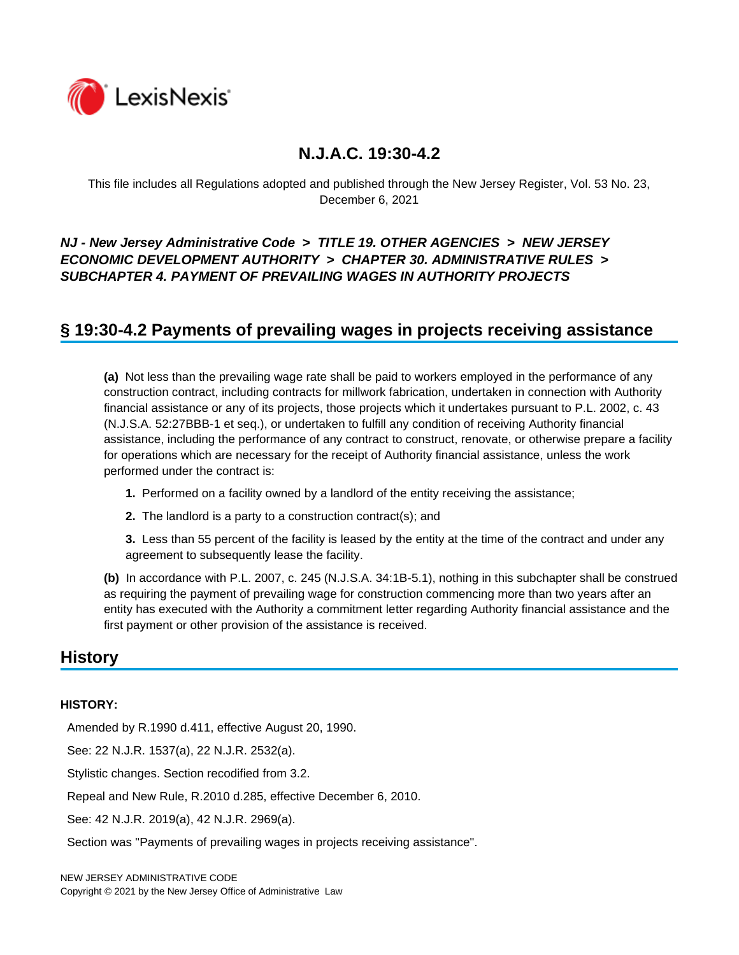

This file includes all Regulations adopted and published through the New Jersey Register, Vol. 53 No. 23, December 6, 2021

### *NJ - New Jersey Administrative Code* **>** *TITLE 19. OTHER AGENCIES* **>** *NEW JERSEY ECONOMIC DEVELOPMENT AUTHORITY* **>** *CHAPTER 30. ADMINISTRATIVE RULES* **>**  *SUBCHAPTER 4. PAYMENT OF PREVAILING WAGES IN AUTHORITY PROJECTS*

## **§ 19:30-4.2 Payments of prevailing wages in projects receiving assistance**

**(a)** Not less than the prevailing wage rate shall be paid to workers employed in the performance of any construction contract, including contracts for millwork fabrication, undertaken in connection with Authority financial assistance or any of its projects, those projects which it undertakes pursuant to P.L. 2002, c. 43 (N.J.S.A. 52:27BBB-1 et seq.), or undertaken to fulfill any condition of receiving Authority financial assistance, including the performance of any contract to construct, renovate, or otherwise prepare a facility for operations which are necessary for the receipt of Authority financial assistance, unless the work performed under the contract is:

- **1.** Performed on a facility owned by a landlord of the entity receiving the assistance;
- **2.** The landlord is a party to a construction contract(s); and

**3.** Less than 55 percent of the facility is leased by the entity at the time of the contract and under any agreement to subsequently lease the facility.

**(b)** In accordance with P.L. 2007, c. 245 (N.J.S.A. 34:1B-5.1), nothing in this subchapter shall be construed as requiring the payment of prevailing wage for construction commencing more than two years after an entity has executed with the Authority a commitment letter regarding Authority financial assistance and the first payment or other provision of the assistance is received.

### **History**

#### **HISTORY:**

Amended by R.1990 d.411, effective August 20, 1990.

See: 22 N.J.R. 1537(a), 22 N.J.R. 2532(a).

Stylistic changes. Section recodified from 3.2.

Repeal and New Rule, R.2010 d.285, effective December 6, 2010.

See: 42 N.J.R. 2019(a), 42 N.J.R. 2969(a).

Section was "Payments of prevailing wages in projects receiving assistance".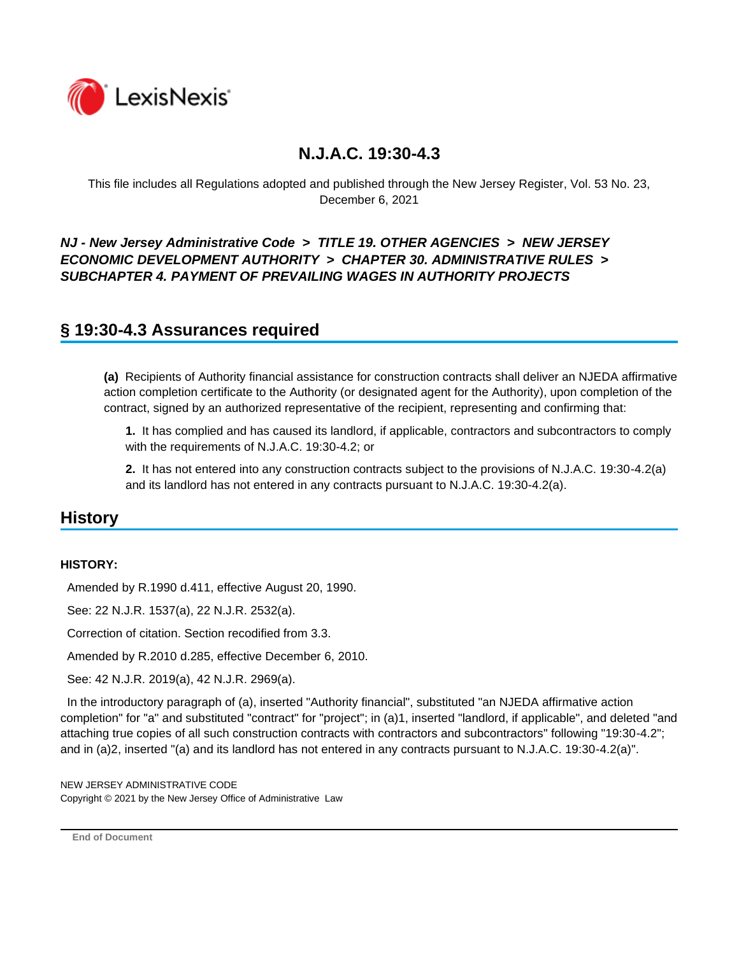

This file includes all Regulations adopted and published through the New Jersey Register, Vol. 53 No. 23, December 6, 2021

### *NJ - New Jersey Administrative Code* **>** *TITLE 19. OTHER AGENCIES* **>** *NEW JERSEY ECONOMIC DEVELOPMENT AUTHORITY* **>** *CHAPTER 30. ADMINISTRATIVE RULES* **>**  *SUBCHAPTER 4. PAYMENT OF PREVAILING WAGES IN AUTHORITY PROJECTS*

## **§ 19:30-4.3 Assurances required**

**(a)** Recipients of Authority financial assistance for construction contracts shall deliver an NJEDA affirmative action completion certificate to the Authority (or designated agent for the Authority), upon completion of the contract, signed by an authorized representative of the recipient, representing and confirming that:

**1.** It has complied and has caused its landlord, if applicable, contractors and subcontractors to comply with the requirements of N.J.A.C. 19:30-4.2; or

**2.** It has not entered into any construction contracts subject to the provisions of N.J.A.C. 19:30-4.2(a) and its landlord has not entered in any contracts pursuant to N.J.A.C. 19:30-4.2(a).

### **History**

#### **HISTORY:**

Amended by R.1990 d.411, effective August 20, 1990.

See: 22 N.J.R. 1537(a), 22 N.J.R. 2532(a).

Correction of citation. Section recodified from 3.3.

Amended by R.2010 d.285, effective December 6, 2010.

See: 42 N.J.R. 2019(a), 42 N.J.R. 2969(a).

 In the introductory paragraph of (a), inserted "Authority financial", substituted "an NJEDA affirmative action completion" for "a" and substituted "contract" for "project"; in (a)1, inserted "landlord, if applicable", and deleted "and attaching true copies of all such construction contracts with contractors and subcontractors" following "19:30-4.2"; and in (a)2, inserted "(a) and its landlord has not entered in any contracts pursuant to N.J.A.C. 19:30-4.2(a)".

NEW JERSEY ADMINISTRATIVE CODE Copyright © 2021 by the New Jersey Office of Administrative Law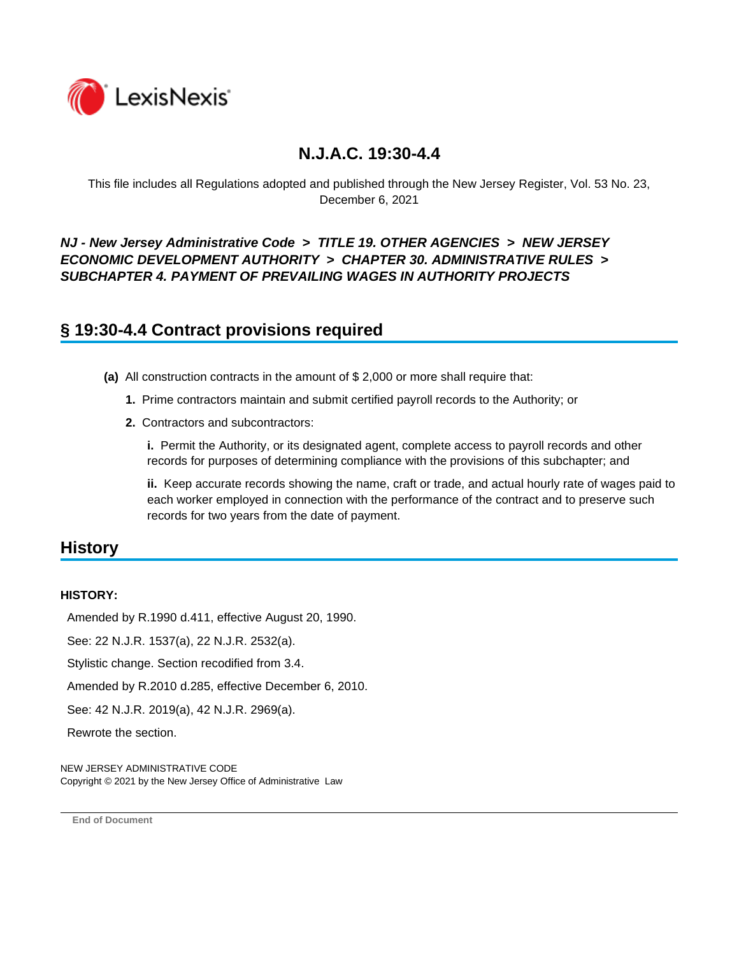

This file includes all Regulations adopted and published through the New Jersey Register, Vol. 53 No. 23, December 6, 2021

*NJ - New Jersey Administrative Code* **>** *TITLE 19. OTHER AGENCIES* **>** *NEW JERSEY ECONOMIC DEVELOPMENT AUTHORITY* **>** *CHAPTER 30. ADMINISTRATIVE RULES* **>**  *SUBCHAPTER 4. PAYMENT OF PREVAILING WAGES IN AUTHORITY PROJECTS*

## **§ 19:30-4.4 Contract provisions required**

- **(a)** All construction contracts in the amount of \$ 2,000 or more shall require that:
	- **1.** Prime contractors maintain and submit certified payroll records to the Authority; or
	- **2.** Contractors and subcontractors:

**i.** Permit the Authority, or its designated agent, complete access to payroll records and other records for purposes of determining compliance with the provisions of this subchapter; and

**ii.** Keep accurate records showing the name, craft or trade, and actual hourly rate of wages paid to each worker employed in connection with the performance of the contract and to preserve such records for two years from the date of payment.

### **History**

#### **HISTORY:**

Amended by R.1990 d.411, effective August 20, 1990.

See: 22 N.J.R. 1537(a), 22 N.J.R. 2532(a).

Stylistic change. Section recodified from 3.4.

Amended by R.2010 d.285, effective December 6, 2010.

See: 42 N.J.R. 2019(a), 42 N.J.R. 2969(a).

Rewrote the section.

NEW JERSEY ADMINISTRATIVE CODE Copyright © 2021 by the New Jersey Office of Administrative Law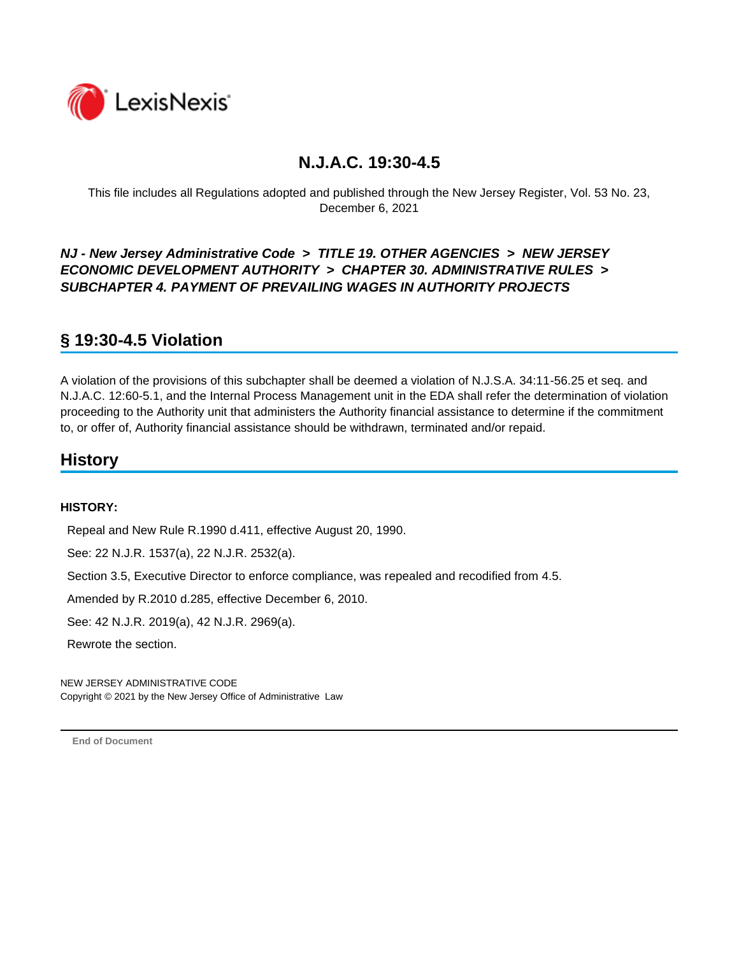

This file includes all Regulations adopted and published through the New Jersey Register, Vol. 53 No. 23, December 6, 2021

*NJ - New Jersey Administrative Code* **>** *TITLE 19. OTHER AGENCIES* **>** *NEW JERSEY ECONOMIC DEVELOPMENT AUTHORITY* **>** *CHAPTER 30. ADMINISTRATIVE RULES* **>**  *SUBCHAPTER 4. PAYMENT OF PREVAILING WAGES IN AUTHORITY PROJECTS*

# **§ 19:30-4.5 Violation**

A violation of the provisions of this subchapter shall be deemed a violation of N.J.S.A. 34:11-56.25 et seq. and N.J.A.C. 12:60-5.1, and the Internal Process Management unit in the EDA shall refer the determination of violation proceeding to the Authority unit that administers the Authority financial assistance to determine if the commitment to, or offer of, Authority financial assistance should be withdrawn, terminated and/or repaid.

## **History**

#### **HISTORY:**

Repeal and New Rule R.1990 d.411, effective August 20, 1990.

See: 22 N.J.R. 1537(a), 22 N.J.R. 2532(a).

Section 3.5, Executive Director to enforce compliance, was repealed and recodified from 4.5.

Amended by R.2010 d.285, effective December 6, 2010.

See: 42 N.J.R. 2019(a), 42 N.J.R. 2969(a).

Rewrote the section.

NEW JERSEY ADMINISTRATIVE CODE Copyright © 2021 by the New Jersey Office of Administrative Law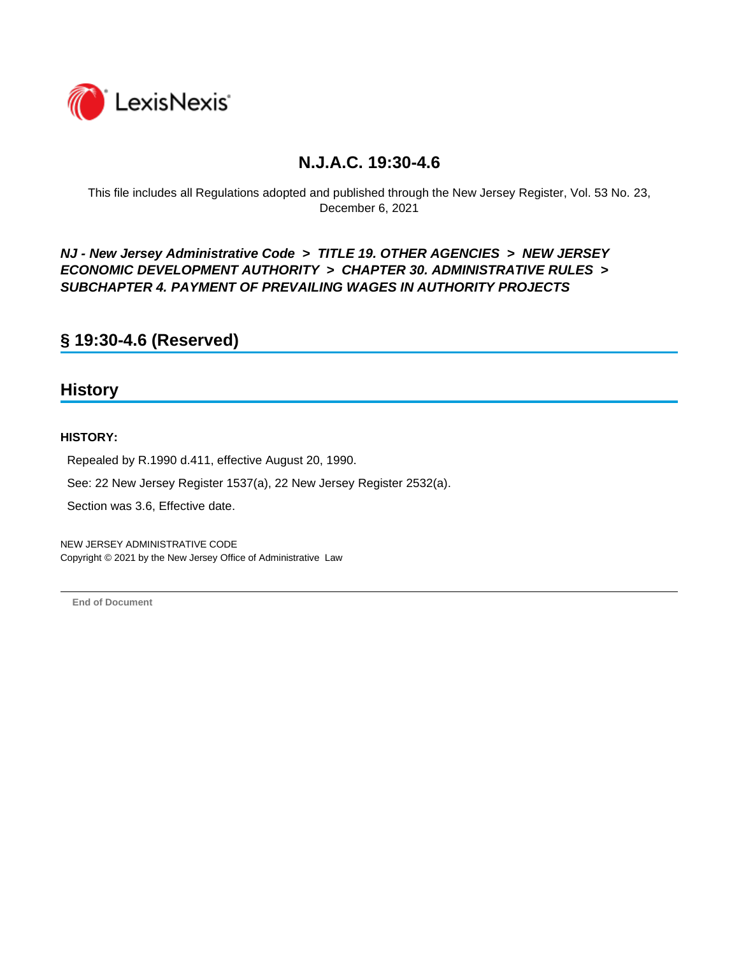

This file includes all Regulations adopted and published through the New Jersey Register, Vol. 53 No. 23, December 6, 2021

*NJ - New Jersey Administrative Code* **>** *TITLE 19. OTHER AGENCIES* **>** *NEW JERSEY ECONOMIC DEVELOPMENT AUTHORITY* **>** *CHAPTER 30. ADMINISTRATIVE RULES* **>**  *SUBCHAPTER 4. PAYMENT OF PREVAILING WAGES IN AUTHORITY PROJECTS*

**§ 19:30-4.6 (Reserved)**

### **History**

#### **HISTORY:**

Repealed by R.1990 d.411, effective August 20, 1990.

See: 22 New Jersey Register 1537(a), 22 New Jersey Register 2532(a).

Section was 3.6, Effective date.

NEW JERSEY ADMINISTRATIVE CODE Copyright © 2021 by the New Jersey Office of Administrative Law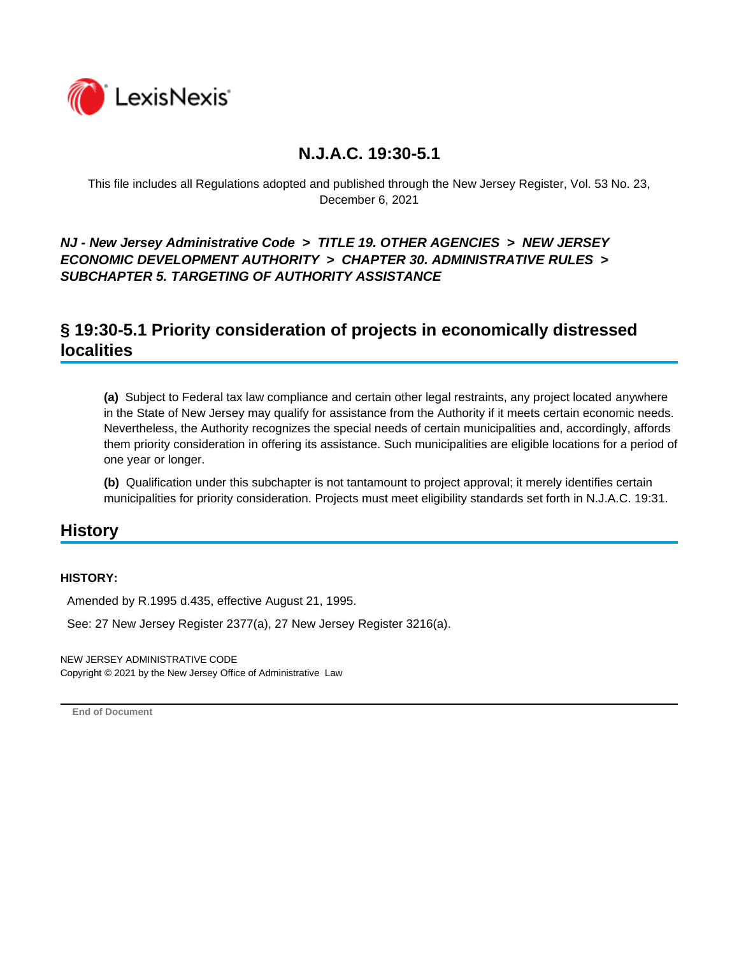

This file includes all Regulations adopted and published through the New Jersey Register, Vol. 53 No. 23, December 6, 2021

*NJ - New Jersey Administrative Code* **>** *TITLE 19. OTHER AGENCIES* **>** *NEW JERSEY ECONOMIC DEVELOPMENT AUTHORITY* **>** *CHAPTER 30. ADMINISTRATIVE RULES* **>**  *SUBCHAPTER 5. TARGETING OF AUTHORITY ASSISTANCE*

## **§ 19:30-5.1 Priority consideration of projects in economically distressed localities**

**(a)** Subject to Federal tax law compliance and certain other legal restraints, any project located anywhere in the State of New Jersey may qualify for assistance from the Authority if it meets certain economic needs. Nevertheless, the Authority recognizes the special needs of certain municipalities and, accordingly, affords them priority consideration in offering its assistance. Such municipalities are eligible locations for a period of one year or longer.

**(b)** Qualification under this subchapter is not tantamount to project approval; it merely identifies certain municipalities for priority consideration. Projects must meet eligibility standards set forth in N.J.A.C. 19:31.

## **History**

#### **HISTORY:**

Amended by R.1995 d.435, effective August 21, 1995.

See: 27 New Jersey Register 2377(a), 27 New Jersey Register 3216(a).

NEW JERSEY ADMINISTRATIVE CODE Copyright © 2021 by the New Jersey Office of Administrative Law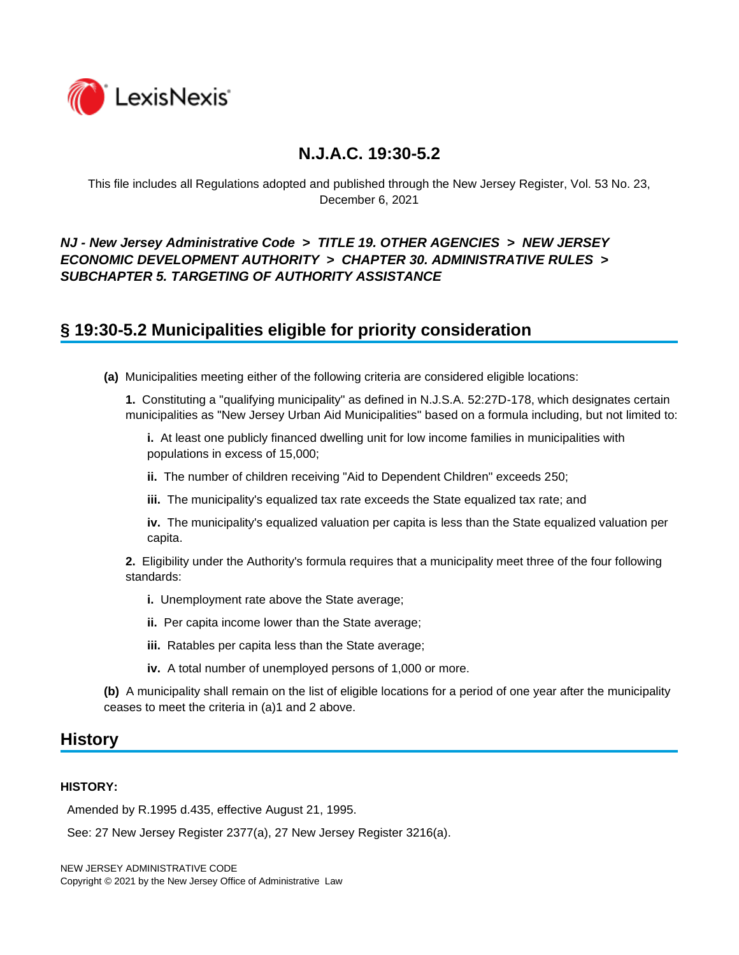

This file includes all Regulations adopted and published through the New Jersey Register, Vol. 53 No. 23, December 6, 2021

### *NJ - New Jersey Administrative Code* **>** *TITLE 19. OTHER AGENCIES* **>** *NEW JERSEY ECONOMIC DEVELOPMENT AUTHORITY* **>** *CHAPTER 30. ADMINISTRATIVE RULES* **>**  *SUBCHAPTER 5. TARGETING OF AUTHORITY ASSISTANCE*

## **§ 19:30-5.2 Municipalities eligible for priority consideration**

**(a)** Municipalities meeting either of the following criteria are considered eligible locations:

**1.** Constituting a "qualifying municipality" as defined in N.J.S.A. 52:27D-178, which designates certain municipalities as "New Jersey Urban Aid Municipalities" based on a formula including, but not limited to:

**i.** At least one publicly financed dwelling unit for low income families in municipalities with populations in excess of 15,000;

**ii.** The number of children receiving "Aid to Dependent Children" exceeds 250;

**iii.** The municipality's equalized tax rate exceeds the State equalized tax rate; and

**iv.** The municipality's equalized valuation per capita is less than the State equalized valuation per capita.

**2.** Eligibility under the Authority's formula requires that a municipality meet three of the four following standards:

- **i.** Unemployment rate above the State average;
- **ii.** Per capita income lower than the State average;
- **iii.** Ratables per capita less than the State average;
- **iv.** A total number of unemployed persons of 1,000 or more.

**(b)** A municipality shall remain on the list of eligible locations for a period of one year after the municipality ceases to meet the criteria in (a)1 and 2 above.

### **History**

#### **HISTORY:**

Amended by R.1995 d.435, effective August 21, 1995.

See: 27 New Jersey Register 2377(a), 27 New Jersey Register 3216(a).

NEW JERSEY ADMINISTRATIVE CODE Copyright © 2021 by the New Jersey Office of Administrative Law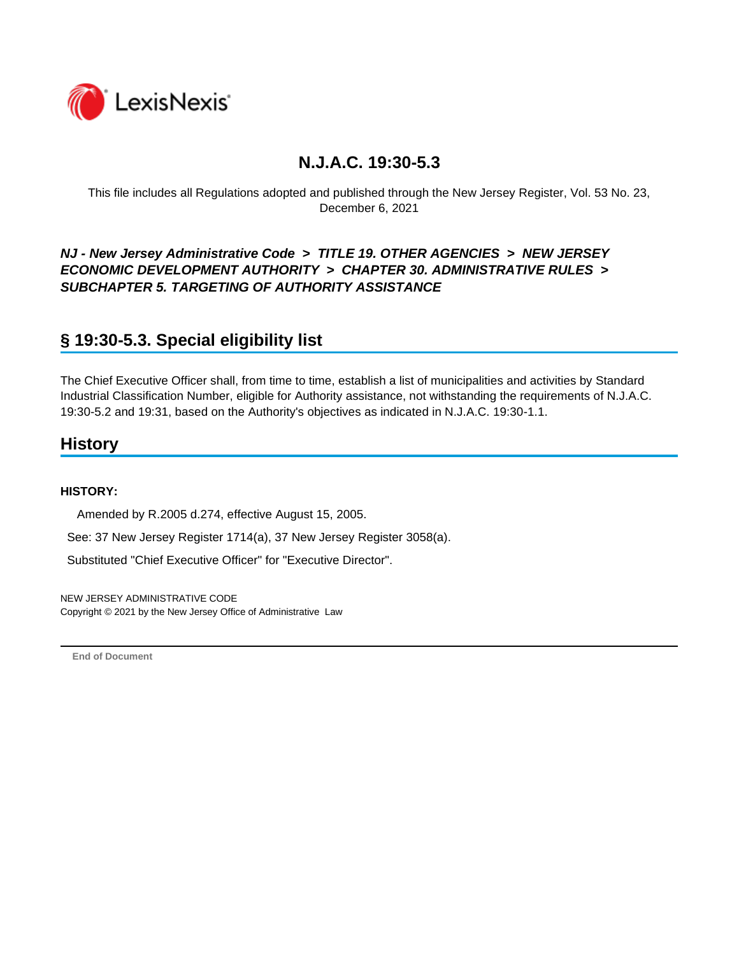

This file includes all Regulations adopted and published through the New Jersey Register, Vol. 53 No. 23, December 6, 2021

### *NJ - New Jersey Administrative Code* **>** *TITLE 19. OTHER AGENCIES* **>** *NEW JERSEY ECONOMIC DEVELOPMENT AUTHORITY* **>** *CHAPTER 30. ADMINISTRATIVE RULES* **>**  *SUBCHAPTER 5. TARGETING OF AUTHORITY ASSISTANCE*

## **§ 19:30-5.3. Special eligibility list**

The Chief Executive Officer shall, from time to time, establish a list of municipalities and activities by Standard Industrial Classification Number, eligible for Authority assistance, not withstanding the requirements of N.J.A.C. 19:30-5.2 and 19:31, based on the Authority's objectives as indicated in N.J.A.C. 19:30-1.1.

### **History**

#### **HISTORY:**

Amended by R.2005 d.274, effective August 15, 2005.

See: 37 New Jersey Register 1714(a), 37 New Jersey Register 3058(a).

Substituted "Chief Executive Officer" for "Executive Director".

NEW JERSEY ADMINISTRATIVE CODE Copyright © 2021 by the New Jersey Office of Administrative Law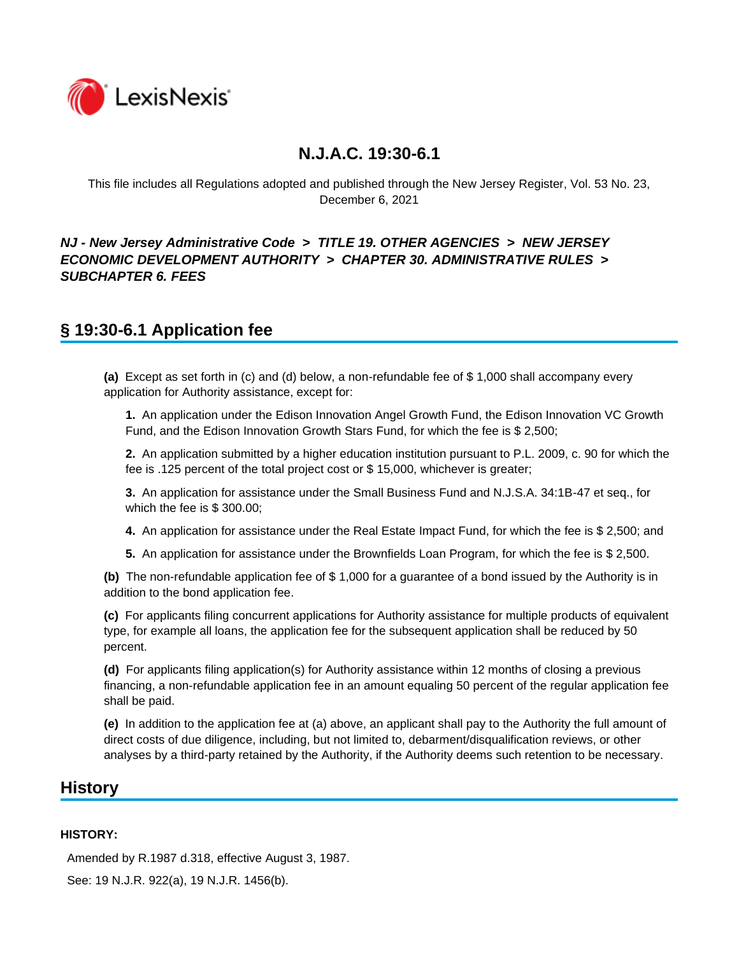

This file includes all Regulations adopted and published through the New Jersey Register, Vol. 53 No. 23, December 6, 2021

### *NJ - New Jersey Administrative Code* **>** *TITLE 19. OTHER AGENCIES* **>** *NEW JERSEY ECONOMIC DEVELOPMENT AUTHORITY* **>** *CHAPTER 30. ADMINISTRATIVE RULES* **>**  *SUBCHAPTER 6. FEES*

## **§ 19:30-6.1 Application fee**

**(a)** Except as set forth in (c) and (d) below, a non-refundable fee of \$ 1,000 shall accompany every application for Authority assistance, except for:

**1.** An application under the Edison Innovation Angel Growth Fund, the Edison Innovation VC Growth Fund, and the Edison Innovation Growth Stars Fund, for which the fee is \$ 2,500;

**2.** An application submitted by a higher education institution pursuant to P.L. 2009, c. 90 for which the fee is .125 percent of the total project cost or \$ 15,000, whichever is greater;

**3.** An application for assistance under the Small Business Fund and N.J.S.A. 34:1B-47 et seq., for which the fee is \$ 300.00;

**4.** An application for assistance under the Real Estate Impact Fund, for which the fee is \$ 2,500; and

**5.** An application for assistance under the Brownfields Loan Program, for which the fee is \$ 2,500.

**(b)** The non-refundable application fee of \$ 1,000 for a guarantee of a bond issued by the Authority is in addition to the bond application fee.

**(c)** For applicants filing concurrent applications for Authority assistance for multiple products of equivalent type, for example all loans, the application fee for the subsequent application shall be reduced by 50 percent.

**(d)** For applicants filing application(s) for Authority assistance within 12 months of closing a previous financing, a non-refundable application fee in an amount equaling 50 percent of the regular application fee shall be paid.

**(e)** In addition to the application fee at (a) above, an applicant shall pay to the Authority the full amount of direct costs of due diligence, including, but not limited to, debarment/disqualification reviews, or other analyses by a third-party retained by the Authority, if the Authority deems such retention to be necessary.

### **History**

#### **HISTORY:**

Amended by R.1987 d.318, effective August 3, 1987.

See: 19 N.J.R. 922(a), 19 N.J.R. 1456(b).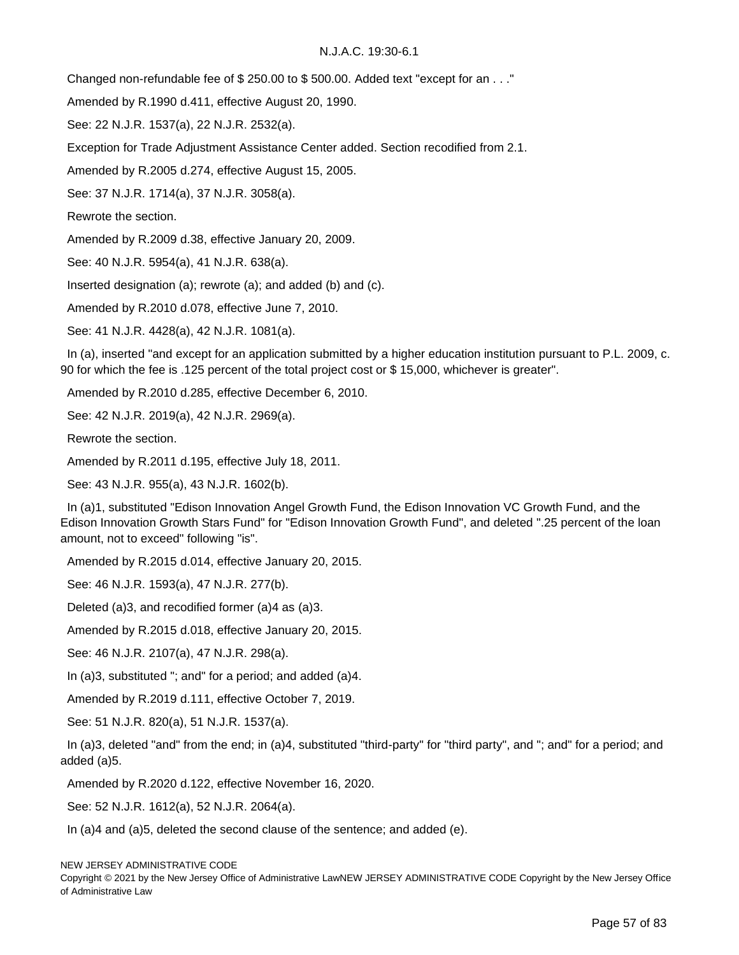Changed non-refundable fee of \$ 250.00 to \$ 500.00. Added text "except for an . . ."

Amended by R.1990 d.411, effective August 20, 1990.

See: 22 N.J.R. 1537(a), 22 N.J.R. 2532(a).

Exception for Trade Adjustment Assistance Center added. Section recodified from 2.1.

Amended by R.2005 d.274, effective August 15, 2005.

See: 37 N.J.R. 1714(a), 37 N.J.R. 3058(a).

Rewrote the section.

Amended by R.2009 d.38, effective January 20, 2009.

See: 40 N.J.R. 5954(a), 41 N.J.R. 638(a).

Inserted designation (a); rewrote (a); and added (b) and (c).

Amended by R.2010 d.078, effective June 7, 2010.

See: 41 N.J.R. 4428(a), 42 N.J.R. 1081(a).

 In (a), inserted "and except for an application submitted by a higher education institution pursuant to P.L. 2009, c. 90 for which the fee is .125 percent of the total project cost or \$ 15,000, whichever is greater".

Amended by R.2010 d.285, effective December 6, 2010.

See: 42 N.J.R. 2019(a), 42 N.J.R. 2969(a).

Rewrote the section.

Amended by R.2011 d.195, effective July 18, 2011.

See: 43 N.J.R. 955(a), 43 N.J.R. 1602(b).

 In (a)1, substituted "Edison Innovation Angel Growth Fund, the Edison Innovation VC Growth Fund, and the Edison Innovation Growth Stars Fund" for "Edison Innovation Growth Fund", and deleted ".25 percent of the loan amount, not to exceed" following "is".

Amended by R.2015 d.014, effective January 20, 2015.

See: 46 N.J.R. 1593(a), 47 N.J.R. 277(b).

Deleted (a)3, and recodified former (a)4 as (a)3.

Amended by R.2015 d.018, effective January 20, 2015.

See: 46 N.J.R. 2107(a), 47 N.J.R. 298(a).

In (a)3, substituted "; and" for a period; and added (a)4.

Amended by R.2019 d.111, effective October 7, 2019.

See: 51 N.J.R. 820(a), 51 N.J.R. 1537(a).

 In (a)3, deleted "and" from the end; in (a)4, substituted "third-party" for "third party", and "; and" for a period; and added (a)5.

Amended by R.2020 d.122, effective November 16, 2020.

See: 52 N.J.R. 1612(a), 52 N.J.R. 2064(a).

In (a)4 and (a)5, deleted the second clause of the sentence; and added (e).

Copyright © 2021 by the New Jersey Office of Administrative LawNEW JERSEY ADMINISTRATIVE CODE Copyright by the New Jersey Office of Administrative Law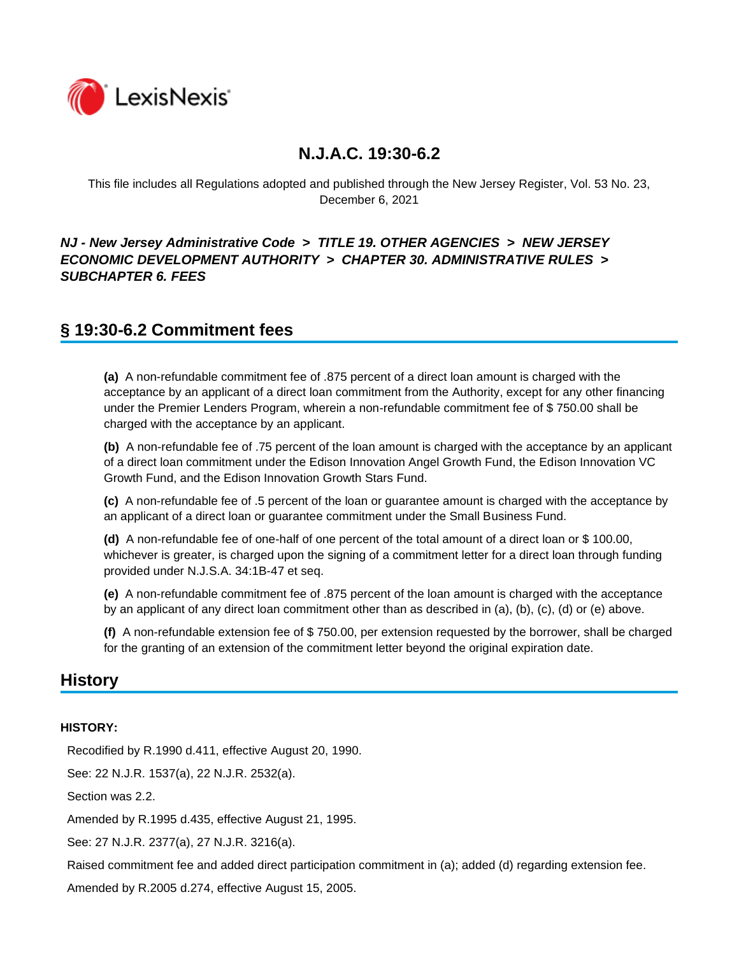

This file includes all Regulations adopted and published through the New Jersey Register, Vol. 53 No. 23, December 6, 2021

### *NJ - New Jersey Administrative Code* **>** *TITLE 19. OTHER AGENCIES* **>** *NEW JERSEY ECONOMIC DEVELOPMENT AUTHORITY* **>** *CHAPTER 30. ADMINISTRATIVE RULES* **>**  *SUBCHAPTER 6. FEES*

## **§ 19:30-6.2 Commitment fees**

**(a)** A non-refundable commitment fee of .875 percent of a direct loan amount is charged with the acceptance by an applicant of a direct loan commitment from the Authority, except for any other financing under the Premier Lenders Program, wherein a non-refundable commitment fee of \$ 750.00 shall be charged with the acceptance by an applicant.

**(b)** A non-refundable fee of .75 percent of the loan amount is charged with the acceptance by an applicant of a direct loan commitment under the Edison Innovation Angel Growth Fund, the Edison Innovation VC Growth Fund, and the Edison Innovation Growth Stars Fund.

**(c)** A non-refundable fee of .5 percent of the loan or guarantee amount is charged with the acceptance by an applicant of a direct loan or guarantee commitment under the Small Business Fund.

**(d)** A non-refundable fee of one-half of one percent of the total amount of a direct loan or \$ 100.00, whichever is greater, is charged upon the signing of a commitment letter for a direct loan through funding provided under N.J.S.A. 34:1B-47 et seq.

**(e)** A non-refundable commitment fee of .875 percent of the loan amount is charged with the acceptance by an applicant of any direct loan commitment other than as described in (a), (b), (c), (d) or (e) above.

**(f)** A non-refundable extension fee of \$ 750.00, per extension requested by the borrower, shall be charged for the granting of an extension of the commitment letter beyond the original expiration date.

### **History**

#### **HISTORY:**

Recodified by R.1990 d.411, effective August 20, 1990.

See: 22 N.J.R. 1537(a), 22 N.J.R. 2532(a).

Section was 2.2.

Amended by R.1995 d.435, effective August 21, 1995.

See: 27 N.J.R. 2377(a), 27 N.J.R. 3216(a).

Raised commitment fee and added direct participation commitment in (a); added (d) regarding extension fee.

Amended by R.2005 d.274, effective August 15, 2005.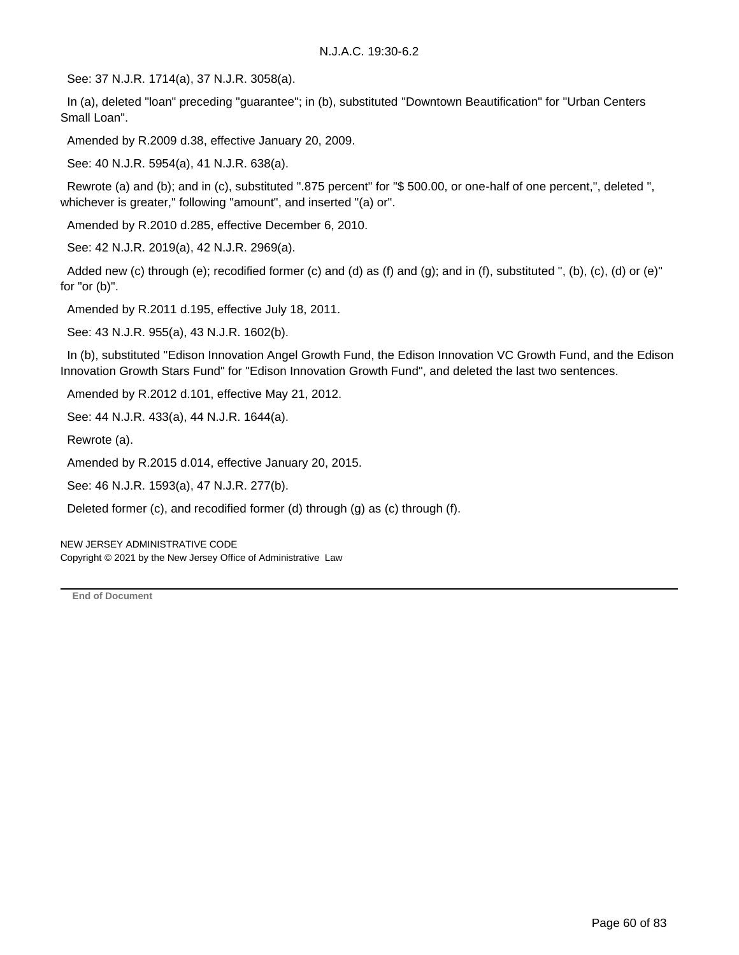See: 37 N.J.R. 1714(a), 37 N.J.R. 3058(a).

 In (a), deleted "loan" preceding "guarantee"; in (b), substituted "Downtown Beautification" for "Urban Centers Small Loan".

Amended by R.2009 d.38, effective January 20, 2009.

See: 40 N.J.R. 5954(a), 41 N.J.R. 638(a).

 Rewrote (a) and (b); and in (c), substituted ".875 percent" for "\$ 500.00, or one-half of one percent,", deleted ", whichever is greater," following "amount", and inserted "(a) or".

Amended by R.2010 d.285, effective December 6, 2010.

See: 42 N.J.R. 2019(a), 42 N.J.R. 2969(a).

 Added new (c) through (e); recodified former (c) and (d) as (f) and (g); and in (f), substituted ", (b), (c), (d) or (e)" for "or (b)".

Amended by R.2011 d.195, effective July 18, 2011.

See: 43 N.J.R. 955(a), 43 N.J.R. 1602(b).

 In (b), substituted "Edison Innovation Angel Growth Fund, the Edison Innovation VC Growth Fund, and the Edison Innovation Growth Stars Fund" for "Edison Innovation Growth Fund", and deleted the last two sentences.

Amended by R.2012 d.101, effective May 21, 2012.

See: 44 N.J.R. 433(a), 44 N.J.R. 1644(a).

Rewrote (a).

Amended by R.2015 d.014, effective January 20, 2015.

See: 46 N.J.R. 1593(a), 47 N.J.R. 277(b).

Deleted former (c), and recodified former (d) through (g) as (c) through (f).

NEW JERSEY ADMINISTRATIVE CODE Copyright © 2021 by the New Jersey Office of Administrative Law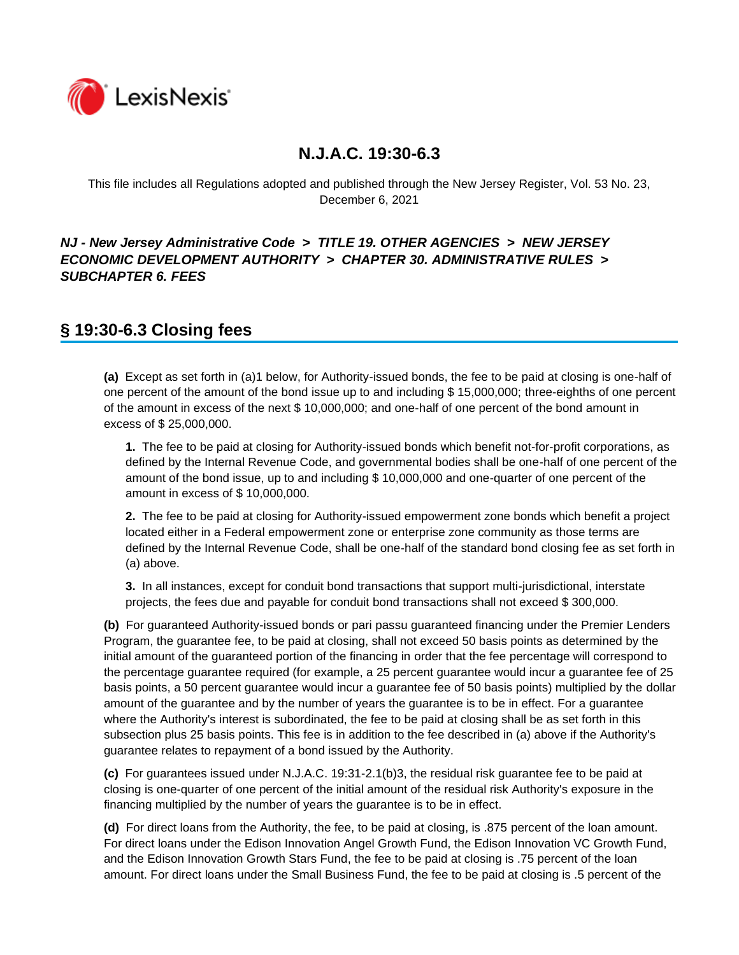

This file includes all Regulations adopted and published through the New Jersey Register, Vol. 53 No. 23, December 6, 2021

### *NJ - New Jersey Administrative Code* **>** *TITLE 19. OTHER AGENCIES* **>** *NEW JERSEY ECONOMIC DEVELOPMENT AUTHORITY* **>** *CHAPTER 30. ADMINISTRATIVE RULES* **>**  *SUBCHAPTER 6. FEES*

## **§ 19:30-6.3 Closing fees**

**(a)** Except as set forth in (a)1 below, for Authority-issued bonds, the fee to be paid at closing is one-half of one percent of the amount of the bond issue up to and including \$ 15,000,000; three-eighths of one percent of the amount in excess of the next \$ 10,000,000; and one-half of one percent of the bond amount in excess of \$ 25,000,000.

**1.** The fee to be paid at closing for Authority-issued bonds which benefit not-for-profit corporations, as defined by the Internal Revenue Code, and governmental bodies shall be one-half of one percent of the amount of the bond issue, up to and including \$ 10,000,000 and one-quarter of one percent of the amount in excess of \$ 10,000,000.

**2.** The fee to be paid at closing for Authority-issued empowerment zone bonds which benefit a project located either in a Federal empowerment zone or enterprise zone community as those terms are defined by the Internal Revenue Code, shall be one-half of the standard bond closing fee as set forth in (a) above.

**3.** In all instances, except for conduit bond transactions that support multi-jurisdictional, interstate projects, the fees due and payable for conduit bond transactions shall not exceed \$ 300,000.

**(b)** For guaranteed Authority-issued bonds or pari passu guaranteed financing under the Premier Lenders Program, the guarantee fee, to be paid at closing, shall not exceed 50 basis points as determined by the initial amount of the guaranteed portion of the financing in order that the fee percentage will correspond to the percentage guarantee required (for example, a 25 percent guarantee would incur a guarantee fee of 25 basis points, a 50 percent guarantee would incur a guarantee fee of 50 basis points) multiplied by the dollar amount of the guarantee and by the number of years the guarantee is to be in effect. For a guarantee where the Authority's interest is subordinated, the fee to be paid at closing shall be as set forth in this subsection plus 25 basis points. This fee is in addition to the fee described in (a) above if the Authority's guarantee relates to repayment of a bond issued by the Authority.

**(c)** For guarantees issued under N.J.A.C. 19:31-2.1(b)3, the residual risk guarantee fee to be paid at closing is one-quarter of one percent of the initial amount of the residual risk Authority's exposure in the financing multiplied by the number of years the guarantee is to be in effect.

**(d)** For direct loans from the Authority, the fee, to be paid at closing, is .875 percent of the loan amount. For direct loans under the Edison Innovation Angel Growth Fund, the Edison Innovation VC Growth Fund, and the Edison Innovation Growth Stars Fund, the fee to be paid at closing is .75 percent of the loan amount. For direct loans under the Small Business Fund, the fee to be paid at closing is .5 percent of the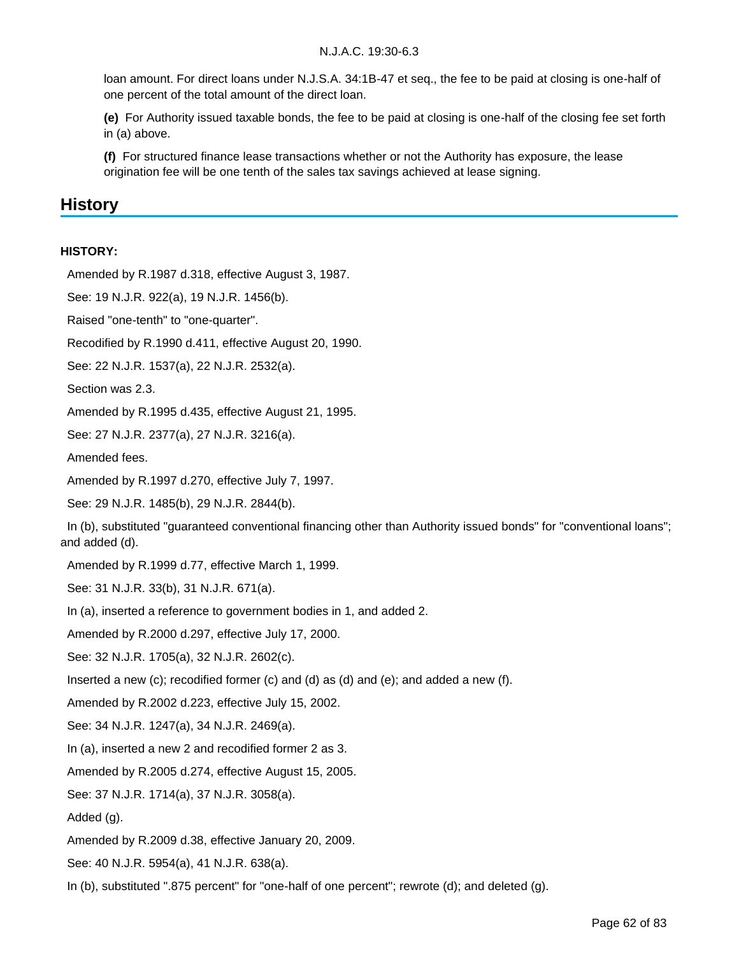loan amount. For direct loans under N.J.S.A. 34:1B-47 et seq., the fee to be paid at closing is one-half of one percent of the total amount of the direct loan.

**(e)** For Authority issued taxable bonds, the fee to be paid at closing is one-half of the closing fee set forth in (a) above.

**(f)** For structured finance lease transactions whether or not the Authority has exposure, the lease origination fee will be one tenth of the sales tax savings achieved at lease signing.

### **History**

#### **HISTORY:**

Amended by R.1987 d.318, effective August 3, 1987.

See: 19 N.J.R. 922(a), 19 N.J.R. 1456(b).

Raised "one-tenth" to "one-quarter".

Recodified by R.1990 d.411, effective August 20, 1990.

See: 22 N.J.R. 1537(a), 22 N.J.R. 2532(a).

Section was 2.3.

Amended by R.1995 d.435, effective August 21, 1995.

See: 27 N.J.R. 2377(a), 27 N.J.R. 3216(a).

Amended fees.

Amended by R.1997 d.270, effective July 7, 1997.

See: 29 N.J.R. 1485(b), 29 N.J.R. 2844(b).

 In (b), substituted "guaranteed conventional financing other than Authority issued bonds" for "conventional loans"; and added (d).

Amended by R.1999 d.77, effective March 1, 1999.

See: 31 N.J.R. 33(b), 31 N.J.R. 671(a).

In (a), inserted a reference to government bodies in 1, and added 2.

Amended by R.2000 d.297, effective July 17, 2000.

See: 32 N.J.R. 1705(a), 32 N.J.R. 2602(c).

Inserted a new  $(c)$ ; recodified former  $(c)$  and  $(d)$  as  $(d)$  and  $(e)$ ; and added a new  $(f)$ .

Amended by R.2002 d.223, effective July 15, 2002.

See: 34 N.J.R. 1247(a), 34 N.J.R. 2469(a).

In (a), inserted a new 2 and recodified former 2 as 3.

Amended by R.2005 d.274, effective August 15, 2005.

See: 37 N.J.R. 1714(a), 37 N.J.R. 3058(a).

Added (g).

Amended by R.2009 d.38, effective January 20, 2009.

See: 40 N.J.R. 5954(a), 41 N.J.R. 638(a).

In (b), substituted ".875 percent" for "one-half of one percent"; rewrote (d); and deleted (g).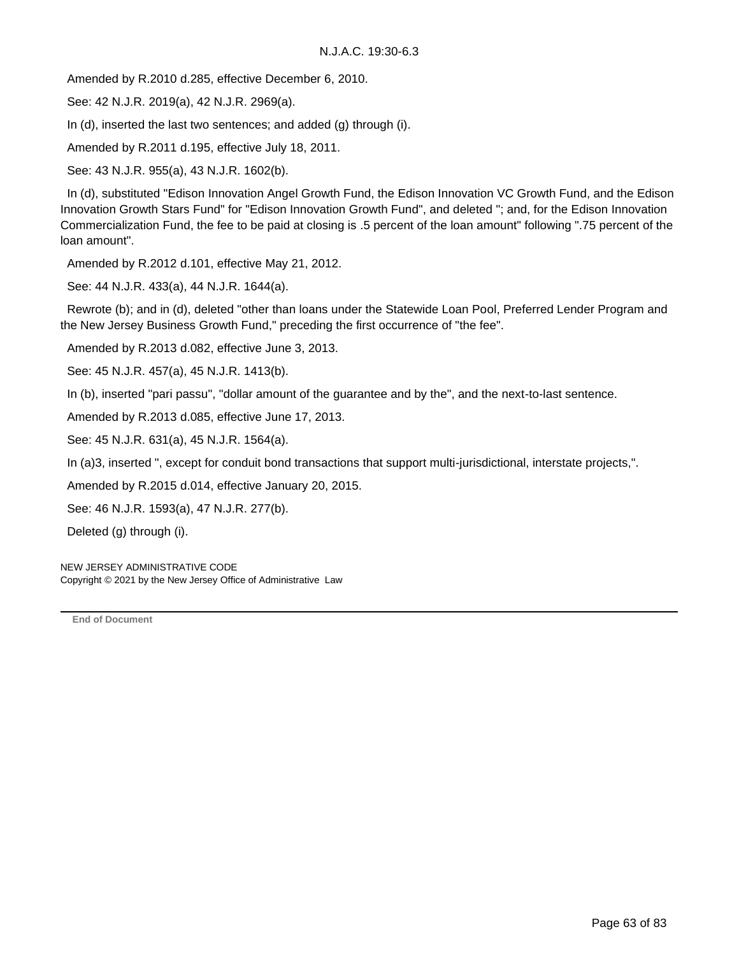Amended by R.2010 d.285, effective December 6, 2010.

See: 42 N.J.R. 2019(a), 42 N.J.R. 2969(a).

In (d), inserted the last two sentences; and added (g) through (i).

Amended by R.2011 d.195, effective July 18, 2011.

See: 43 N.J.R. 955(a), 43 N.J.R. 1602(b).

 In (d), substituted "Edison Innovation Angel Growth Fund, the Edison Innovation VC Growth Fund, and the Edison Innovation Growth Stars Fund" for "Edison Innovation Growth Fund", and deleted "; and, for the Edison Innovation Commercialization Fund, the fee to be paid at closing is .5 percent of the loan amount" following ".75 percent of the loan amount".

Amended by R.2012 d.101, effective May 21, 2012.

See: 44 N.J.R. 433(a), 44 N.J.R. 1644(a).

 Rewrote (b); and in (d), deleted "other than loans under the Statewide Loan Pool, Preferred Lender Program and the New Jersey Business Growth Fund," preceding the first occurrence of "the fee".

Amended by R.2013 d.082, effective June 3, 2013.

See: 45 N.J.R. 457(a), 45 N.J.R. 1413(b).

In (b), inserted "pari passu", "dollar amount of the guarantee and by the", and the next-to-last sentence.

Amended by R.2013 d.085, effective June 17, 2013.

See: 45 N.J.R. 631(a), 45 N.J.R. 1564(a).

In (a)3, inserted ", except for conduit bond transactions that support multi-jurisdictional, interstate projects,".

Amended by R.2015 d.014, effective January 20, 2015.

See: 46 N.J.R. 1593(a), 47 N.J.R. 277(b).

Deleted (g) through (i).

NEW JERSEY ADMINISTRATIVE CODE Copyright © 2021 by the New Jersey Office of Administrative Law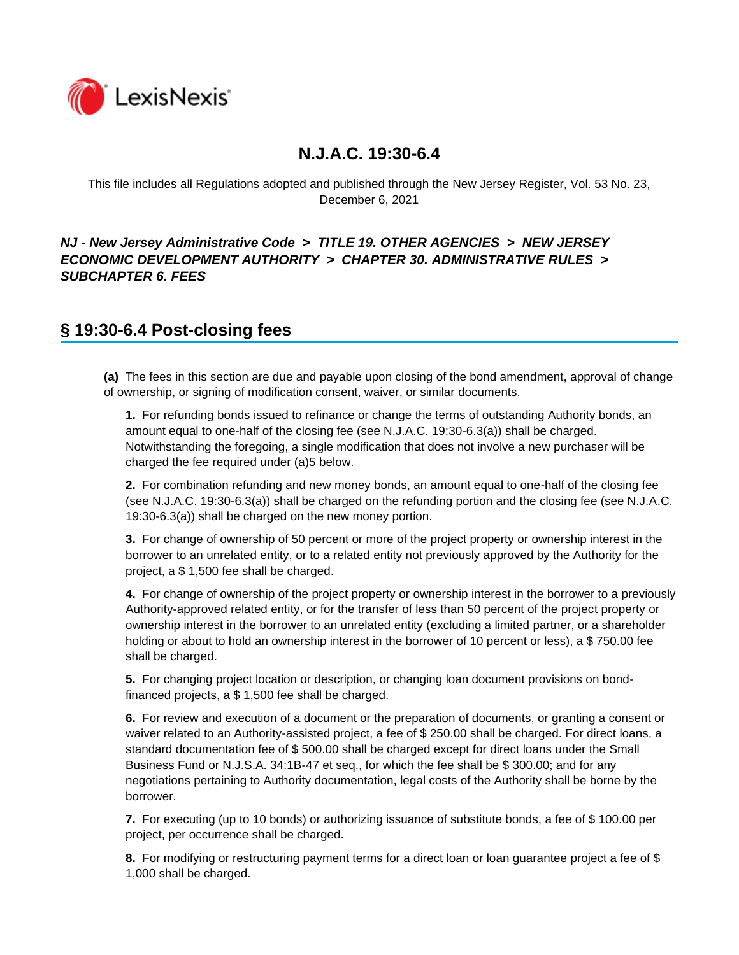

This file includes all Regulations adopted and published through the New Jersey Register, Vol. 53 No. 23, December 6, 2021

### *NJ - New Jersey Administrative Code* **>** *TITLE 19. OTHER AGENCIES* **>** *NEW JERSEY ECONOMIC DEVELOPMENT AUTHORITY* **>** *CHAPTER 30. ADMINISTRATIVE RULES* **>**  *SUBCHAPTER 6. FEES*

## **§ 19:30-6.4 Post-closing fees**

**(a)** The fees in this section are due and payable upon closing of the bond amendment, approval of change of ownership, or signing of modification consent, waiver, or similar documents.

**1.** For refunding bonds issued to refinance or change the terms of outstanding Authority bonds, an amount equal to one-half of the closing fee (see N.J.A.C. 19:30-6.3(a)) shall be charged. Notwithstanding the foregoing, a single modification that does not involve a new purchaser will be charged the fee required under (a)5 below.

**2.** For combination refunding and new money bonds, an amount equal to one-half of the closing fee (see N.J.A.C. 19:30-6.3(a)) shall be charged on the refunding portion and the closing fee (see N.J.A.C. 19:30-6.3(a)) shall be charged on the new money portion.

**3.** For change of ownership of 50 percent or more of the project property or ownership interest in the borrower to an unrelated entity, or to a related entity not previously approved by the Authority for the project, a \$ 1,500 fee shall be charged.

**4.** For change of ownership of the project property or ownership interest in the borrower to a previously Authority-approved related entity, or for the transfer of less than 50 percent of the project property or ownership interest in the borrower to an unrelated entity (excluding a limited partner, or a shareholder holding or about to hold an ownership interest in the borrower of 10 percent or less), a \$750.00 fee shall be charged.

**5.** For changing project location or description, or changing loan document provisions on bondfinanced projects, a \$ 1,500 fee shall be charged.

**6.** For review and execution of a document or the preparation of documents, or granting a consent or waiver related to an Authority-assisted project, a fee of \$ 250.00 shall be charged. For direct loans, a standard documentation fee of \$ 500.00 shall be charged except for direct loans under the Small Business Fund or N.J.S.A. 34:1B-47 et seq., for which the fee shall be \$ 300.00; and for any negotiations pertaining to Authority documentation, legal costs of the Authority shall be borne by the borrower.

**7.** For executing (up to 10 bonds) or authorizing issuance of substitute bonds, a fee of \$ 100.00 per project, per occurrence shall be charged.

**8.** For modifying or restructuring payment terms for a direct loan or loan guarantee project a fee of \$ 1,000 shall be charged.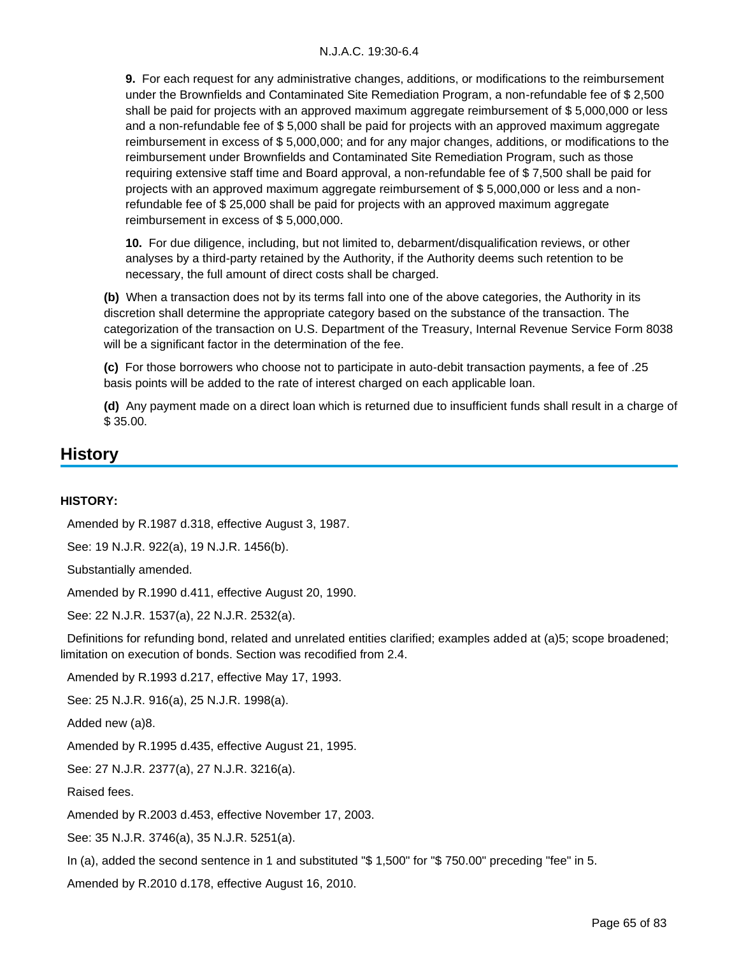**9.** For each request for any administrative changes, additions, or modifications to the reimbursement under the Brownfields and Contaminated Site Remediation Program, a non-refundable fee of \$ 2,500 shall be paid for projects with an approved maximum aggregate reimbursement of \$ 5,000,000 or less and a non-refundable fee of \$ 5,000 shall be paid for projects with an approved maximum aggregate reimbursement in excess of \$ 5,000,000; and for any major changes, additions, or modifications to the reimbursement under Brownfields and Contaminated Site Remediation Program, such as those requiring extensive staff time and Board approval, a non-refundable fee of \$ 7,500 shall be paid for projects with an approved maximum aggregate reimbursement of \$ 5,000,000 or less and a nonrefundable fee of \$ 25,000 shall be paid for projects with an approved maximum aggregate reimbursement in excess of \$ 5,000,000.

**10.** For due diligence, including, but not limited to, debarment/disqualification reviews, or other analyses by a third-party retained by the Authority, if the Authority deems such retention to be necessary, the full amount of direct costs shall be charged.

**(b)** When a transaction does not by its terms fall into one of the above categories, the Authority in its discretion shall determine the appropriate category based on the substance of the transaction. The categorization of the transaction on U.S. Department of the Treasury, Internal Revenue Service Form 8038 will be a significant factor in the determination of the fee.

**(c)** For those borrowers who choose not to participate in auto-debit transaction payments, a fee of .25 basis points will be added to the rate of interest charged on each applicable loan.

**(d)** Any payment made on a direct loan which is returned due to insufficient funds shall result in a charge of \$ 35.00.

## **History**

#### **HISTORY:**

Amended by R.1987 d.318, effective August 3, 1987.

See: 19 N.J.R. 922(a), 19 N.J.R. 1456(b).

Substantially amended.

Amended by R.1990 d.411, effective August 20, 1990.

See: 22 N.J.R. 1537(a), 22 N.J.R. 2532(a).

 Definitions for refunding bond, related and unrelated entities clarified; examples added at (a)5; scope broadened; limitation on execution of bonds. Section was recodified from 2.4.

Amended by R.1993 d.217, effective May 17, 1993.

See: 25 N.J.R. 916(a), 25 N.J.R. 1998(a).

Added new (a)8.

Amended by R.1995 d.435, effective August 21, 1995.

See: 27 N.J.R. 2377(a), 27 N.J.R. 3216(a).

Raised fees.

Amended by R.2003 d.453, effective November 17, 2003.

See: 35 N.J.R. 3746(a), 35 N.J.R. 5251(a).

In (a), added the second sentence in 1 and substituted "\$ 1,500" for "\$ 750.00" preceding "fee" in 5.

Amended by R.2010 d.178, effective August 16, 2010.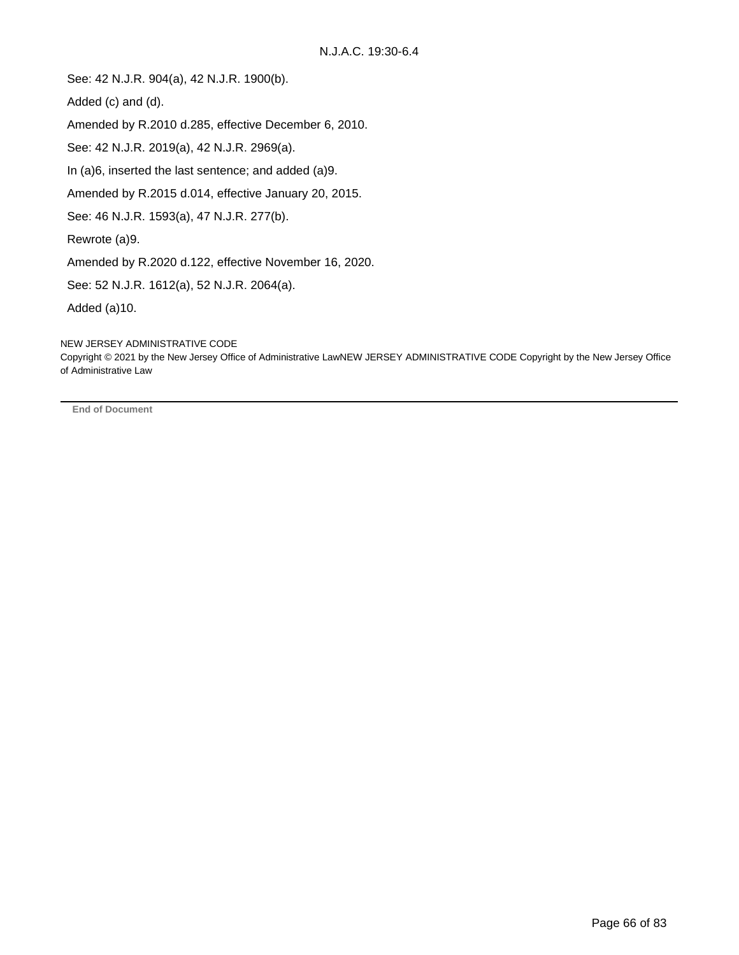See: 42 N.J.R. 904(a), 42 N.J.R. 1900(b).

Added (c) and (d).

Amended by R.2010 d.285, effective December 6, 2010.

See: 42 N.J.R. 2019(a), 42 N.J.R. 2969(a).

In (a)6, inserted the last sentence; and added (a)9.

Amended by R.2015 d.014, effective January 20, 2015.

See: 46 N.J.R. 1593(a), 47 N.J.R. 277(b).

Rewrote (a)9.

Amended by R.2020 d.122, effective November 16, 2020.

See: 52 N.J.R. 1612(a), 52 N.J.R. 2064(a).

Added (a)10.

NEW JERSEY ADMINISTRATIVE CODE

Copyright © 2021 by the New Jersey Office of Administrative LawNEW JERSEY ADMINISTRATIVE CODE Copyright by the New Jersey Office of Administrative Law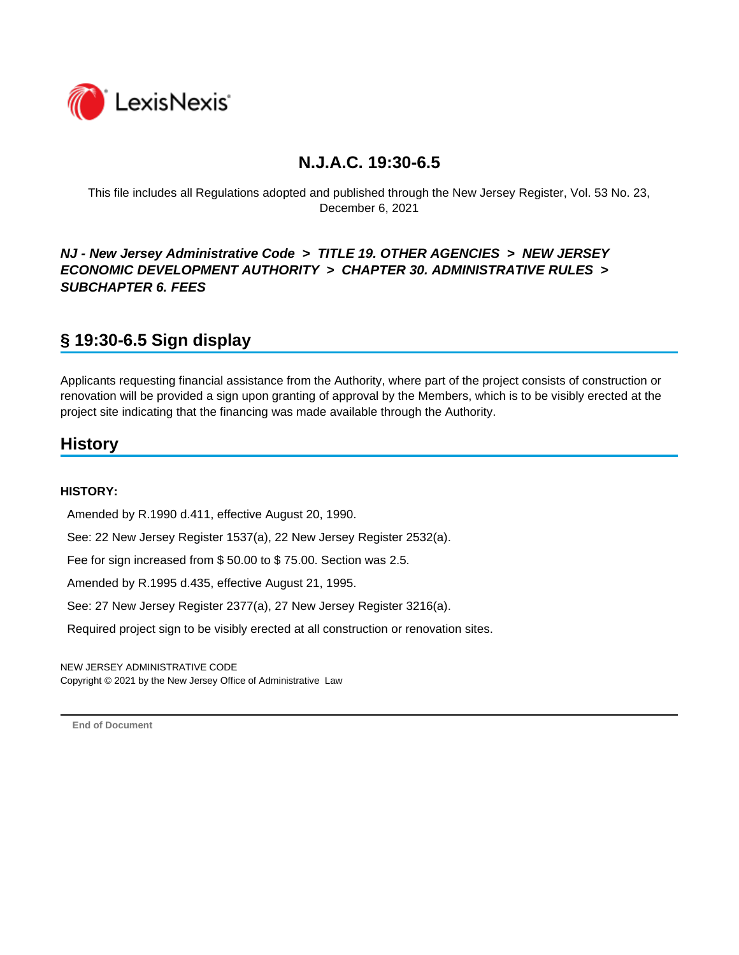

This file includes all Regulations adopted and published through the New Jersey Register, Vol. 53 No. 23, December 6, 2021

### *NJ - New Jersey Administrative Code* **>** *TITLE 19. OTHER AGENCIES* **>** *NEW JERSEY ECONOMIC DEVELOPMENT AUTHORITY* **>** *CHAPTER 30. ADMINISTRATIVE RULES* **>**  *SUBCHAPTER 6. FEES*

# **§ 19:30-6.5 Sign display**

Applicants requesting financial assistance from the Authority, where part of the project consists of construction or renovation will be provided a sign upon granting of approval by the Members, which is to be visibly erected at the project site indicating that the financing was made available through the Authority.

## **History**

#### **HISTORY:**

Amended by R.1990 d.411, effective August 20, 1990.

See: 22 New Jersey Register 1537(a), 22 New Jersey Register 2532(a).

Fee for sign increased from \$ 50.00 to \$ 75.00. Section was 2.5.

Amended by R.1995 d.435, effective August 21, 1995.

See: 27 New Jersey Register 2377(a), 27 New Jersey Register 3216(a).

Required project sign to be visibly erected at all construction or renovation sites.

NEW JERSEY ADMINISTRATIVE CODE Copyright © 2021 by the New Jersey Office of Administrative Law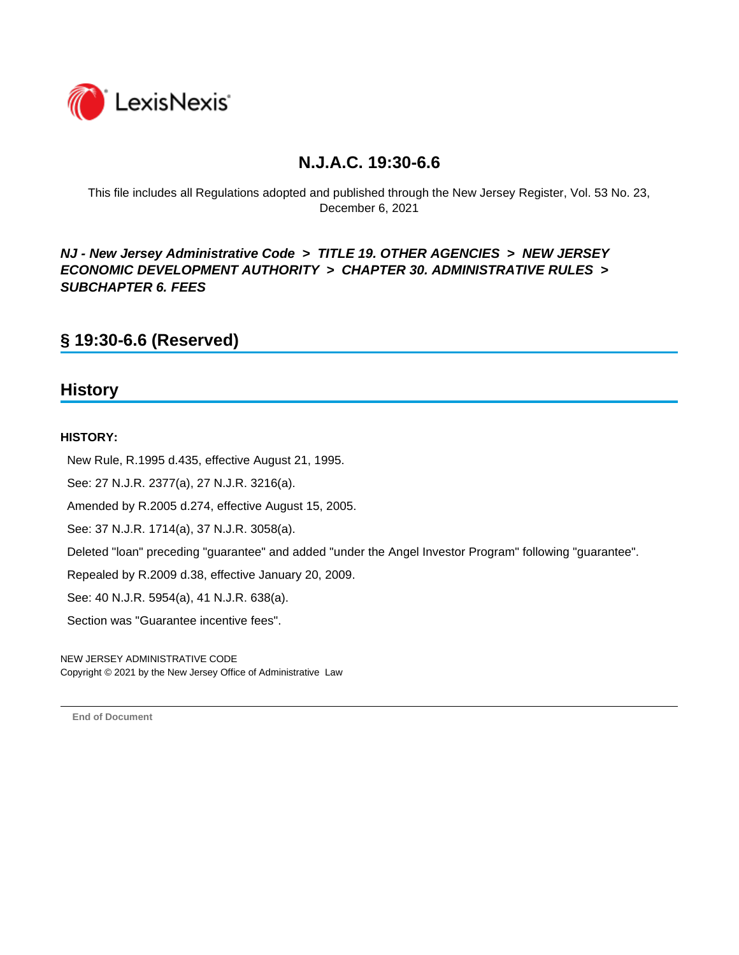

This file includes all Regulations adopted and published through the New Jersey Register, Vol. 53 No. 23, December 6, 2021

*NJ - New Jersey Administrative Code* **>** *TITLE 19. OTHER AGENCIES* **>** *NEW JERSEY ECONOMIC DEVELOPMENT AUTHORITY* **>** *CHAPTER 30. ADMINISTRATIVE RULES* **>**  *SUBCHAPTER 6. FEES*

## **§ 19:30-6.6 (Reserved)**

### **History**

#### **HISTORY:**

New Rule, R.1995 d.435, effective August 21, 1995.

See: 27 N.J.R. 2377(a), 27 N.J.R. 3216(a).

Amended by R.2005 d.274, effective August 15, 2005.

See: 37 N.J.R. 1714(a), 37 N.J.R. 3058(a).

Deleted "loan" preceding "guarantee" and added "under the Angel Investor Program" following "guarantee".

Repealed by R.2009 d.38, effective January 20, 2009.

See: 40 N.J.R. 5954(a), 41 N.J.R. 638(a).

Section was "Guarantee incentive fees".

NEW JERSEY ADMINISTRATIVE CODE Copyright © 2021 by the New Jersey Office of Administrative Law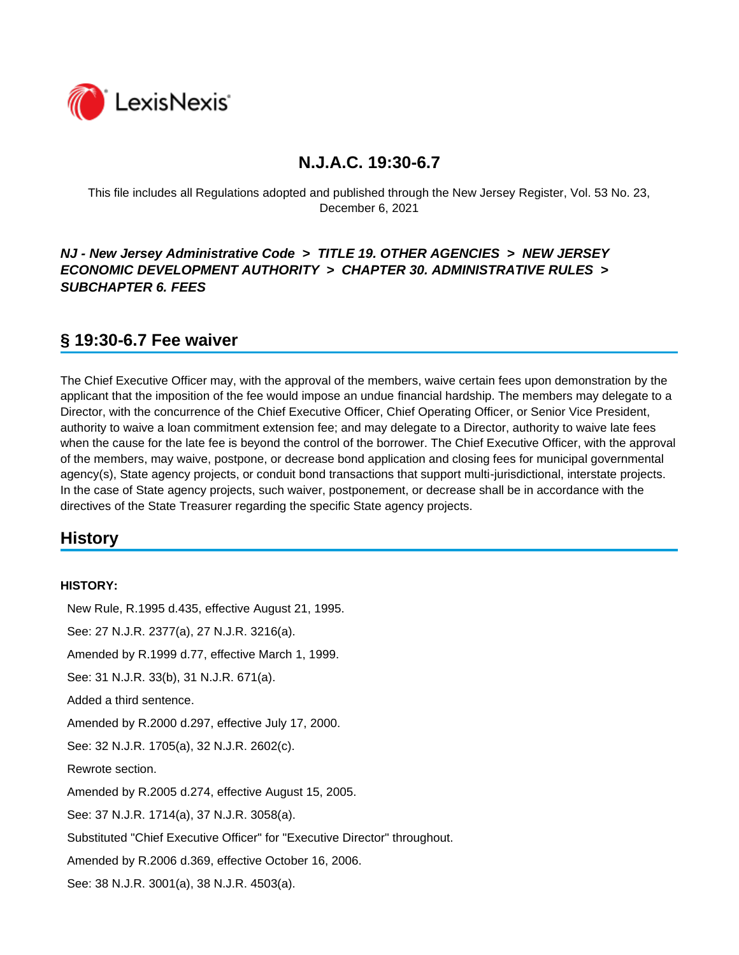

This file includes all Regulations adopted and published through the New Jersey Register, Vol. 53 No. 23, December 6, 2021

### *NJ - New Jersey Administrative Code* **>** *TITLE 19. OTHER AGENCIES* **>** *NEW JERSEY ECONOMIC DEVELOPMENT AUTHORITY* **>** *CHAPTER 30. ADMINISTRATIVE RULES* **>**  *SUBCHAPTER 6. FEES*

## **§ 19:30-6.7 Fee waiver**

The Chief Executive Officer may, with the approval of the members, waive certain fees upon demonstration by the applicant that the imposition of the fee would impose an undue financial hardship. The members may delegate to a Director, with the concurrence of the Chief Executive Officer, Chief Operating Officer, or Senior Vice President, authority to waive a loan commitment extension fee; and may delegate to a Director, authority to waive late fees when the cause for the late fee is beyond the control of the borrower. The Chief Executive Officer, with the approval of the members, may waive, postpone, or decrease bond application and closing fees for municipal governmental agency(s), State agency projects, or conduit bond transactions that support multi-jurisdictional, interstate projects. In the case of State agency projects, such waiver, postponement, or decrease shall be in accordance with the directives of the State Treasurer regarding the specific State agency projects.

## **History**

#### **HISTORY:**

 New Rule, R.1995 d.435, effective August 21, 1995. See: 27 N.J.R. 2377(a), 27 N.J.R. 3216(a). Amended by R.1999 d.77, effective March 1, 1999. See: 31 N.J.R. 33(b), 31 N.J.R. 671(a). Added a third sentence. Amended by R.2000 d.297, effective July 17, 2000. See: 32 N.J.R. 1705(a), 32 N.J.R. 2602(c). Rewrote section. Amended by R.2005 d.274, effective August 15, 2005. See: 37 N.J.R. 1714(a), 37 N.J.R. 3058(a). Substituted "Chief Executive Officer" for "Executive Director" throughout. Amended by R.2006 d.369, effective October 16, 2006. See: 38 N.J.R. 3001(a), 38 N.J.R. 4503(a).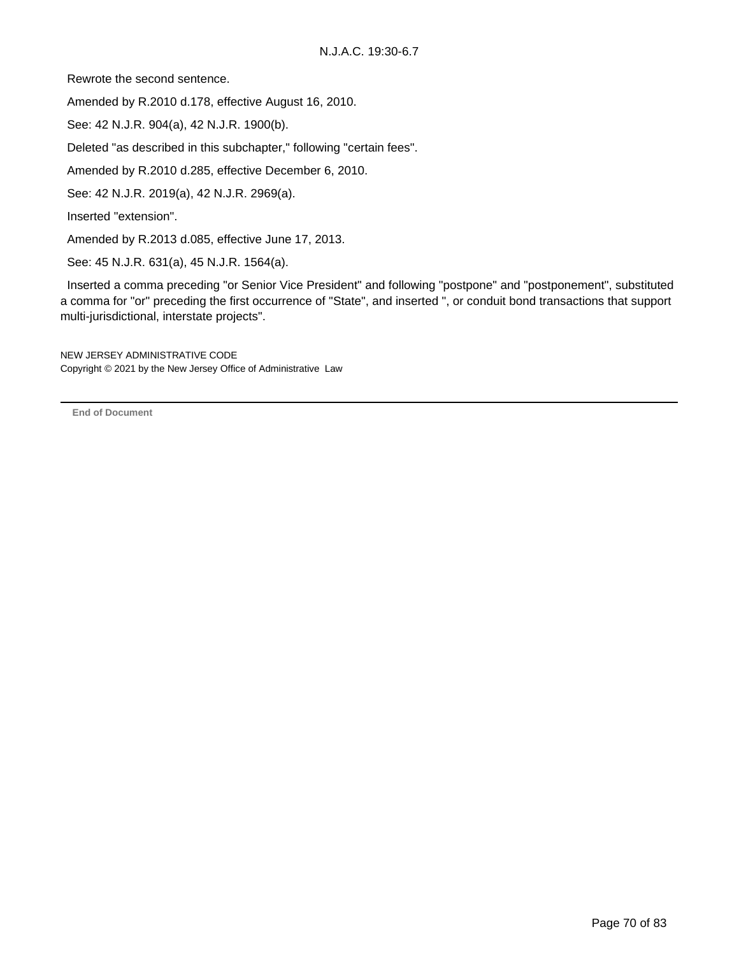Rewrote the second sentence.

Amended by R.2010 d.178, effective August 16, 2010.

See: 42 N.J.R. 904(a), 42 N.J.R. 1900(b).

Deleted "as described in this subchapter," following "certain fees".

Amended by R.2010 d.285, effective December 6, 2010.

See: 42 N.J.R. 2019(a), 42 N.J.R. 2969(a).

Inserted "extension".

Amended by R.2013 d.085, effective June 17, 2013.

See: 45 N.J.R. 631(a), 45 N.J.R. 1564(a).

 Inserted a comma preceding "or Senior Vice President" and following "postpone" and "postponement", substituted a comma for "or" preceding the first occurrence of "State", and inserted ", or conduit bond transactions that support multi-jurisdictional, interstate projects".

NEW JERSEY ADMINISTRATIVE CODE Copyright © 2021 by the New Jersey Office of Administrative Law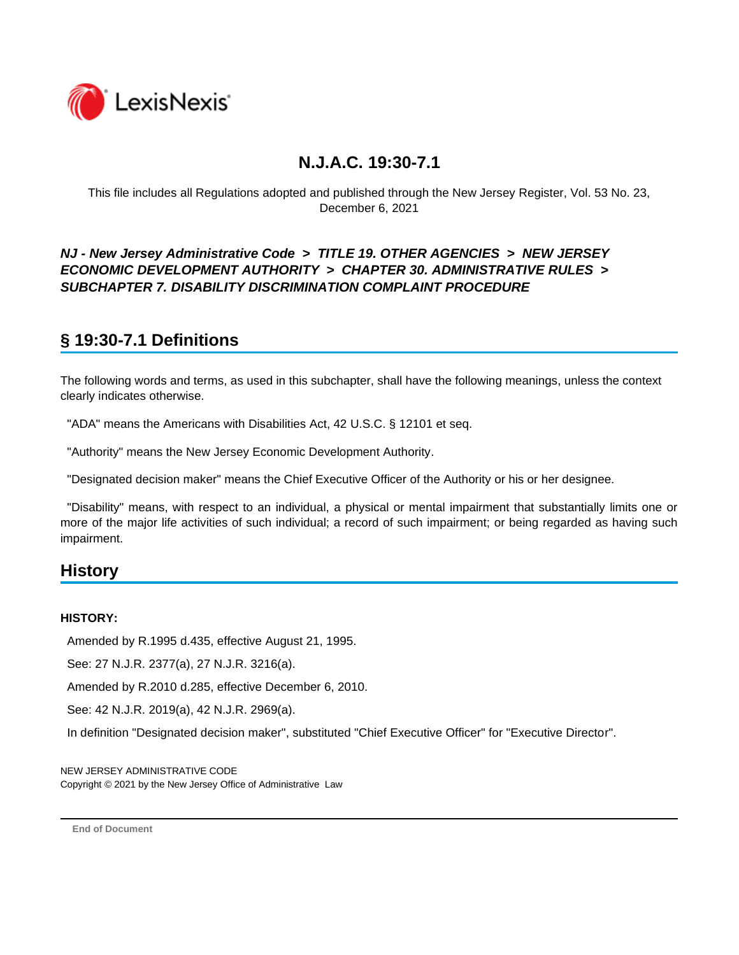

This file includes all Regulations adopted and published through the New Jersey Register, Vol. 53 No. 23, December 6, 2021

### *NJ - New Jersey Administrative Code* **>** *TITLE 19. OTHER AGENCIES* **>** *NEW JERSEY ECONOMIC DEVELOPMENT AUTHORITY* **>** *CHAPTER 30. ADMINISTRATIVE RULES* **>**  *SUBCHAPTER 7. DISABILITY DISCRIMINATION COMPLAINT PROCEDURE*

# **§ 19:30-7.1 Definitions**

The following words and terms, as used in this subchapter, shall have the following meanings, unless the context clearly indicates otherwise.

"ADA" means the Americans with Disabilities Act, 42 U.S.C. § 12101 et seq.

"Authority" means the New Jersey Economic Development Authority.

"Designated decision maker" means the Chief Executive Officer of the Authority or his or her designee.

 "Disability" means, with respect to an individual, a physical or mental impairment that substantially limits one or more of the major life activities of such individual; a record of such impairment; or being regarded as having such impairment.

## **History**

#### **HISTORY:**

Amended by R.1995 d.435, effective August 21, 1995.

See: 27 N.J.R. 2377(a), 27 N.J.R. 3216(a).

Amended by R.2010 d.285, effective December 6, 2010.

See: 42 N.J.R. 2019(a), 42 N.J.R. 2969(a).

In definition "Designated decision maker", substituted "Chief Executive Officer" for "Executive Director".

NEW JERSEY ADMINISTRATIVE CODE Copyright © 2021 by the New Jersey Office of Administrative Law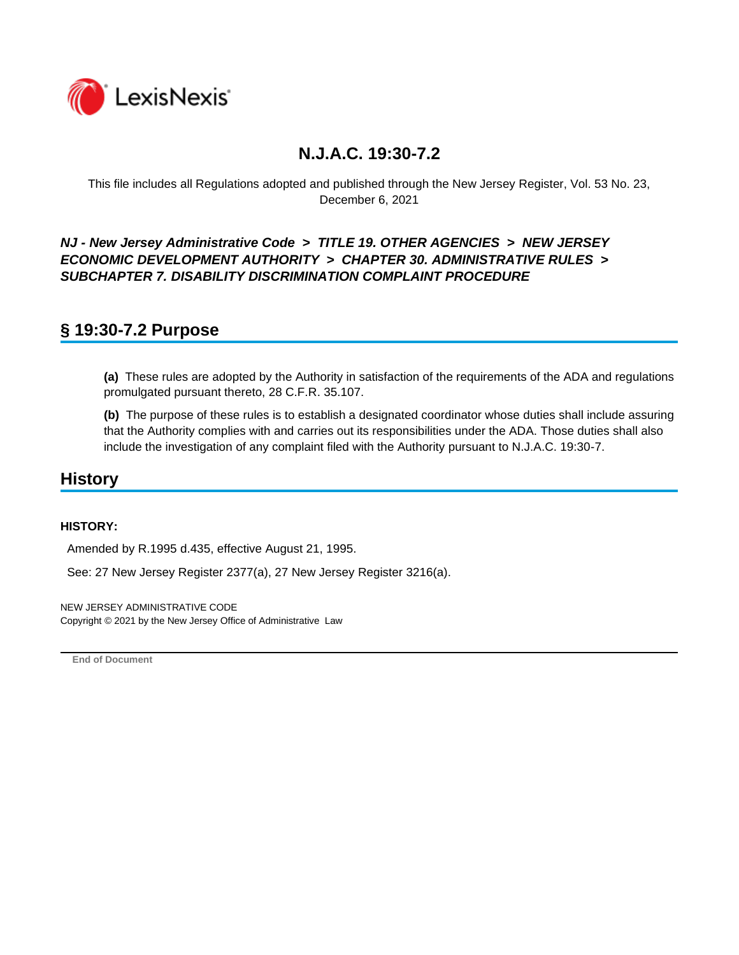

This file includes all Regulations adopted and published through the New Jersey Register, Vol. 53 No. 23, December 6, 2021

*NJ - New Jersey Administrative Code* **>** *TITLE 19. OTHER AGENCIES* **>** *NEW JERSEY ECONOMIC DEVELOPMENT AUTHORITY* **>** *CHAPTER 30. ADMINISTRATIVE RULES* **>**  *SUBCHAPTER 7. DISABILITY DISCRIMINATION COMPLAINT PROCEDURE*

## **§ 19:30-7.2 Purpose**

**(a)** These rules are adopted by the Authority in satisfaction of the requirements of the ADA and regulations promulgated pursuant thereto, 28 C.F.R. 35.107.

**(b)** The purpose of these rules is to establish a designated coordinator whose duties shall include assuring that the Authority complies with and carries out its responsibilities under the ADA. Those duties shall also include the investigation of any complaint filed with the Authority pursuant to N.J.A.C. 19:30-7.

### **History**

#### **HISTORY:**

Amended by R.1995 d.435, effective August 21, 1995.

See: 27 New Jersey Register 2377(a), 27 New Jersey Register 3216(a).

NEW JERSEY ADMINISTRATIVE CODE Copyright © 2021 by the New Jersey Office of Administrative Law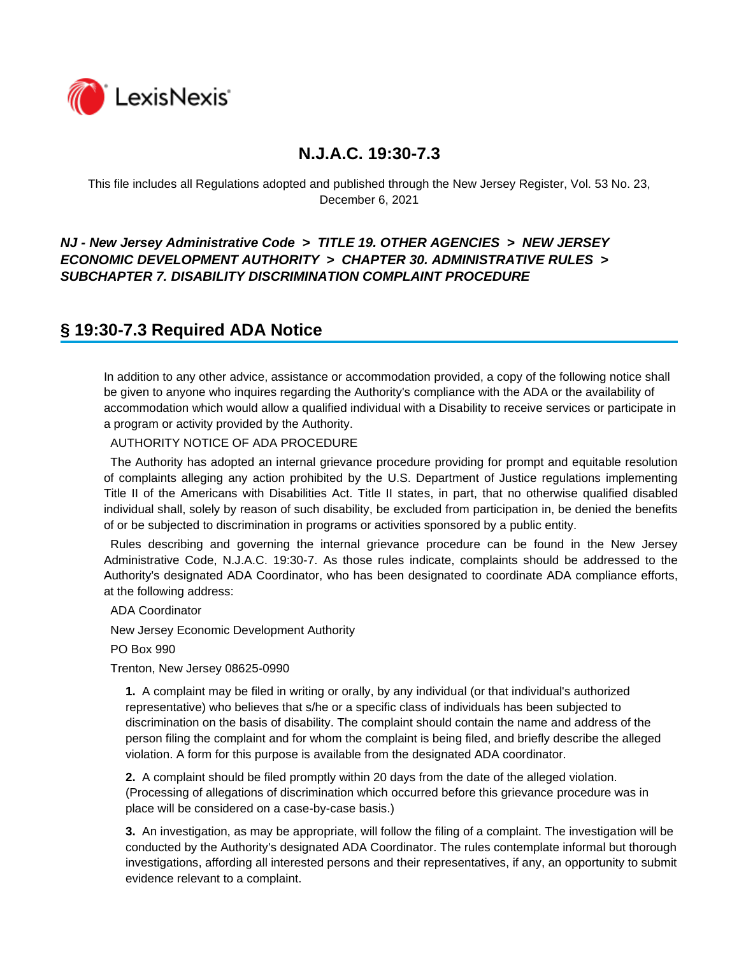

This file includes all Regulations adopted and published through the New Jersey Register, Vol. 53 No. 23, December 6, 2021

### *NJ - New Jersey Administrative Code* **>** *TITLE 19. OTHER AGENCIES* **>** *NEW JERSEY ECONOMIC DEVELOPMENT AUTHORITY* **>** *CHAPTER 30. ADMINISTRATIVE RULES* **>**  *SUBCHAPTER 7. DISABILITY DISCRIMINATION COMPLAINT PROCEDURE*

## **§ 19:30-7.3 Required ADA Notice**

In addition to any other advice, assistance or accommodation provided, a copy of the following notice shall be given to anyone who inquires regarding the Authority's compliance with the ADA or the availability of accommodation which would allow a qualified individual with a Disability to receive services or participate in a program or activity provided by the Authority.

#### AUTHORITY NOTICE OF ADA PROCEDURE

 The Authority has adopted an internal grievance procedure providing for prompt and equitable resolution of complaints alleging any action prohibited by the U.S. Department of Justice regulations implementing Title II of the Americans with Disabilities Act. Title II states, in part, that no otherwise qualified disabled individual shall, solely by reason of such disability, be excluded from participation in, be denied the benefits of or be subjected to discrimination in programs or activities sponsored by a public entity.

 Rules describing and governing the internal grievance procedure can be found in the New Jersey Administrative Code, N.J.A.C. 19:30-7. As those rules indicate, complaints should be addressed to the Authority's designated ADA Coordinator, who has been designated to coordinate ADA compliance efforts, at the following address:

#### ADA Coordinator

New Jersey Economic Development Authority

PO Box 990

Trenton, New Jersey 08625-0990

**1.** A complaint may be filed in writing or orally, by any individual (or that individual's authorized representative) who believes that s/he or a specific class of individuals has been subjected to discrimination on the basis of disability. The complaint should contain the name and address of the person filing the complaint and for whom the complaint is being filed, and briefly describe the alleged violation. A form for this purpose is available from the designated ADA coordinator.

**2.** A complaint should be filed promptly within 20 days from the date of the alleged violation. (Processing of allegations of discrimination which occurred before this grievance procedure was in place will be considered on a case-by-case basis.)

**3.** An investigation, as may be appropriate, will follow the filing of a complaint. The investigation will be conducted by the Authority's designated ADA Coordinator. The rules contemplate informal but thorough investigations, affording all interested persons and their representatives, if any, an opportunity to submit evidence relevant to a complaint.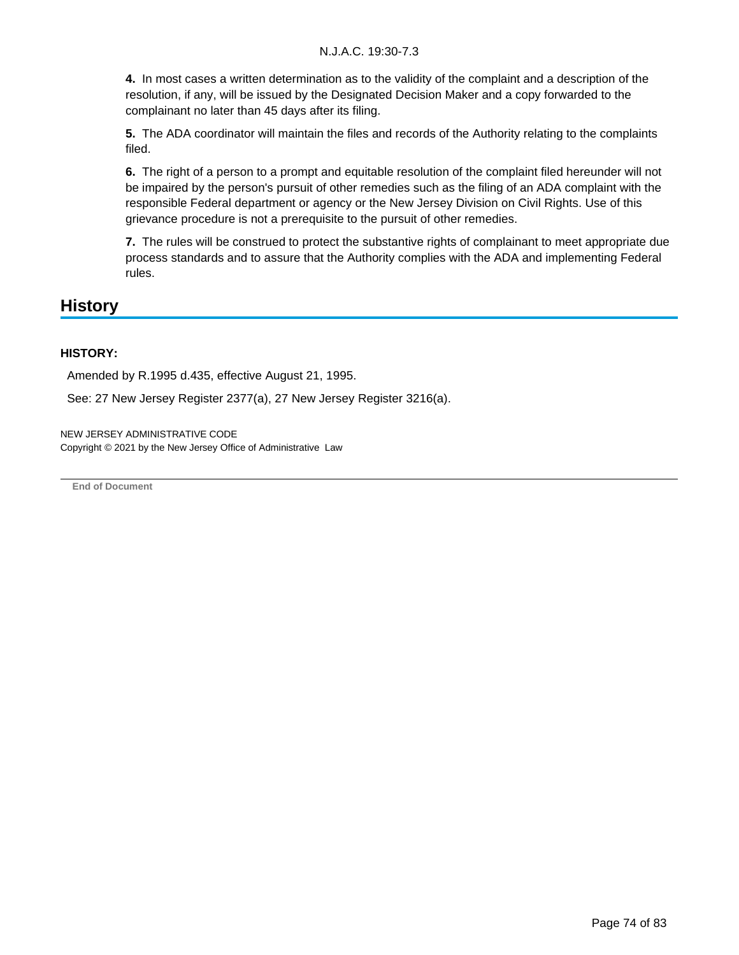**4.** In most cases a written determination as to the validity of the complaint and a description of the resolution, if any, will be issued by the Designated Decision Maker and a copy forwarded to the complainant no later than 45 days after its filing.

**5.** The ADA coordinator will maintain the files and records of the Authority relating to the complaints filed.

**6.** The right of a person to a prompt and equitable resolution of the complaint filed hereunder will not be impaired by the person's pursuit of other remedies such as the filing of an ADA complaint with the responsible Federal department or agency or the New Jersey Division on Civil Rights. Use of this grievance procedure is not a prerequisite to the pursuit of other remedies.

**7.** The rules will be construed to protect the substantive rights of complainant to meet appropriate due process standards and to assure that the Authority complies with the ADA and implementing Federal rules.

### **History**

#### **HISTORY:**

Amended by R.1995 d.435, effective August 21, 1995.

See: 27 New Jersey Register 2377(a), 27 New Jersey Register 3216(a).

NEW JERSEY ADMINISTRATIVE CODE Copyright © 2021 by the New Jersey Office of Administrative Law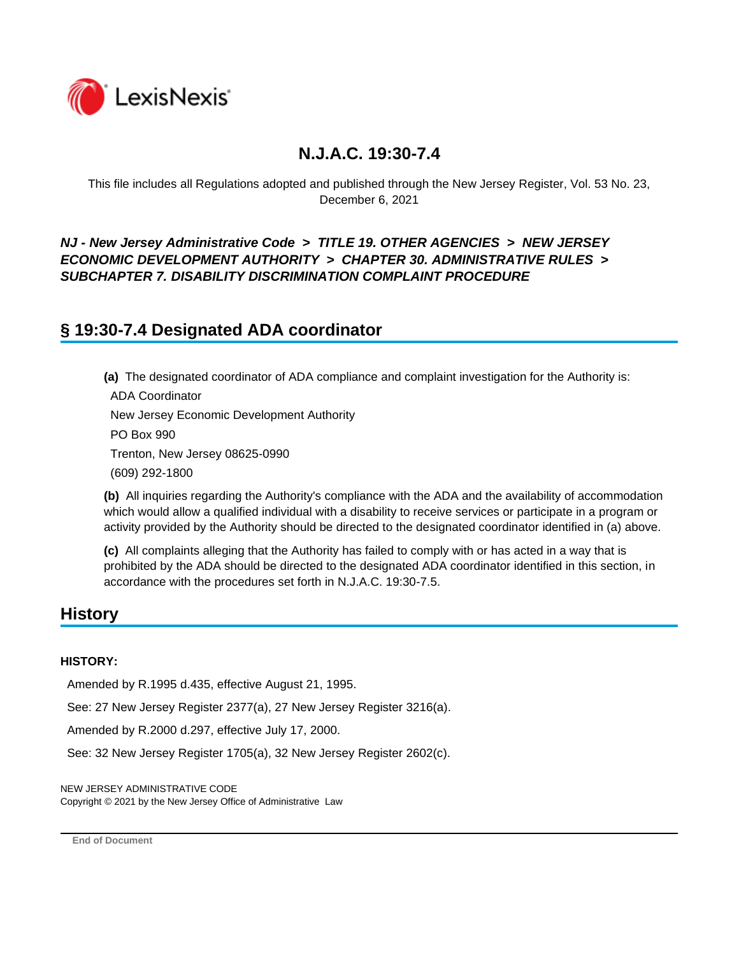

This file includes all Regulations adopted and published through the New Jersey Register, Vol. 53 No. 23, December 6, 2021

### *NJ - New Jersey Administrative Code* **>** *TITLE 19. OTHER AGENCIES* **>** *NEW JERSEY ECONOMIC DEVELOPMENT AUTHORITY* **>** *CHAPTER 30. ADMINISTRATIVE RULES* **>**  *SUBCHAPTER 7. DISABILITY DISCRIMINATION COMPLAINT PROCEDURE*

## **§ 19:30-7.4 Designated ADA coordinator**

**(a)** The designated coordinator of ADA compliance and complaint investigation for the Authority is: ADA Coordinator New Jersey Economic Development Authority PO Box 990 Trenton, New Jersey 08625-0990 (609) 292-1800

**(b)** All inquiries regarding the Authority's compliance with the ADA and the availability of accommodation which would allow a qualified individual with a disability to receive services or participate in a program or activity provided by the Authority should be directed to the designated coordinator identified in (a) above.

**(c)** All complaints alleging that the Authority has failed to comply with or has acted in a way that is prohibited by the ADA should be directed to the designated ADA coordinator identified in this section, in accordance with the procedures set forth in N.J.A.C. 19:30-7.5.

### **History**

#### **HISTORY:**

Amended by R.1995 d.435, effective August 21, 1995.

See: 27 New Jersey Register 2377(a), 27 New Jersey Register 3216(a).

Amended by R.2000 d.297, effective July 17, 2000.

See: 32 New Jersey Register 1705(a), 32 New Jersey Register 2602(c).

NEW JERSEY ADMINISTRATIVE CODE

Copyright © 2021 by the New Jersey Office of Administrative Law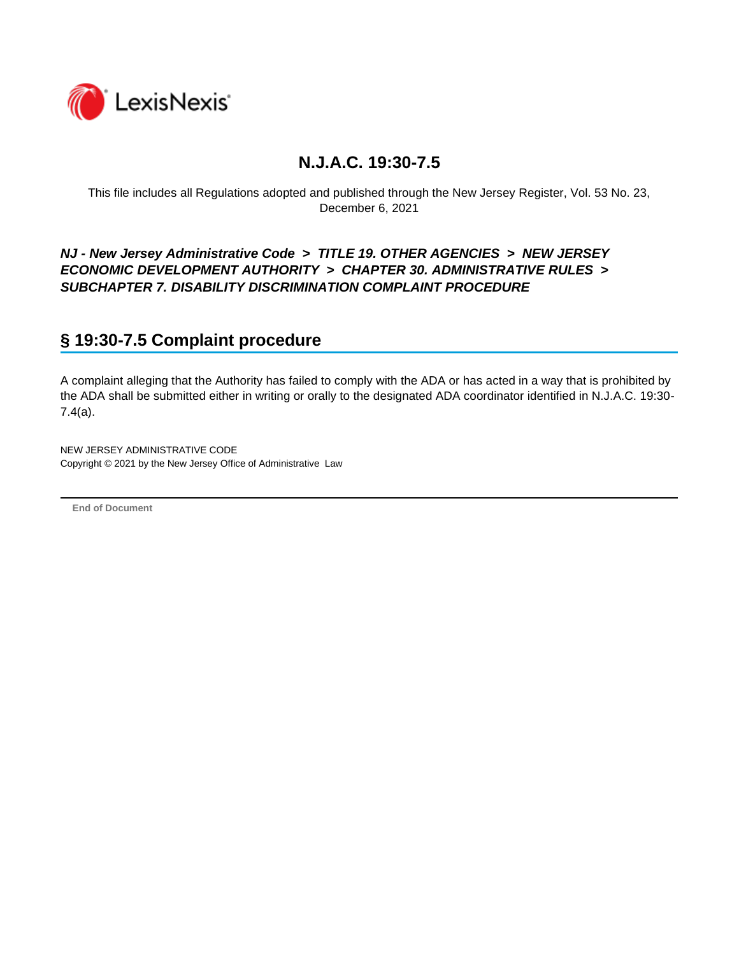

This file includes all Regulations adopted and published through the New Jersey Register, Vol. 53 No. 23, December 6, 2021

*NJ - New Jersey Administrative Code* **>** *TITLE 19. OTHER AGENCIES* **>** *NEW JERSEY ECONOMIC DEVELOPMENT AUTHORITY* **>** *CHAPTER 30. ADMINISTRATIVE RULES* **>**  *SUBCHAPTER 7. DISABILITY DISCRIMINATION COMPLAINT PROCEDURE*

# **§ 19:30-7.5 Complaint procedure**

A complaint alleging that the Authority has failed to comply with the ADA or has acted in a way that is prohibited by the ADA shall be submitted either in writing or orally to the designated ADA coordinator identified in N.J.A.C. 19:30- 7.4(a).

NEW JERSEY ADMINISTRATIVE CODE Copyright © 2021 by the New Jersey Office of Administrative Law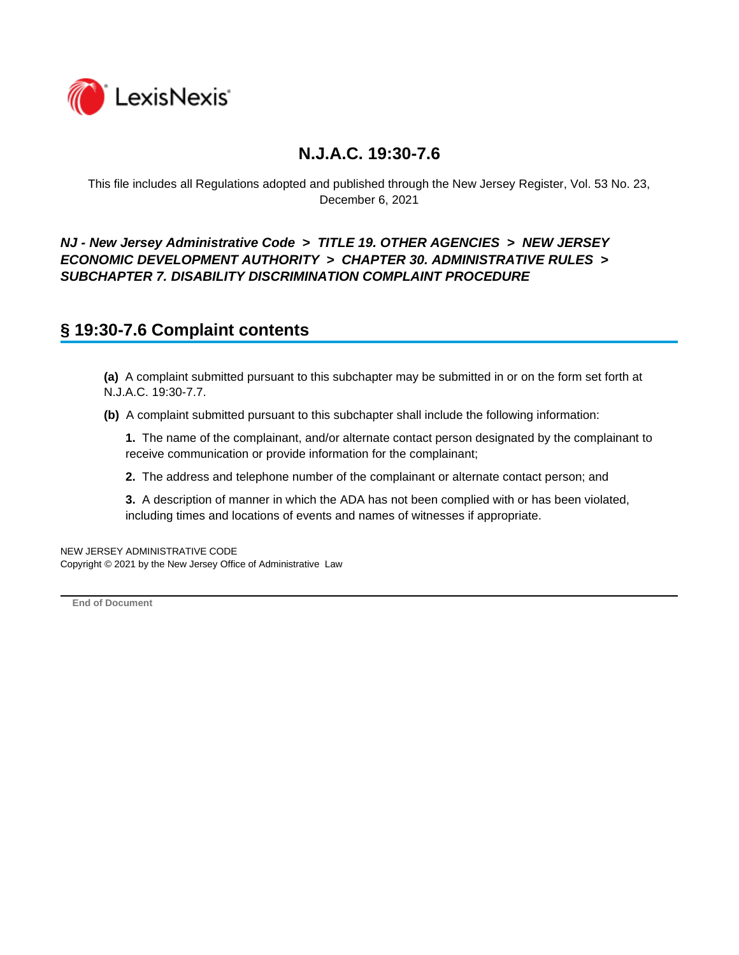

This file includes all Regulations adopted and published through the New Jersey Register, Vol. 53 No. 23, December 6, 2021

### *NJ - New Jersey Administrative Code* **>** *TITLE 19. OTHER AGENCIES* **>** *NEW JERSEY ECONOMIC DEVELOPMENT AUTHORITY* **>** *CHAPTER 30. ADMINISTRATIVE RULES* **>**  *SUBCHAPTER 7. DISABILITY DISCRIMINATION COMPLAINT PROCEDURE*

### **§ 19:30-7.6 Complaint contents**

**(a)** A complaint submitted pursuant to this subchapter may be submitted in or on the form set forth at N.J.A.C. 19:30-7.7.

**(b)** A complaint submitted pursuant to this subchapter shall include the following information:

**1.** The name of the complainant, and/or alternate contact person designated by the complainant to receive communication or provide information for the complainant;

**2.** The address and telephone number of the complainant or alternate contact person; and

**3.** A description of manner in which the ADA has not been complied with or has been violated, including times and locations of events and names of witnesses if appropriate.

NEW JERSEY ADMINISTRATIVE CODE Copyright © 2021 by the New Jersey Office of Administrative Law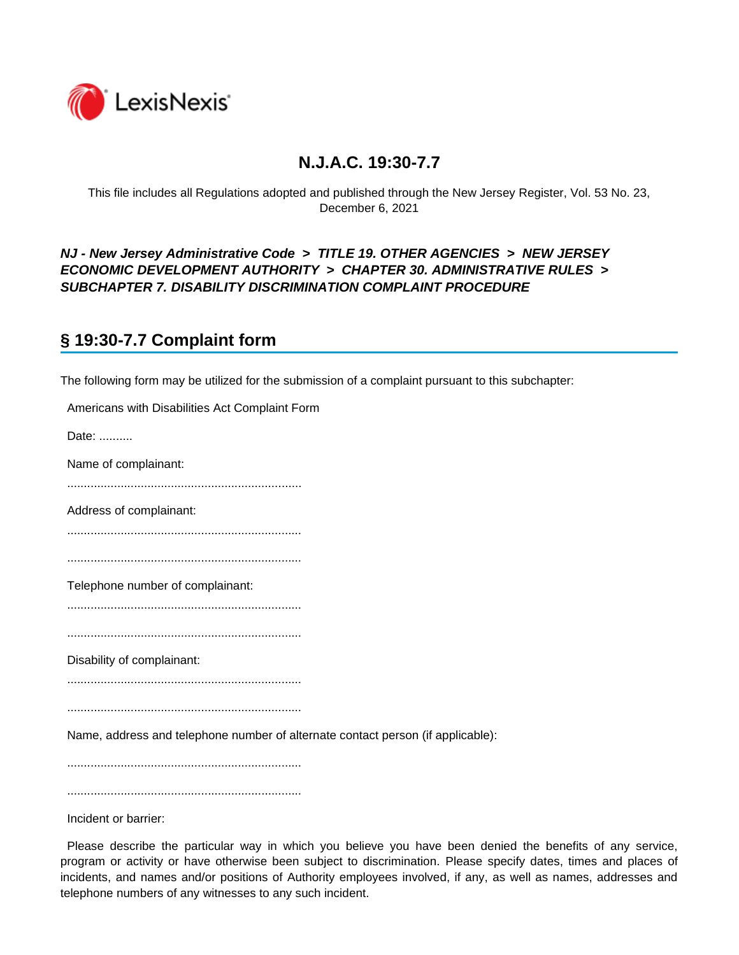

This file includes all Regulations adopted and published through the New Jersey Register, Vol. 53 No. 23, December 6, 2021

### *NJ - New Jersey Administrative Code* **>** *TITLE 19. OTHER AGENCIES* **>** *NEW JERSEY ECONOMIC DEVELOPMENT AUTHORITY* **>** *CHAPTER 30. ADMINISTRATIVE RULES* **>**  *SUBCHAPTER 7. DISABILITY DISCRIMINATION COMPLAINT PROCEDURE*

# **§ 19:30-7.7 Complaint form**

The following form may be utilized for the submission of a complaint pursuant to this subchapter:

| Americans with Disabilities Act Complaint Form                                  |
|---------------------------------------------------------------------------------|
| Date:                                                                           |
| Name of complainant:                                                            |
|                                                                                 |
| Address of complainant:                                                         |
|                                                                                 |
|                                                                                 |
| Telephone number of complainant:                                                |
|                                                                                 |
|                                                                                 |
| Disability of complainant:                                                      |
|                                                                                 |
|                                                                                 |
| Name, address and telephone number of alternate contact person (if applicable): |
|                                                                                 |
|                                                                                 |
|                                                                                 |

Incident or barrier:

 Please describe the particular way in which you believe you have been denied the benefits of any service, program or activity or have otherwise been subject to discrimination. Please specify dates, times and places of incidents, and names and/or positions of Authority employees involved, if any, as well as names, addresses and telephone numbers of any witnesses to any such incident.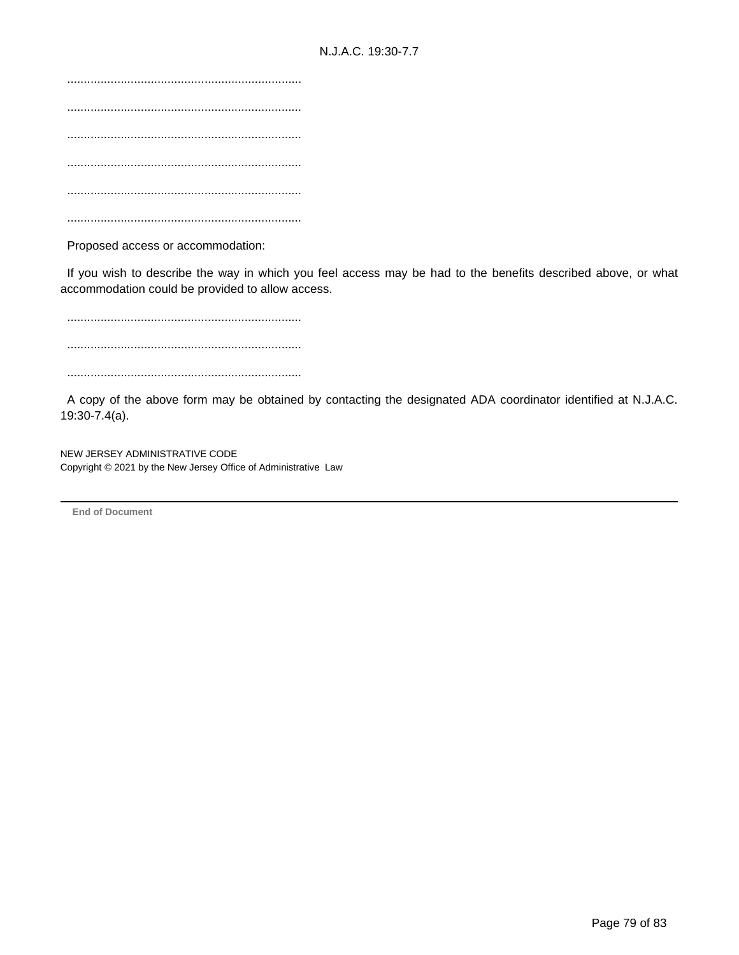...................................................................... ...................................................................... ...................................................................... ...................................................................... ...................................................................... ......................................................................

Proposed access or accommodation:

 If you wish to describe the way in which you feel access may be had to the benefits described above, or what accommodation could be provided to allow access.

 ...................................................................... ...................................................................... ......................................................................

 A copy of the above form may be obtained by contacting the designated ADA coordinator identified at N.J.A.C. 19:30-7.4(a).

NEW JERSEY ADMINISTRATIVE CODE Copyright © 2021 by the New Jersey Office of Administrative Law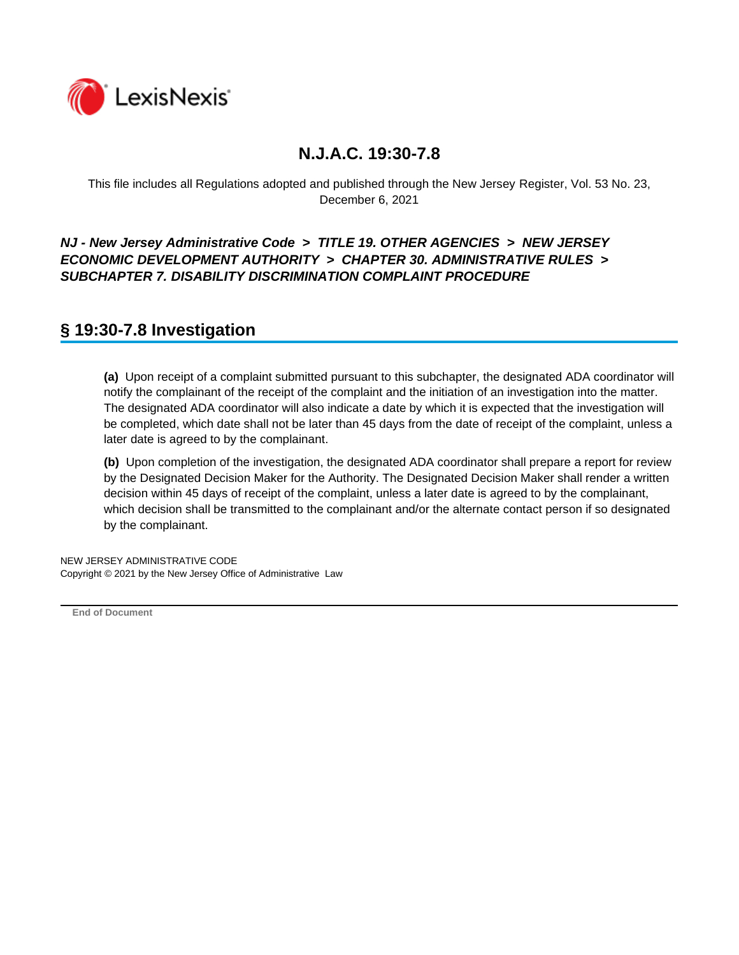

This file includes all Regulations adopted and published through the New Jersey Register, Vol. 53 No. 23, December 6, 2021

### *NJ - New Jersey Administrative Code* **>** *TITLE 19. OTHER AGENCIES* **>** *NEW JERSEY ECONOMIC DEVELOPMENT AUTHORITY* **>** *CHAPTER 30. ADMINISTRATIVE RULES* **>**  *SUBCHAPTER 7. DISABILITY DISCRIMINATION COMPLAINT PROCEDURE*

## **§ 19:30-7.8 Investigation**

**(a)** Upon receipt of a complaint submitted pursuant to this subchapter, the designated ADA coordinator will notify the complainant of the receipt of the complaint and the initiation of an investigation into the matter. The designated ADA coordinator will also indicate a date by which it is expected that the investigation will be completed, which date shall not be later than 45 days from the date of receipt of the complaint, unless a later date is agreed to by the complainant.

**(b)** Upon completion of the investigation, the designated ADA coordinator shall prepare a report for review by the Designated Decision Maker for the Authority. The Designated Decision Maker shall render a written decision within 45 days of receipt of the complaint, unless a later date is agreed to by the complainant, which decision shall be transmitted to the complainant and/or the alternate contact person if so designated by the complainant.

NEW JERSEY ADMINISTRATIVE CODE Copyright © 2021 by the New Jersey Office of Administrative Law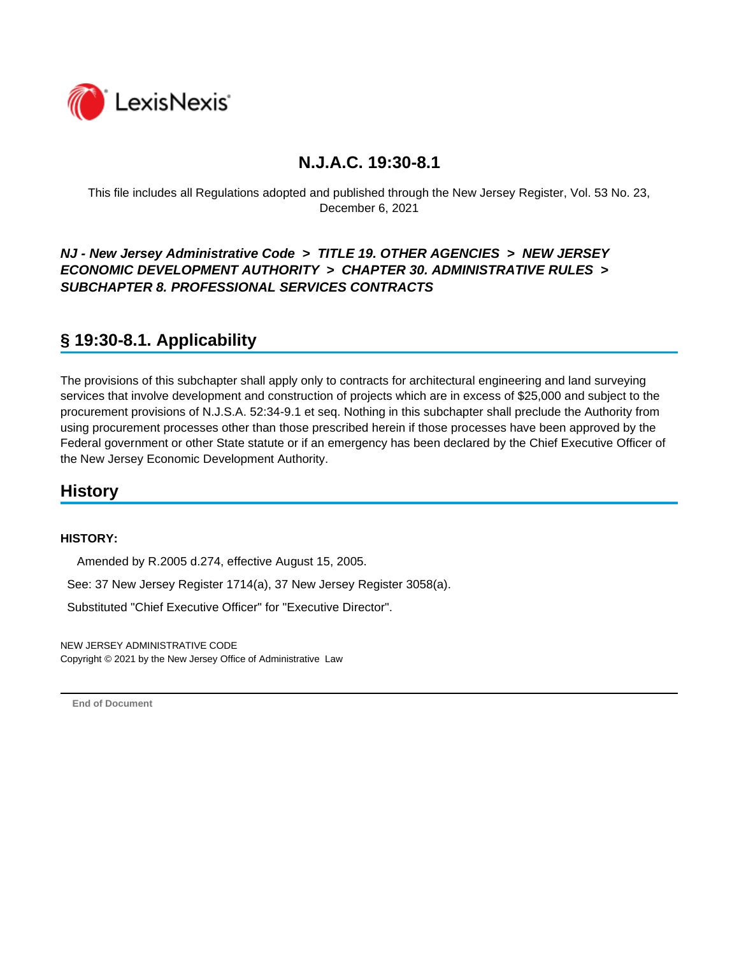

This file includes all Regulations adopted and published through the New Jersey Register, Vol. 53 No. 23, December 6, 2021

### *NJ - New Jersey Administrative Code* **>** *TITLE 19. OTHER AGENCIES* **>** *NEW JERSEY ECONOMIC DEVELOPMENT AUTHORITY* **>** *CHAPTER 30. ADMINISTRATIVE RULES* **>**  *SUBCHAPTER 8. PROFESSIONAL SERVICES CONTRACTS*

# **§ 19:30-8.1. Applicability**

The provisions of this subchapter shall apply only to contracts for architectural engineering and land surveying services that involve development and construction of projects which are in excess of \$25,000 and subject to the procurement provisions of N.J.S.A. 52:34-9.1 et seq. Nothing in this subchapter shall preclude the Authority from using procurement processes other than those prescribed herein if those processes have been approved by the Federal government or other State statute or if an emergency has been declared by the Chief Executive Officer of the New Jersey Economic Development Authority.

## **History**

#### **HISTORY:**

Amended by R.2005 d.274, effective August 15, 2005.

See: 37 New Jersey Register 1714(a), 37 New Jersey Register 3058(a).

Substituted "Chief Executive Officer" for "Executive Director".

NEW JERSEY ADMINISTRATIVE CODE Copyright © 2021 by the New Jersey Office of Administrative Law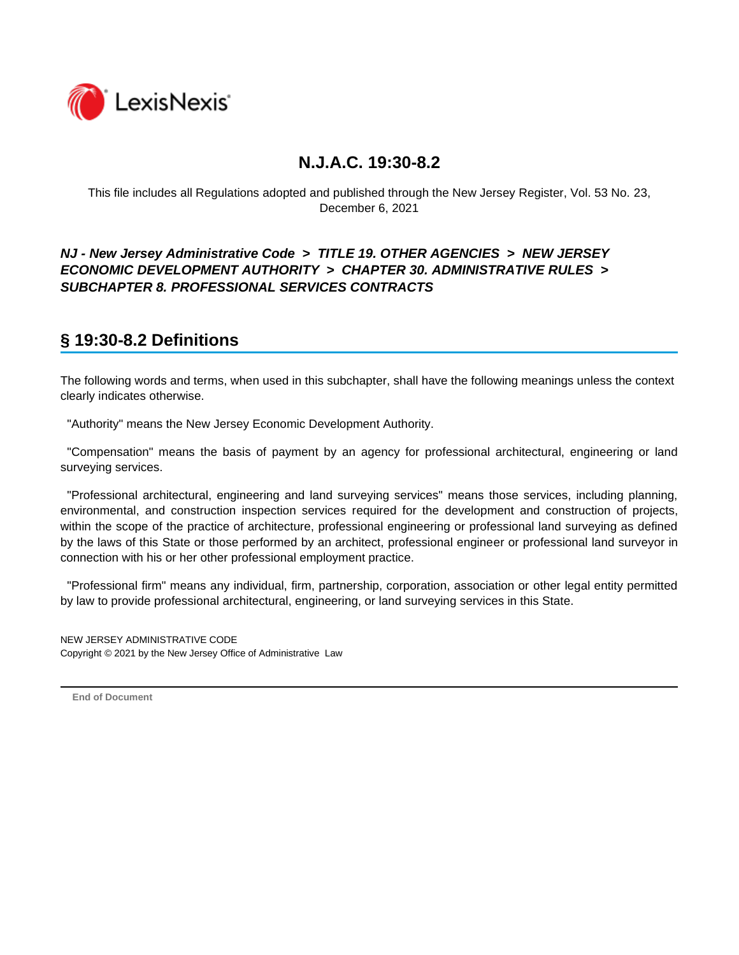

This file includes all Regulations adopted and published through the New Jersey Register, Vol. 53 No. 23, December 6, 2021

### *NJ - New Jersey Administrative Code* **>** *TITLE 19. OTHER AGENCIES* **>** *NEW JERSEY ECONOMIC DEVELOPMENT AUTHORITY* **>** *CHAPTER 30. ADMINISTRATIVE RULES* **>**  *SUBCHAPTER 8. PROFESSIONAL SERVICES CONTRACTS*

# **§ 19:30-8.2 Definitions**

The following words and terms, when used in this subchapter, shall have the following meanings unless the context clearly indicates otherwise.

"Authority" means the New Jersey Economic Development Authority.

 "Compensation" means the basis of payment by an agency for professional architectural, engineering or land surveying services.

 "Professional architectural, engineering and land surveying services" means those services, including planning, environmental, and construction inspection services required for the development and construction of projects, within the scope of the practice of architecture, professional engineering or professional land surveying as defined by the laws of this State or those performed by an architect, professional engineer or professional land surveyor in connection with his or her other professional employment practice.

 "Professional firm" means any individual, firm, partnership, corporation, association or other legal entity permitted by law to provide professional architectural, engineering, or land surveying services in this State.

NEW JERSEY ADMINISTRATIVE CODE Copyright © 2021 by the New Jersey Office of Administrative Law